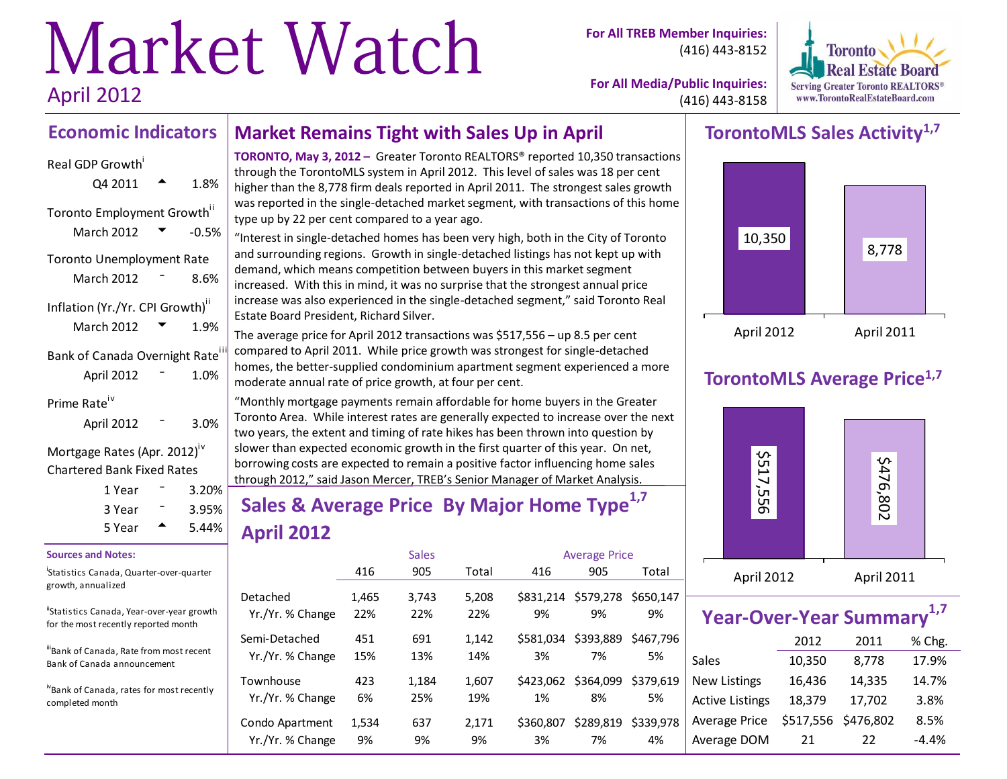# Market Watch April 2012

**For All TREB Member Inquiries:** (416) 443-8152



**For All Media/Public Inquiries:** (416) 443-8158

#### **Economic Indicators Market Remains Tight with Sales Up in April**

# Real GDP Growth  $Q4\,2011$   $\rightarrow$  1.8% Toronto Employment Growth<sup>ii</sup> March 2012  $\blacktriangledown$  -0.5% Toronto Unemployment Rate March 2012  $-$  8.6% Inflation (Yr./Yr. CPI Growth)<sup>ii</sup> March 2012  $\blacktriangledown$  1.9% Bank of Canada Overnight Rate April 2012 <sup>-</sup> 1.0% Prime Rate<sup>iv</sup> April 2012 <sup>-</sup> 3.0%

Mortgage Rates (Apr. 2012)<sup>iv</sup> Chartered Bank Fixed Rates

| 1 Year | 3.20%    |  |
|--------|----------|--|
| 3 Year | $3.95\%$ |  |
| 5 Year | 5.44%    |  |

#### **Sources and Notes:**

i Statistics Canada, Quarter-over-quarter growth, annualized

"Statistics Canada, Year-over-year growth for the most recently reported month

iii<br>Bank of Canada, Rate from most recent Bank of Canada announcement

ivBank of Canada, rates for most recently completed month

**TORONTO, May 3, 2012 –** Greater Toronto REALTORS® reported 10,350 transactions through the TorontoMLS system in April 2012. This level of sales was 18 per cent higher than the 8,778 firm deals reported in April 2011. The strongest sales growth was reported in the single-detached market segment, with transactions of this home type up by 22 per cent compared to a year ago.

"Interest in single-detached homes has been very high, both in the City of Toronto and surrounding regions. Growth in single-detached listings has not kept up with demand, which means competition between buyers in this market segment increased. With this in mind, it was no surprise that the strongest annual price increase was also experienced in the single-detached segment," said Toronto Real Estate Board President, Richard Silver.

The average price for April 2012 transactions was \$517,556 – up 8.5 per cent compared to April 2011. While price growth was strongest for single-detached homes, the better-supplied condominium apartment segment experienced a more moderate annual rate of price growth, at four per cent.

"Monthly mortgage payments remain affordable for home buyers in the Greater Toronto Area. While interest rates are generally expected to increase over the next two years, the extent and timing of rate hikes has been thrown into question by slower than expected economic growth in the first quarter of this year. On net, borrowing costs are expected to remain a positive factor influencing home sales through 2012," said Jason Mercer, TREB's Senior Manager of Market Analysis.

# **Sales & Average Price By Major Home Type1,7 April 2012**

|                  |       | <b>Sales</b> |       |           | <b>Average Price</b> |           |
|------------------|-------|--------------|-------|-----------|----------------------|-----------|
|                  | 416   | 905          | Total | 416       | 905                  | Total     |
| Detached         | 1,465 | 3,743        | 5,208 | \$831.214 | \$579,278            | \$650.147 |
| Yr./Yr. % Change | 22%   | 22%          | 22%   | 9%        | 9%                   | 9%        |
| Semi-Detached    | 451   | 691          | 1,142 | \$581.034 | \$393,889            | \$467.796 |
| Yr./Yr. % Change | 15%   | 13%          | 14%   | 3%        | 7%                   | 5%        |
| Townhouse        | 423   | 1,184        | 1.607 | \$423.062 | \$364,099            | \$379.619 |
| Yr./Yr. % Change | 6%    | 25%          | 19%   | 1%        | 8%                   | 5%        |
| Condo Apartment  | 1,534 | 637          | 2,171 | \$360,807 | \$289,819            | \$339.978 |
| Yr./Yr. % Change | 9%    | 9%           | 9%    | 3%        | 7%                   | 4%        |

# **TorontoMLS Sales Activity1,7**



# **TorontoMLS Average Price1,7**



|                        | Year-Over-Year Summary <sup>1,7</sup> |                     |         |  |  |  |  |  |  |  |
|------------------------|---------------------------------------|---------------------|---------|--|--|--|--|--|--|--|
|                        | 2012                                  | 2011                | % Chg.  |  |  |  |  |  |  |  |
| Sales                  | 10,350                                | 8,778               | 17.9%   |  |  |  |  |  |  |  |
| <b>New Listings</b>    | 16,436                                | 14,335              | 14.7%   |  |  |  |  |  |  |  |
| <b>Active Listings</b> | 18,379                                | 17,702              | 3.8%    |  |  |  |  |  |  |  |
| Average Price          |                                       | \$517,556 \$476,802 | 8.5%    |  |  |  |  |  |  |  |
| Average DOM            | 21                                    | 22                  | $-4.4%$ |  |  |  |  |  |  |  |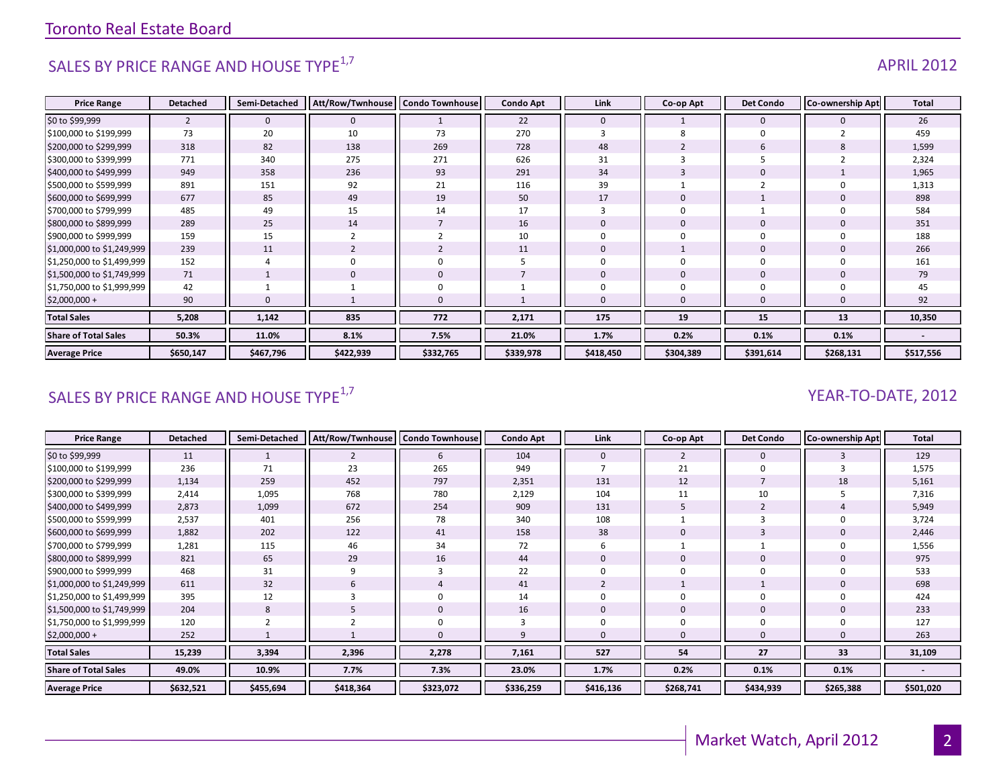# SALES BY PRICE RANGE AND HOUSE TYPE<sup>1,7</sup> APRIL 2012

#### **Price Range Detached Semi-Detached Att/Row/Twnhouse Condo Townhouse Condo Apt Link Co-op Apt Det Condo Co-ownership Apt Total** \$0 to \$99,999 2 0 0 1 22 0 1 0 0 26 \$100,000 to \$199,999 | 73 || 20 || 10 || 73 || 270 || 3 || 8 || 0 || 2 || 459 \$200,000 to \$299,999 | 318 || 82 || 138 || 269 || 728 || 48 || 2 || 6 || 8 || 1,599 \$300,000 to \$399,999 | 771 || 340 || 275 || 271 || 626 || 31 || 3 || 5 || 2 || 2,324 \$400,000 to \$499,999 | 949 || 358 || 236 || 93 || 291 || 34 || 3 || 0 || 1 || 1,965 \$500,000 to \$599,999 | 891 || 151 || 92 || 21 || 116 || 39 || 1 || 2 || 0 || 1,313 \$600,000 to \$699,999 | 677 || 85 || 49 || 19 || 50 || 17 || 0 || 1 || 0 || 898 \$700,000 to \$799,999 | 485 || 49 || 15 || 14 || 17 || 3 || 0 || 1 || 0 || 584 \$800,000 to \$899,999 | 289 || 25 || 14 || 7 || 16 || 0 || 0 || 0 || 0 || 0 || 351 \$900,000 to \$999,999 159 15 2 2 10 0 0 0 0 188 \$1,000,000 to \$1,249,999 239 || 11 || 2 || 2 || 11 || 0 || 1 || 0 || 266 \$1,250,000 to \$1,499,999 152 4 0 0 5 0 0 0 0 161 \$1,500,000 to \$1,749,999 71 1 0 0 7 0 0 0 0 79 |\$1,750,000 to \$1,999,999 42 || 1 || 1 || 0 || 1 || 0 || 0 || 0 || 45 \$2,000,000 + | 90 || 0 || 1 || 0 || 1 || 0 || 0 || 92 **Total Sales 5,208 1,142 835 772 2,171 175 19 15 13 10,350 Share of Total Sales 50.3% 11.0% 8.1% 7.5% 21.0% 1.7% 0.2% 0.1% 0.1% - Average Price \$650,147 \$467,796 \$422,939 \$332,765 \$339,978 \$418,450 \$304,389 \$391,614 \$268,131 \$517,556**

### SALES BY PRICE RANGE AND HOUSE TYPE<sup>1,7</sup> And the same of the set of the set of the set of the set of the set of the set of the set of the set of the set of the set of the set of the set of the set of the set of the set of

| <b>Price Range</b>          | <b>Detached</b> | Semi-Detached | Att/Row/Twnhouse | <b>Condo Townhouse</b> | <b>Condo Apt</b> | Link        | Co-op Apt | <b>Det Condo</b> | Co-ownership Apt | <b>Total</b> |
|-----------------------------|-----------------|---------------|------------------|------------------------|------------------|-------------|-----------|------------------|------------------|--------------|
| \$0 to \$99,999             | 11              |               |                  | 6                      | 104              | $\mathbf 0$ |           | $\mathbf 0$      |                  | 129          |
| \$100,000 to \$199,999      | 236             | 71            | 23               | 265                    | 949              |             | 21        | $\Omega$         |                  | 1,575        |
| \$200,000 to \$299,999      | 1,134           | 259           | 452              | 797                    | 2,351            | 131         | 12        |                  | 18               | 5,161        |
| \$300,000 to \$399,999      | 2,414           | 1,095         | 768              | 780                    | 2,129            | 104         | 11        | 10               |                  | 7,316        |
| \$400,000 to \$499,999      | 2,873           | 1,099         | 672              | 254                    | 909              | 131         |           | $\overline{2}$   |                  | 5,949        |
| \$500,000 to \$599,999      | 2,537           | 401           | 256              | 78                     | 340              | 108         |           |                  |                  | 3,724        |
| \$600,000 to \$699,999      | 1,882           | 202           | 122              | 41                     | 158              | 38          | 0         |                  |                  | 2,446        |
| \$700,000 to \$799,999      | 1,281           | 115           | 46               | 34                     | 72               | 6           |           |                  |                  | 1,556        |
| \$800,000 to \$899,999      | 821             | 65            | 29               | 16                     | 44               | 0           | 0         | $\bf{0}$         |                  | 975          |
| \$900,000 to \$999,999      | 468             | 31            | q                | 3                      | 22               |             | 0         | $\Omega$         |                  | 533          |
| \$1,000,000 to \$1,249,999  | 611             | 32            | 6                | 4                      | 41               |             |           |                  |                  | 698          |
| \$1,250,000 to \$1,499,999  | 395             | 12            |                  | $\mathbf 0$            | 14               |             | 0         | $\mathbf 0$      |                  | 424          |
| \$1,500,000 to \$1,749,999  | 204             | 8             |                  | $\mathbf 0$            | 16               | $\Omega$    | 0         | $\mathbf 0$      |                  | 233          |
| \$1,750,000 to \$1,999,999  | 120             |               |                  | $\mathbf 0$            |                  |             | 0         | $\Omega$         |                  | 127          |
| $$2,000,000 +$              | 252             |               |                  | $\mathbf{0}$           |                  | $\Omega$    | 0         | $\mathbf{0}$     |                  | 263          |
| <b>Total Sales</b>          | 15,239          | 3,394         | 2,396            | 2,278                  | 7,161            | 527         | 54        | 27               | 33               | 31,109       |
| <b>Share of Total Sales</b> | 49.0%           | 10.9%         | 7.7%             | 7.3%                   | 23.0%            | 1.7%        | 0.2%      | 0.1%             | 0.1%             |              |
| <b>Average Price</b>        | \$632,521       | \$455,694     | \$418,364        | \$323,072              | \$336,259        | \$416,136   | \$268,741 | \$434,939        | \$265,388        | \$501,020    |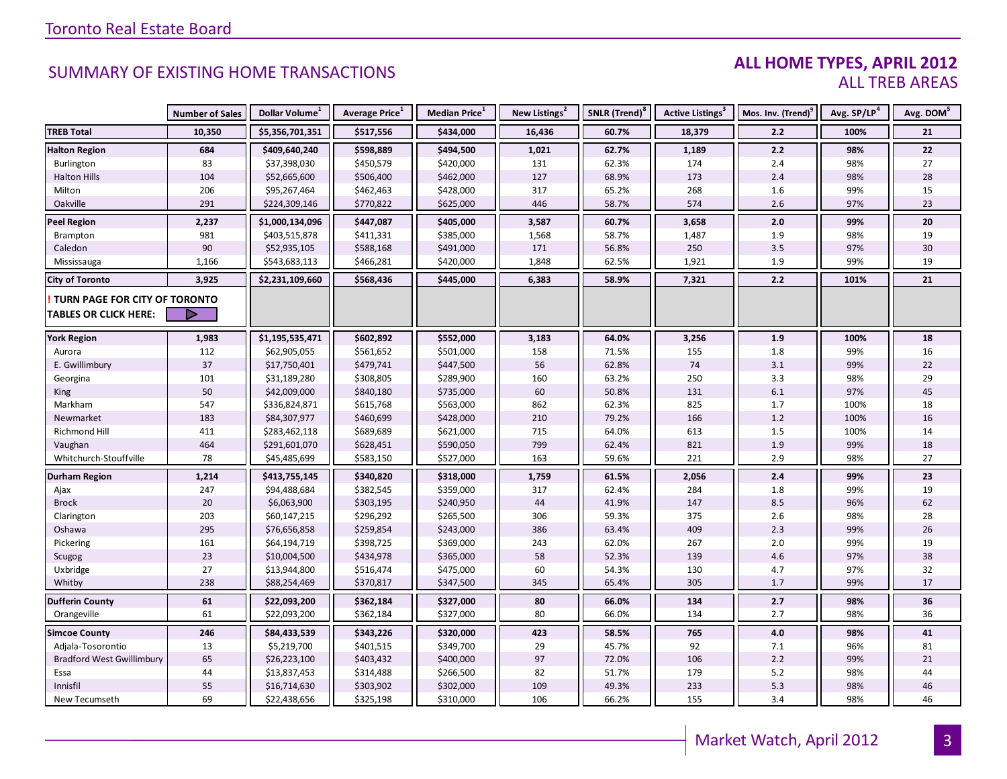#### **ALL HOME TYPES, APRIL 2012** ALL TREB AREAS

|                                  | <b>Number of Sales</b> | Dollar Volume <sup>1</sup> | Average Price <sup>1</sup> | Median Price <sup>1</sup> | New Listings <sup>2</sup> | SNLR (Trend) <sup>8</sup> | Active Listings <sup>3</sup> | Mos. Inv. (Trend) <sup>9</sup> | Avg. SP/LP <sup>4</sup> | Avg. DOM <sup>5</sup> |
|----------------------------------|------------------------|----------------------------|----------------------------|---------------------------|---------------------------|---------------------------|------------------------------|--------------------------------|-------------------------|-----------------------|
| <b>TREB Total</b>                | 10,350                 | \$5,356,701,351            | \$517,556                  | \$434,000                 | 16,436                    | 60.7%                     | 18,379                       | 2.2                            | 100%                    | 21                    |
| <b>Halton Region</b>             | 684                    | \$409,640,240              | \$598,889                  | \$494,500                 | 1,021                     | 62.7%                     | 1,189                        | 2.2                            | 98%                     | 22                    |
| Burlington                       | 83                     | \$37,398,030               | \$450,579                  | \$420,000                 | 131                       | 62.3%                     | 174                          | 2.4                            | 98%                     | 27                    |
| <b>Halton Hills</b>              | 104                    | \$52,665,600               | \$506,400                  | \$462,000                 | 127                       | 68.9%                     | 173                          | 2.4                            | 98%                     | 28                    |
| Milton                           | 206                    | \$95,267,464               | \$462,463                  | \$428,000                 | 317                       | 65.2%                     | 268                          | 1.6                            | 99%                     | 15                    |
| Oakville                         | 291                    | \$224,309,146              | \$770,822                  | \$625,000                 | 446                       | 58.7%                     | 574                          | 2.6                            | 97%                     | 23                    |
| <b>Peel Region</b>               | 2,237                  | \$1,000,134,096            | \$447,087                  | \$405,000                 | 3,587                     | 60.7%                     | 3,658                        | 2.0                            | 99%                     | 20                    |
| Brampton                         | 981                    | \$403,515,878              | \$411,331                  | \$385,000                 | 1,568                     | 58.7%                     | 1,487                        | 1.9                            | 98%                     | 19                    |
| Caledon                          | 90                     | \$52,935,105               | \$588,168                  | \$491,000                 | 171                       | 56.8%                     | 250                          | 3.5                            | 97%                     | 30                    |
| Mississauga                      | 1,166                  | \$543,683,113              | \$466,281                  | \$420,000                 | 1,848                     | 62.5%                     | 1,921                        | 1.9                            | 99%                     | 19                    |
| <b>City of Toronto</b>           | 3,925                  | \$2,231,109,660            | \$568,436                  | \$445,000                 | 6,383                     | 58.9%                     | 7,321                        | 2.2                            | 101%                    | 21                    |
| TURN PAGE FOR CITY OF TORONTO    |                        |                            |                            |                           |                           |                           |                              |                                |                         |                       |
| <b>TABLES OR CLICK HERE:</b>     |                        |                            |                            |                           |                           |                           |                              |                                |                         |                       |
|                                  |                        |                            |                            |                           |                           |                           |                              |                                |                         |                       |
| <b>York Region</b>               | 1,983                  | \$1,195,535,471            | \$602,892                  | \$552,000                 | 3,183                     | 64.0%                     | 3,256                        | 1.9                            | 100%                    | 18                    |
| Aurora                           | 112                    | \$62,905,055               | \$561,652                  | \$501,000                 | 158                       | 71.5%                     | 155                          | 1.8                            | 99%                     | 16                    |
| E. Gwillimbury                   | 37                     | \$17,750,401               | \$479,741                  | \$447,500                 | 56                        | 62.8%                     | 74                           | 3.1                            | 99%                     | 22                    |
| Georgina                         | 101                    | \$31,189,280               | \$308,805                  | \$289,900                 | 160                       | 63.2%                     | 250                          | 3.3                            | 98%                     | 29                    |
| King                             | 50                     | \$42,009,000               | \$840,180                  | \$735,000                 | 60                        | 50.8%                     | 131                          | $6.1\,$                        | 97%                     | 45                    |
| Markham                          | 547                    | \$336,824,871              | \$615,768                  | \$563,000                 | 862                       | 62.3%                     | 825                          | 1.7                            | 100%                    | 18                    |
| Newmarket                        | 183                    | \$84,307,977               | \$460,699                  | \$428,000                 | 210                       | 79.2%                     | 166                          | 1.2                            | 100%                    | 16                    |
| Richmond Hill                    | 411                    | \$283,462,118              | \$689,689                  | \$621,000                 | 715                       | 64.0%                     | 613                          | 1.5                            | 100%                    | 14                    |
| Vaughan                          | 464                    | \$291,601,070              | \$628,451                  | \$590,050                 | 799                       | 62.4%                     | 821                          | 1.9                            | 99%                     | 18                    |
| Whitchurch-Stouffville           | 78                     | \$45,485,699               | \$583,150                  | \$527,000                 | 163                       | 59.6%                     | 221                          | 2.9                            | 98%                     | 27                    |
| <b>Durham Region</b>             | 1,214                  | \$413,755,145              | \$340,820                  | \$318,000                 | 1,759                     | 61.5%                     | 2,056                        | 2.4                            | 99%                     | 23                    |
| Ajax                             | 247                    | \$94,488,684               | \$382,545                  | \$359,000                 | 317                       | 62.4%                     | 284                          | 1.8                            | 99%                     | 19                    |
| <b>Brock</b>                     | 20                     | \$6,063,900                | \$303,195                  | \$240,950                 | 44                        | 41.9%                     | 147                          | 8.5                            | 96%                     | 62                    |
| Clarington                       | 203                    | \$60,147,215               | \$296,292                  | \$265,500                 | 306                       | 59.3%                     | 375                          | 2.6                            | 98%                     | 28                    |
| Oshawa                           | 295                    | \$76,656,858               | \$259,854                  | \$243,000                 | 386                       | 63.4%                     | 409                          | 2.3                            | 99%                     | 26                    |
| Pickering                        | 161                    | \$64,194,719               | \$398,725                  | \$369,000                 | 243                       | 62.0%                     | 267                          | 2.0                            | 99%                     | 19                    |
| Scugog                           | 23                     | \$10,004,500               | \$434,978                  | \$365,000                 | 58                        | 52.3%                     | 139                          | 4.6                            | 97%                     | 38                    |
| Uxbridge                         | 27                     | \$13,944,800               | \$516,474                  | \$475,000                 | 60                        | 54.3%                     | 130                          | 4.7                            | 97%                     | 32                    |
| Whitby                           | 238                    | \$88,254,469               | \$370,817                  | \$347,500                 | 345                       | 65.4%                     | 305                          | 1.7                            | 99%                     | 17                    |
| <b>Dufferin County</b>           | 61                     | \$22,093,200               | \$362,184                  | \$327,000                 | 80                        | 66.0%                     | 134                          | 2.7                            | 98%                     | 36                    |
| Orangeville                      | 61                     | \$22,093,200               | \$362,184                  | \$327,000                 | 80                        | 66.0%                     | 134                          | 2.7                            | 98%                     | 36                    |
| <b>Simcoe County</b>             | 246                    | \$84,433,539               | \$343,226                  | \$320,000                 | 423                       | 58.5%                     | 765                          | 4.0                            | 98%                     | 41                    |
| Adjala-Tosorontio                | 13                     | \$5,219,700                | \$401,515                  | \$349,700                 | 29                        | 45.7%                     | 92                           | 7.1                            | 96%                     | 81                    |
| <b>Bradford West Gwillimbury</b> | 65                     | \$26,223,100               | \$403,432                  | \$400,000                 | 97                        | 72.0%                     | 106                          | 2.2                            | 99%                     | 21                    |
| Essa                             | 44                     | \$13,837,453               | \$314,488                  | \$266,500                 | 82                        | 51.7%                     | 179                          | 5.2                            | 98%                     | 44                    |
| Innisfil                         | 55                     | \$16,714,630               | \$303,902                  | \$302,000                 | 109                       | 49.3%                     | 233                          | $5.3$                          | 98%                     | 46                    |
| New Tecumseth                    | 69                     | \$22,438,656               | \$325,198                  | \$310,000                 | 106                       | 66.2%                     | 155                          | 3.4                            | 98%                     | 46                    |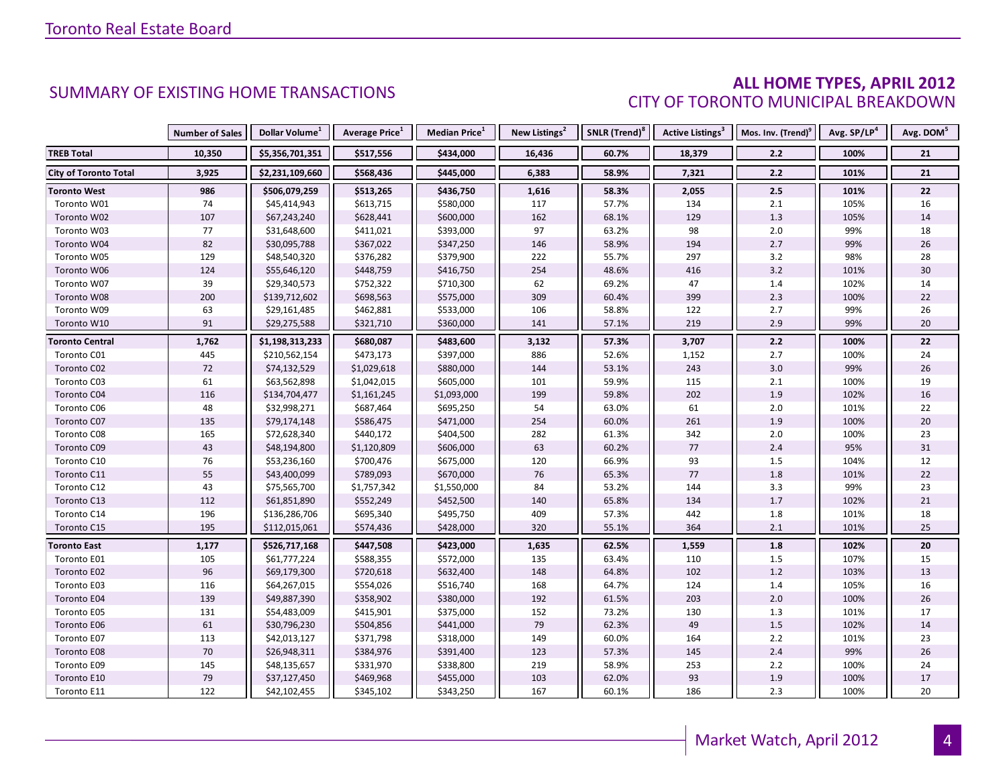#### **ALL HOME TYPES, APRIL 2012** CITY OF TORONTO MUNICIPAL BREAKDOWN

|                              | <b>Number of Sales</b> | Dollar Volume <sup>1</sup> | Average Price <sup>1</sup> | <b>Median Price</b> <sup>1</sup> | New Listings <sup>2</sup> | SNLR (Trend) <sup>8</sup> | Active Listings <sup>3</sup> | Mos. Inv. (Trend) <sup>9</sup> | Avg. SP/LP <sup>4</sup> | Avg. DOM <sup>5</sup> |
|------------------------------|------------------------|----------------------------|----------------------------|----------------------------------|---------------------------|---------------------------|------------------------------|--------------------------------|-------------------------|-----------------------|
| <b>TREB Total</b>            | 10,350                 | \$5,356,701,351            | \$517,556                  | \$434,000                        | 16,436                    | 60.7%                     | 18,379                       | 2.2                            | 100%                    | 21                    |
| <b>City of Toronto Total</b> | 3,925                  | \$2,231,109,660            | \$568,436                  | \$445,000                        | 6,383                     | 58.9%                     | 7,321                        | 2.2                            | 101%                    | 21                    |
| <b>Toronto West</b>          | 986                    | \$506,079,259              | \$513,265                  | \$436,750                        | 1,616                     | 58.3%                     | 2,055                        | 2.5                            | 101%                    | 22                    |
| Toronto W01                  | 74                     | \$45,414,943               | \$613,715                  | \$580,000                        | 117                       | 57.7%                     | 134                          | $2.1\,$                        | 105%                    | 16                    |
| Toronto W02                  | 107                    | \$67,243,240               | \$628,441                  | \$600,000                        | 162                       | 68.1%                     | 129                          | 1.3                            | 105%                    | 14                    |
| Toronto W03                  | 77                     | \$31,648,600               | \$411,021                  | \$393,000                        | 97                        | 63.2%                     | 98                           | $2.0\,$                        | 99%                     | 18                    |
| Toronto W04                  | 82                     | \$30,095,788               | \$367,022                  | \$347,250                        | 146                       | 58.9%                     | 194                          | 2.7                            | 99%                     | 26                    |
| Toronto W05                  | 129                    | \$48,540,320               | \$376,282                  | \$379,900                        | 222                       | 55.7%                     | 297                          | 3.2                            | 98%                     | 28                    |
| Toronto W06                  | 124                    | \$55,646,120               | \$448,759                  | \$416,750                        | 254                       | 48.6%                     | 416                          | $3.2$                          | 101%                    | 30                    |
| Toronto W07                  | 39                     | \$29,340,573               | \$752,322                  | \$710,300                        | 62                        | 69.2%                     | 47                           | 1.4                            | 102%                    | 14                    |
| Toronto W08                  | 200                    | \$139,712,602              | \$698,563                  | \$575,000                        | 309                       | 60.4%                     | 399                          | 2.3                            | 100%                    | 22                    |
| Toronto W09                  | 63                     | \$29,161,485               | \$462,881                  | \$533,000                        | 106                       | 58.8%                     | 122                          | 2.7                            | 99%                     | 26                    |
| Toronto W10                  | 91                     | \$29,275,588               | \$321,710                  | \$360,000                        | 141                       | 57.1%                     | 219                          | 2.9                            | 99%                     | $20\,$                |
| <b>Toronto Central</b>       | 1,762                  | \$1,198,313,233            | \$680,087                  | \$483,600                        | 3,132                     | 57.3%                     | 3,707                        | $2.2$                          | 100%                    | 22                    |
| Toronto C01                  | 445                    | \$210,562,154              | \$473,173                  | \$397,000                        | 886                       | 52.6%                     | 1,152                        | 2.7                            | 100%                    | 24                    |
| Toronto C02                  | 72                     | \$74,132,529               | \$1,029,618                | \$880,000                        | 144                       | 53.1%                     | 243                          | $3.0\,$                        | 99%                     | 26                    |
| Toronto C03                  | 61                     | \$63,562,898               | \$1,042,015                | \$605,000                        | 101                       | 59.9%                     | 115                          | $2.1\,$                        | 100%                    | 19                    |
| Toronto C04                  | 116                    | \$134,704,477              | \$1,161,245                | \$1,093,000                      | 199                       | 59.8%                     | 202                          | 1.9                            | 102%                    | 16                    |
| Toronto C06                  | 48                     | \$32,998,271               | \$687,464                  | \$695,250                        | 54                        | 63.0%                     | 61                           | 2.0                            | 101%                    | 22                    |
| Toronto C07                  | 135                    | \$79,174,148               | \$586,475                  | \$471,000                        | 254                       | 60.0%                     | 261                          | 1.9                            | 100%                    | $20\,$                |
| Toronto C08                  | 165                    | \$72,628,340               | \$440,172                  | \$404,500                        | 282                       | 61.3%                     | 342                          | 2.0                            | 100%                    | 23                    |
| Toronto C09                  | 43                     | \$48,194,800               | \$1,120,809                | \$606,000                        | 63                        | 60.2%                     | 77                           | 2.4                            | 95%                     | 31                    |
| Toronto C10                  | 76                     | \$53,236,160               | \$700,476                  | \$675,000                        | 120                       | 66.9%                     | 93                           | 1.5                            | 104%                    | 12                    |
| Toronto C11                  | 55                     | \$43,400,099               | \$789,093                  | \$670,000                        | 76                        | 65.3%                     | 77                           | 1.8                            | 101%                    | $22\,$                |
| Toronto C12                  | 43                     | \$75,565,700               | \$1,757,342                | \$1,550,000                      | 84                        | 53.2%                     | 144                          | 3.3                            | 99%                     | 23                    |
| Toronto C13                  | 112                    | \$61,851,890               | \$552,249                  | \$452,500                        | 140                       | 65.8%                     | 134                          | 1.7                            | 102%                    | 21                    |
| Toronto C14                  | 196                    | \$136,286,706              | \$695,340                  | \$495,750                        | 409                       | 57.3%                     | 442                          | 1.8                            | 101%                    | 18                    |
| Toronto C15                  | 195                    | \$112,015,061              | \$574,436                  | \$428,000                        | 320                       | 55.1%                     | 364                          | 2.1                            | 101%                    | 25                    |
| <b>Toronto East</b>          | 1,177                  | \$526,717,168              | \$447,508                  | \$423,000                        | 1,635                     | 62.5%                     | 1,559                        | 1.8                            | 102%                    | 20                    |
| Toronto E01                  | 105                    | \$61,777,224               | \$588,355                  | \$572,000                        | 135                       | 63.4%                     | 110                          | 1.5                            | 107%                    | 15                    |
| Toronto E02                  | 96                     | \$69,179,300               | \$720,618                  | \$632,400                        | 148                       | 64.8%                     | 102                          | 1.2                            | 103%                    | 13                    |
| Toronto E03                  | 116                    | \$64,267,015               | \$554,026                  | \$516,740                        | 168                       | 64.7%                     | 124                          | 1.4                            | 105%                    | 16                    |
| Toronto E04                  | 139                    | \$49,887,390               | \$358,902                  | \$380,000                        | 192                       | 61.5%                     | 203                          | 2.0                            | 100%                    | 26                    |
| Toronto E05                  | 131                    | \$54,483,009               | \$415,901                  | \$375,000                        | 152                       | 73.2%                     | 130                          | 1.3                            | 101%                    | 17                    |
| Toronto E06                  | 61                     | \$30,796,230               | \$504,856                  | \$441,000                        | 79                        | 62.3%                     | 49                           | 1.5                            | 102%                    | 14                    |
| Toronto E07                  | 113                    | \$42,013,127               | \$371,798                  | \$318,000                        | 149                       | 60.0%                     | 164                          | $2.2\,$                        | 101%                    | 23                    |
| Toronto E08                  | $70\,$                 | \$26,948,311               | \$384,976                  | \$391,400                        | 123                       | 57.3%                     | 145                          | 2.4                            | 99%                     | 26                    |
| Toronto E09                  | 145                    | \$48,135,657               | \$331,970                  | \$338,800                        | 219                       | 58.9%                     | 253                          | 2.2                            | 100%                    | 24                    |
| Toronto E10                  | 79                     | \$37,127,450               | \$469,968                  | \$455,000                        | 103                       | 62.0%                     | 93                           | 1.9                            | 100%                    | 17                    |
| Toronto E11                  | 122                    | \$42,102,455               | \$345,102                  | \$343,250                        | 167                       | 60.1%                     | 186                          | 2.3                            | 100%                    | 20                    |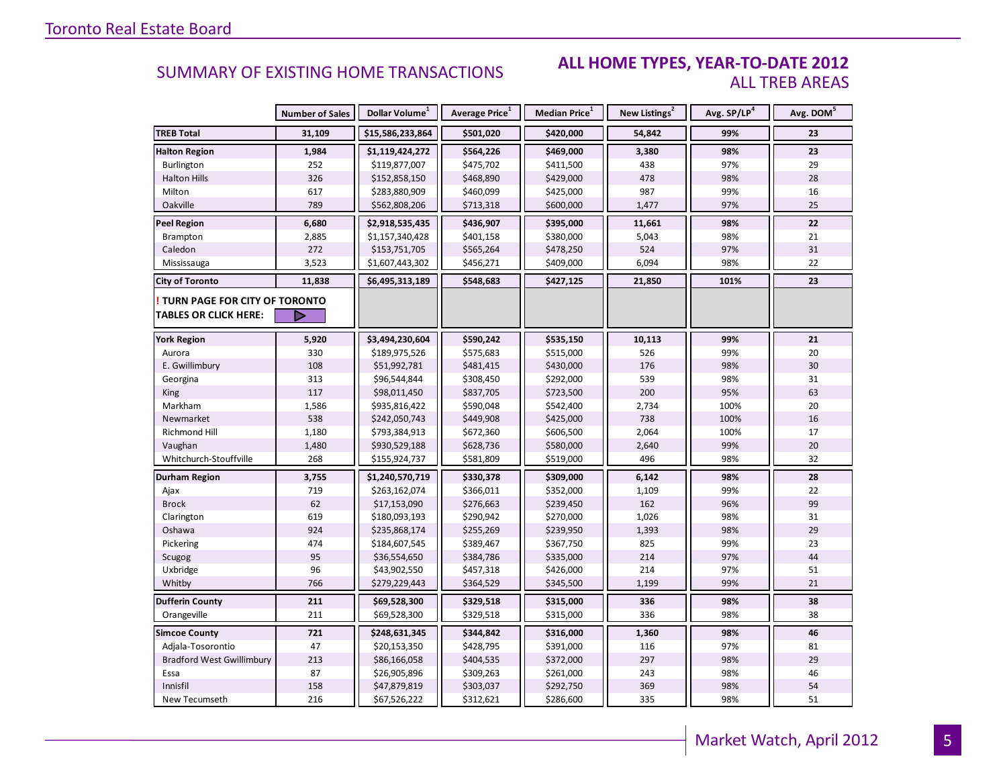#### **ALL HOME TYPES, YEAR-TO-DATE 2012** ALL TREB AREAS

|                                  | <b>Number of Sales</b> | Dollar Volume <sup>1</sup> | <b>Average Price</b> <sup>1</sup> | Median Price <sup>1</sup> | New Listings <sup>2</sup> | Avg. SP/LP <sup>4</sup> | Avg. DOM <sup>5</sup> |
|----------------------------------|------------------------|----------------------------|-----------------------------------|---------------------------|---------------------------|-------------------------|-----------------------|
| <b>TREB Total</b>                | 31,109                 | \$15,586,233,864           | \$501,020                         | \$420,000                 | 54,842                    | 99%                     | 23                    |
| <b>Halton Region</b>             | 1,984                  | \$1,119,424,272            | \$564,226                         | \$469,000                 | 3,380                     | 98%                     | 23                    |
| Burlington                       | 252                    | \$119,877,007              | \$475,702                         | \$411,500                 | 438                       | 97%                     | 29                    |
| <b>Halton Hills</b>              | 326                    | \$152,858,150              | \$468,890                         | \$429,000                 | 478                       | 98%                     | 28                    |
| Milton                           | 617                    | \$283,880,909              | \$460,099                         | \$425,000                 | 987                       | 99%                     | 16                    |
| Oakville                         | 789                    | \$562,808,206              | \$713,318                         | \$600,000                 | 1,477                     | 97%                     | 25                    |
| <b>Peel Region</b>               | 6,680                  | \$2,918,535,435            | \$436,907                         | \$395,000                 | 11,661                    | 98%                     | 22                    |
| Brampton                         | 2,885                  | \$1,157,340,428            | \$401,158                         | \$380,000                 | 5,043                     | 98%                     | 21                    |
| Caledon                          | 272                    | \$153,751,705              | \$565,264                         | \$478,250                 | 524                       | 97%                     | $31\,$                |
| Mississauga                      | 3,523                  | \$1,607,443,302            | \$456,271                         | \$409,000                 | 6,094                     | 98%                     | 22                    |
| <b>City of Toronto</b>           | 11,838                 | \$6,495,313,189            | \$548,683                         | \$427,125                 | 21,850                    | 101%                    | 23                    |
| TURN PAGE FOR CITY OF TORONTO    |                        |                            |                                   |                           |                           |                         |                       |
| <b>TABLES OR CLICK HERE:</b>     |                        |                            |                                   |                           |                           |                         |                       |
| <b>York Region</b>               | 5,920                  | \$3,494,230,604            | \$590,242                         | \$535,150                 | 10,113                    | 99%                     | 21                    |
| Aurora                           | 330                    | \$189,975,526              | \$575,683                         | \$515,000                 | 526                       | 99%                     | 20                    |
| E. Gwillimbury                   | 108                    | \$51,992,781               | \$481,415                         | \$430,000                 | 176                       | 98%                     | 30                    |
| Georgina                         | 313                    | \$96,544,844               | \$308,450                         | \$292,000                 | 539                       | 98%                     | 31                    |
| King                             | 117                    | \$98,011,450               | \$837,705                         | \$723,500                 | 200                       | 95%                     | 63                    |
| Markham                          | 1,586                  | \$935,816,422              | \$590,048                         | \$542,400                 | 2,734                     | 100%                    | 20                    |
| Newmarket                        | 538                    | \$242,050,743              | \$449,908                         | \$425,000                 | 738                       | 100%                    | 16                    |
| Richmond Hill                    | 1,180                  | \$793,384,913              | \$672,360                         | \$606,500                 | 2,064                     | 100%                    | 17                    |
| Vaughan                          | 1,480                  | \$930,529,188              | \$628,736                         | \$580,000                 | 2,640                     | 99%                     | 20                    |
| Whitchurch-Stouffville           | 268                    | \$155,924,737              | \$581,809                         | \$519,000                 | 496                       | 98%                     | 32                    |
| Durham Region                    | 3,755                  | \$1,240,570,719            | \$330,378                         | \$309,000                 | 6,142                     | 98%                     | 28                    |
| Ajax                             | 719                    | \$263,162,074              | \$366,011                         | \$352,000                 | 1,109                     | 99%                     | 22                    |
| <b>Brock</b>                     | 62                     | \$17,153,090               | \$276,663                         | \$239,450                 | 162                       | 96%                     | 99                    |
| Clarington                       | 619                    | \$180,093,193              | \$290,942                         | \$270,000                 | 1,026                     | 98%                     | 31                    |
| Oshawa                           | 924                    | \$235,868,174              | \$255,269                         | \$239,950                 | 1,393                     | 98%                     | 29                    |
| Pickering                        | 474                    | \$184,607,545              | \$389,467                         | \$367,750                 | 825                       | 99%                     | 23                    |
| Scugog                           | 95                     | \$36,554,650               | \$384,786                         | \$335,000                 | 214                       | 97%                     | 44                    |
| Uxbridge                         | 96                     | \$43,902,550               | \$457,318                         | \$426,000                 | 214                       | 97%                     | 51                    |
| Whitby                           | 766                    | \$279,229,443              | \$364,529                         | \$345,500                 | 1,199                     | 99%                     | 21                    |
| <b>Dufferin County</b>           | 211                    | \$69,528,300               | \$329,518                         | \$315,000                 | 336                       | 98%                     | 38                    |
| Orangeville                      | 211                    | \$69,528,300               | \$329,518                         | \$315,000                 | 336                       | 98%                     | 38                    |
| <b>Simcoe County</b>             | 721                    | \$248,631,345              | \$344,842                         | \$316,000                 | 1,360                     | 98%                     | 46                    |
| Adjala-Tosorontio                | 47                     | \$20,153,350               | \$428,795                         | \$391,000                 | 116                       | 97%                     | 81                    |
| <b>Bradford West Gwillimbury</b> | 213                    | \$86,166,058               | \$404,535                         | \$372,000                 | 297                       | 98%                     | 29                    |
| Essa                             | 87                     | \$26,905,896               | \$309,263                         | \$261,000                 | 243                       | 98%                     | 46                    |
| Innisfil                         | 158                    | \$47,879,819               | \$303,037                         | \$292,750                 | 369                       | 98%                     | 54                    |
| New Tecumseth                    | 216                    | \$67,526,222               | \$312,621                         | \$286,600                 | 335                       | 98%                     | 51                    |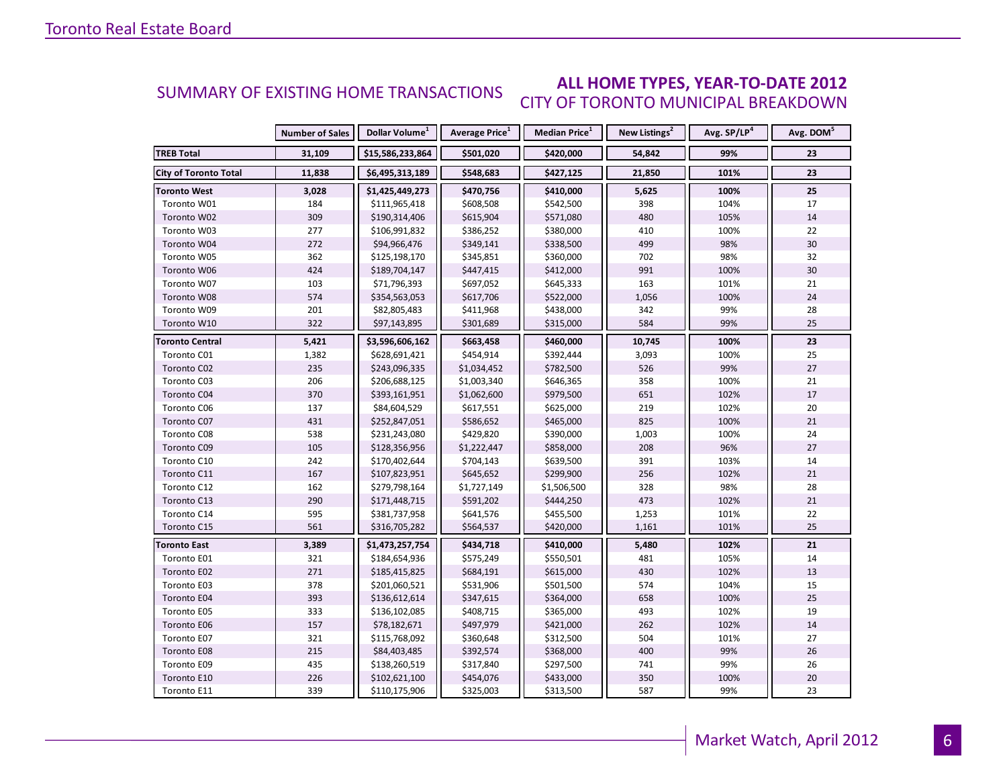#### **ALL HOME TYPES, YEAR-TO-DATE 2012** CITY OF TORONTO MUNICIPAL BREAKDOWN SUMMARY OF EXISTING HOME TRANSACTIONS

|                              | <b>Number of Sales</b> | Dollar Volume <sup>1</sup> | Average Price <sup>1</sup> | Median Price <sup>1</sup> | New Listings <sup>2</sup> | Avg. SP/LP <sup>4</sup> | Avg. DOM <sup>5</sup> |
|------------------------------|------------------------|----------------------------|----------------------------|---------------------------|---------------------------|-------------------------|-----------------------|
| <b>TREB Total</b>            | 31,109                 | \$15,586,233,864           | \$501,020                  | \$420,000                 | 54,842                    | 99%                     | 23                    |
| <b>City of Toronto Total</b> | 11,838                 | \$6,495,313,189            | \$548,683                  | \$427,125                 | 21,850                    | 101%                    | 23                    |
| <b>Toronto West</b>          | 3,028                  | \$1,425,449,273            | \$470,756                  | \$410,000                 | 5,625                     | 100%                    | 25                    |
| Toronto W01                  | 184                    | \$111,965,418              | \$608,508                  | \$542,500                 | 398                       | 104%                    | 17                    |
| Toronto W02                  | 309                    | \$190,314,406              | \$615,904                  | \$571,080                 | 480                       | 105%                    | 14                    |
| Toronto W03                  | 277                    | \$106,991,832              | \$386,252                  | \$380,000                 | 410                       | 100%                    | 22                    |
| Toronto W04                  | 272                    | \$94,966,476               | \$349,141                  | \$338,500                 | 499                       | 98%                     | 30                    |
| Toronto W05                  | 362                    | \$125,198,170              | \$345,851                  | \$360,000                 | 702                       | 98%                     | 32                    |
| Toronto W06                  | 424                    | \$189,704,147              | \$447,415                  | \$412,000                 | 991                       | 100%                    | 30                    |
| Toronto W07                  | 103                    | \$71,796,393               | \$697,052                  | \$645,333                 | 163                       | 101%                    | 21                    |
| Toronto W08                  | 574                    | \$354,563,053              | \$617,706                  | \$522,000                 | 1,056                     | 100%                    | 24                    |
| Toronto W09                  | 201                    | \$82,805,483               | \$411,968                  | \$438,000                 | 342                       | 99%                     | 28                    |
| Toronto W10                  | 322                    | \$97,143,895               | \$301,689                  | \$315,000                 | 584                       | 99%                     | 25                    |
| Toronto Central              | 5,421                  | \$3,596,606,162            | \$663,458                  | \$460,000                 | 10,745                    | 100%                    | 23                    |
| Toronto C01                  | 1,382                  | \$628,691,421              | \$454,914                  | \$392,444                 | 3,093                     | 100%                    | 25                    |
| Toronto C02                  | 235                    | \$243,096,335              | \$1,034,452                | \$782,500                 | 526                       | 99%                     | 27                    |
| Toronto C03                  | 206                    | \$206,688,125              | \$1,003,340                | \$646,365                 | 358                       | 100%                    | 21                    |
| Toronto C04                  | 370                    | \$393,161,951              | \$1,062,600                | \$979,500                 | 651                       | 102%                    | 17                    |
| Toronto C06                  | 137                    | \$84,604,529               | \$617,551                  | \$625,000                 | 219                       | 102%                    | 20                    |
| Toronto C07                  | 431                    | \$252,847,051              | \$586,652                  | \$465,000                 | 825                       | 100%                    | 21                    |
| Toronto C08                  | 538                    | \$231,243,080              | \$429,820                  | \$390,000                 | 1,003                     | 100%                    | 24                    |
| Toronto C09                  | 105                    | \$128,356,956              | \$1,222,447                | \$858,000                 | 208                       | 96%                     | 27                    |
| Toronto C10                  | 242                    | \$170,402,644              | \$704,143                  | \$639,500                 | 391                       | 103%                    | 14                    |
| Toronto C11                  | 167                    | \$107,823,951              | \$645,652                  | \$299,900                 | 256                       | 102%                    | 21                    |
| Toronto C12                  | 162                    | \$279,798,164              | \$1,727,149                | \$1,506,500               | 328                       | 98%                     | 28                    |
| Toronto C13                  | 290                    | \$171,448,715              | \$591,202                  | \$444,250                 | 473                       | 102%                    | 21                    |
| Toronto C14                  | 595                    | \$381,737,958              | \$641,576                  | \$455,500                 | 1,253                     | 101%                    | 22                    |
| Toronto C15                  | 561                    | \$316,705,282              | \$564,537                  | \$420,000                 | 1,161                     | 101%                    | 25                    |
| <b>Toronto East</b>          | 3,389                  | \$1,473,257,754            | \$434,718                  | \$410,000                 | 5,480                     | 102%                    | 21                    |
| Toronto E01                  | 321                    | \$184,654,936              | \$575,249                  | \$550,501                 | 481                       | 105%                    | 14                    |
| Toronto E02                  | 271                    | \$185,415,825              | \$684,191                  | \$615,000                 | 430                       | 102%                    | 13                    |
| Toronto E03                  | 378                    | \$201,060,521              | \$531,906                  | \$501,500                 | 574                       | 104%                    | 15                    |
| Toronto E04                  | 393                    | \$136,612,614              | \$347,615                  | \$364,000                 | 658                       | 100%                    | 25                    |
| Toronto E05                  | 333                    | \$136,102,085              | \$408,715                  | \$365,000                 | 493                       | 102%                    | 19                    |
| Toronto E06                  | 157                    | \$78,182,671               | \$497,979                  | \$421,000                 | 262                       | 102%                    | 14                    |
| Toronto E07                  | 321                    | \$115,768,092              | \$360,648                  | \$312,500                 | 504                       | 101%                    | 27                    |
| Toronto E08                  | 215                    | \$84,403,485               | \$392,574                  | \$368,000                 | 400                       | 99%                     | 26                    |
| Toronto E09                  | 435                    | \$138,260,519              | \$317,840                  | \$297,500                 | 741                       | 99%                     | 26                    |
| Toronto E10                  | 226                    | \$102,621,100              | \$454,076                  | \$433,000                 | 350                       | 100%                    | 20                    |
| Toronto E11                  | 339                    | \$110,175,906              | \$325,003                  | \$313,500                 | 587                       | 99%                     | 23                    |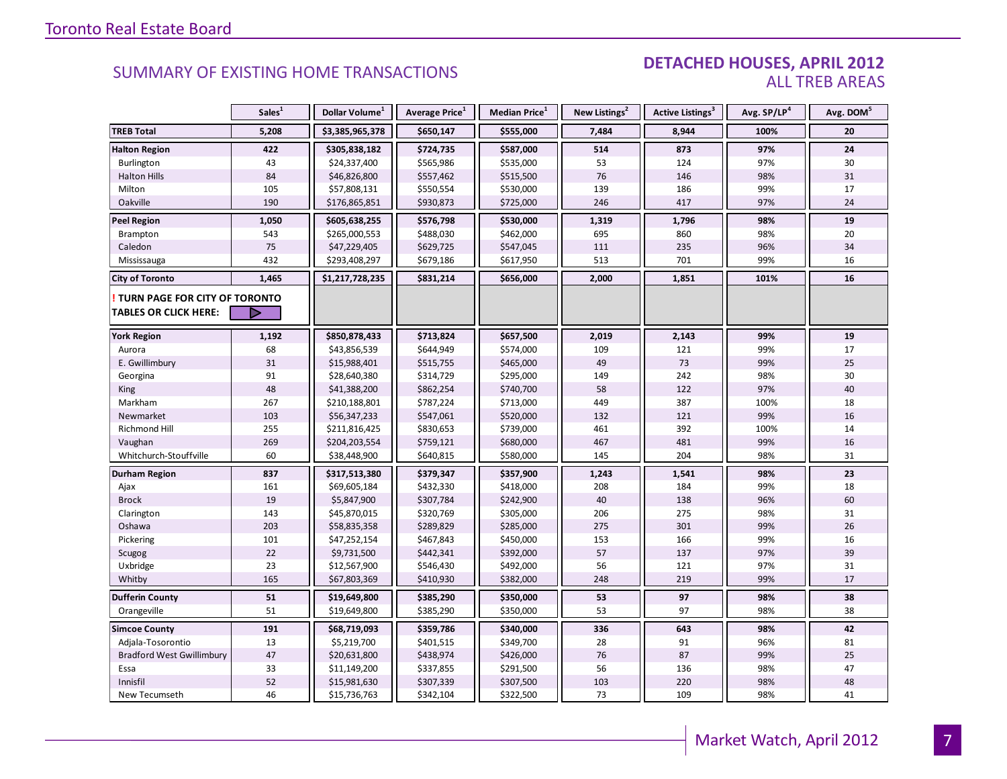#### DETACHED HOUSES, APRIL 2012 ALL TREB AREAS

|                                  | Sales <sup>1</sup> | Dollar Volume <sup>1</sup> | Average Price <sup>1</sup> | Median Price <sup>1</sup> | New Listings <sup>2</sup> | Active Listings <sup>3</sup> | Avg. SP/LP <sup>4</sup> | Avg. DOM <sup>5</sup> |
|----------------------------------|--------------------|----------------------------|----------------------------|---------------------------|---------------------------|------------------------------|-------------------------|-----------------------|
| <b>TREB Total</b>                | 5,208              | \$3,385,965,378            | \$650,147                  | \$555,000                 | 7,484                     | 8,944                        | 100%                    | 20                    |
| <b>Halton Region</b>             | 422                | \$305,838,182              | \$724,735                  | \$587,000                 | 514                       | 873                          | 97%                     | 24                    |
| <b>Burlington</b>                | 43                 | \$24,337,400               | \$565,986                  | \$535,000                 | 53                        | 124                          | 97%                     | 30                    |
| <b>Halton Hills</b>              | 84                 | \$46,826,800               | \$557,462                  | \$515,500                 | 76                        | 146                          | 98%                     | 31                    |
| Milton                           | 105                | \$57,808,131               | \$550,554                  | \$530,000                 | 139                       | 186                          | 99%                     | 17                    |
| Oakville                         | 190                | \$176,865,851              | \$930,873                  | \$725,000                 | 246                       | 417                          | 97%                     | 24                    |
| <b>Peel Region</b>               | 1,050              | \$605,638,255              | \$576,798                  | \$530,000                 | 1,319                     | 1,796                        | 98%                     | 19                    |
| Brampton                         | 543                | \$265,000,553              | \$488,030                  | \$462,000                 | 695                       | 860                          | 98%                     | 20                    |
| Caledon                          | 75                 | \$47,229,405               | \$629,725                  | \$547,045                 | 111                       | 235                          | 96%                     | 34                    |
| Mississauga                      | 432                | \$293,408,297              | \$679,186                  | \$617,950                 | 513                       | 701                          | 99%                     | 16                    |
| <b>City of Toronto</b>           | 1,465              | \$1,217,728,235            | \$831,214                  | \$656,000                 | 2,000                     | 1,851                        | 101%                    | 16                    |
| TURN PAGE FOR CITY OF TORONTO    |                    |                            |                            |                           |                           |                              |                         |                       |
| TABLES OR CLICK HERE:            | D                  |                            |                            |                           |                           |                              |                         |                       |
| <b>York Region</b>               | 1,192              | \$850,878,433              | \$713,824                  | \$657,500                 | 2,019                     | 2,143                        | 99%                     | 19                    |
| Aurora                           | 68                 | \$43,856,539               | \$644,949                  | \$574,000                 | 109                       | 121                          | 99%                     | 17                    |
| E. Gwillimbury                   | 31                 | \$15,988,401               | \$515,755                  | \$465,000                 | 49                        | 73                           | 99%                     | 25                    |
| Georgina                         | 91                 | \$28,640,380               | \$314,729                  | \$295,000                 | 149                       | 242                          | 98%                     | 30                    |
| <b>King</b>                      | 48                 | \$41,388,200               | \$862,254                  | \$740,700                 | 58                        | 122                          | 97%                     | 40                    |
| Markham                          | 267                | \$210,188,801              | \$787,224                  | \$713,000                 | 449                       | 387                          | 100%                    | 18                    |
| Newmarket                        | 103                | \$56,347,233               | \$547,061                  | \$520,000                 | 132                       | 121                          | 99%                     | 16                    |
| Richmond Hill                    | 255                | \$211,816,425              | \$830,653                  | \$739,000                 | 461                       | 392                          | 100%                    | 14                    |
| Vaughan                          | 269                | \$204,203,554              | \$759,121                  | \$680,000                 | 467                       | 481                          | 99%                     | 16                    |
| Whitchurch-Stouffville           | 60                 | \$38,448,900               | \$640,815                  | \$580,000                 | 145                       | 204                          | 98%                     | 31                    |
| Durham Region                    | 837                | \$317,513,380              | \$379,347                  | \$357,900                 | 1,243                     | 1,541                        | 98%                     | 23                    |
| Ajax                             | 161                | \$69,605,184               | \$432,330                  | \$418,000                 | 208                       | 184                          | 99%                     | 18                    |
| <b>Brock</b>                     | 19                 | \$5,847,900                | \$307,784                  | \$242,900                 | 40                        | 138                          | 96%                     | 60                    |
| Clarington                       | 143                | \$45,870,015               | \$320,769                  | \$305,000                 | 206                       | 275                          | 98%                     | 31                    |
| Oshawa                           | 203                | \$58,835,358               | \$289,829                  | \$285,000                 | 275                       | 301                          | 99%                     | 26                    |
| Pickering                        | 101                | \$47,252,154               | \$467,843                  | \$450,000                 | 153                       | 166                          | 99%                     | 16                    |
| Scugog                           | 22                 | \$9,731,500                | \$442,341                  | \$392,000                 | 57                        | 137                          | 97%                     | 39                    |
| Uxbridge                         | 23                 | \$12,567,900               | \$546,430                  | \$492,000                 | 56                        | 121                          | 97%                     | 31                    |
| Whitby                           | 165                | \$67,803,369               | \$410,930                  | \$382,000                 | 248                       | 219                          | 99%                     | 17                    |
| <b>Dufferin County</b>           | 51                 | \$19,649,800               | \$385,290                  | \$350,000                 | 53                        | 97                           | 98%                     | 38                    |
| Orangeville                      | 51                 | \$19,649,800               | \$385,290                  | \$350,000                 | 53                        | 97                           | 98%                     | 38                    |
| <b>Simcoe County</b>             | 191                | \$68,719,093               | \$359,786                  | \$340,000                 | 336                       | 643                          | 98%                     | 42                    |
| Adjala-Tosorontio                | 13                 | \$5,219,700                | \$401,515                  | \$349,700                 | 28                        | 91                           | 96%                     | 81                    |
| <b>Bradford West Gwillimbury</b> | 47                 | \$20,631,800               | \$438,974                  | \$426,000                 | 76                        | 87                           | 99%                     | 25                    |
| Essa                             | 33                 | \$11,149,200               | \$337,855                  | \$291,500                 | 56                        | 136                          | 98%                     | 47                    |
| Innisfil                         | 52                 | \$15,981,630               | \$307,339                  | \$307,500                 | 103                       | 220                          | 98%                     | 48                    |
| New Tecumseth                    | 46                 | \$15,736,763               | \$342,104                  | \$322,500                 | 73                        | 109                          | 98%                     | 41                    |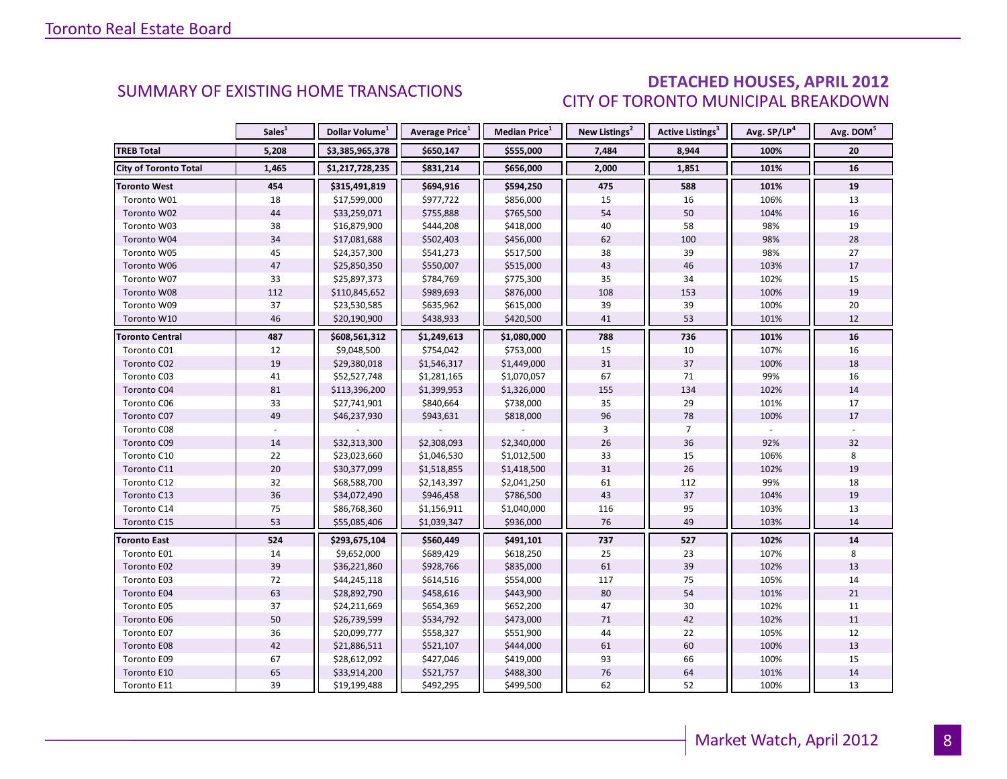### DETACHED HOUSES, APRIL 2012 CITY OF TORONTO MUNICIPAL BREAKDOWN

<span id="page-7-0"></span>

|                        | Sales <sup>1</sup> | Dollar Volume <sup>1</sup> | Average Price <sup>1</sup> | Median Price <sup>1</sup> | New Listings <sup>2</sup> | Active Listings <sup>3</sup> | Avg. SP/LP <sup>4</sup> | Avg. DOM <sup>5</sup> |
|------------------------|--------------------|----------------------------|----------------------------|---------------------------|---------------------------|------------------------------|-------------------------|-----------------------|
| <b>TREB Total</b>      | 5,208              | \$3,385,965,378            | \$650,147                  | \$555,000                 | 7,484                     | 8,944                        | 100%                    | 20                    |
| City of Toronto Total  | 1,465              | \$1,217,728,235            | \$831,214                  | \$656,000                 | 2,000                     | 1,851                        | 101%                    | 16                    |
| <b>Toronto West</b>    | 454                | \$315,491,819              | \$694,916                  | \$594,250                 | 475                       | 588                          | 101%                    | 19                    |
| Toronto W01            | 18                 | \$17,599,000               | \$977,722                  | \$856,000                 | 15                        | 16                           | 106%                    | 13                    |
| Toronto W02            | 44                 | \$33,259,071               | \$755,888                  | \$765,500                 | 54                        | 50                           | 104%                    | 16                    |
| Toronto W03            | 38                 | \$16,879,900               | \$444,208                  | \$418,000                 | 40                        | 58                           | 98%                     | 19                    |
| Toronto W04            | 34                 | \$17,081,688               | \$502,403                  | \$456,000                 | 62                        | 100                          | 98%                     | 28                    |
| Toronto W05            | 45                 | \$24,357,300               | \$541,273                  | \$517,500                 | 38                        | 39                           | 98%                     | 27                    |
| Toronto W06            | 47                 | \$25,850,350               | \$550,007                  | \$515,000                 | 43                        | 46                           | 103%                    | 17                    |
| Toronto W07            | 33                 | \$25,897,373               | \$784,769                  | \$775,300                 | 35                        | 34                           | 102%                    | 15                    |
| Toronto W08            | 112                | \$110,845,652              | \$989,693                  | \$876,000                 | 108                       | 153                          | 100%                    | 19                    |
| Toronto W09            | 37                 | \$23,530,585               | \$635,962                  | \$615,000                 | 39                        | 39                           | 100%                    | 20                    |
| Toronto W10            | 46                 | \$20,190,900               | \$438,933                  | \$420,500                 | 41                        | 53                           | 101%                    | 12                    |
| <b>Toronto Central</b> | 487                | \$608,561,312              | \$1,249,613                | \$1,080,000               | 788                       | 736                          | 101%                    | 16                    |
| Toronto C01            | 12                 | \$9,048,500                | \$754,042                  | \$753,000                 | 15                        | 10                           | 107%                    | 16                    |
| Toronto C02            | 19                 | \$29,380,018               | \$1,546,317                | \$1,449,000               | 31                        | 37                           | 100%                    | 18                    |
| Toronto C03            | 41                 | \$52,527,748               | \$1,281,165                | \$1,070,057               | 67                        | 71                           | 99%                     | 16                    |
| Toronto C04            | 81                 | \$113,396,200              | \$1,399,953                | \$1,326,000               | 155                       | 134                          | 102%                    | 14                    |
| Toronto C06            | 33                 | \$27,741,901               | \$840,664                  | \$738,000                 | 35                        | 29                           | 101%                    | 17                    |
| Toronto C07            | 49                 | \$46,237,930               | \$943,631                  | \$818,000                 | 96                        | 78                           | 100%                    | 17                    |
| Toronto C08            |                    |                            |                            |                           | $\overline{3}$            | $\overline{7}$               |                         |                       |
| Toronto C09            | 14                 | \$32,313,300               | \$2,308,093                | \$2,340,000               | 26                        | 36                           | 92%                     | 32                    |
| Toronto C10            | 22                 | \$23,023,660               | \$1,046,530                | \$1,012,500               | 33                        | 15                           | 106%                    | 8                     |
| Toronto C11            | 20                 | \$30,377,099               | \$1,518,855                | \$1,418,500               | 31                        | 26                           | 102%                    | 19                    |
| Toronto C12            | 32                 | \$68,588,700               | \$2,143,397                | \$2,041,250               | 61                        | 112                          | 99%                     | 18                    |
| Toronto C13            | 36                 | \$34,072,490               | \$946,458                  | \$786,500                 | 43                        | 37                           | 104%                    | 19                    |
| Toronto C14            | 75                 | \$86,768,360               | \$1,156,911                | \$1,040,000               | 116                       | 95                           | 103%                    | 13                    |
| Toronto C15            | 53                 | \$55,085,406               | \$1,039,347                | \$936,000                 | 76                        | 49                           | 103%                    | 14                    |
| <b>Toronto East</b>    | 524                | \$293,675,104              | \$560,449                  | \$491,101                 | 737                       | 527                          | 102%                    | 14                    |
| Toronto E01            | 14                 | \$9,652,000                | \$689,429                  | \$618,250                 | 25                        | 23                           | 107%                    | 8                     |
| Toronto E02            | 39                 | \$36,221,860               | \$928,766                  | \$835,000                 | 61                        | 39                           | 102%                    | 13                    |
| Toronto E03            | 72                 | \$44,245,118               | \$614,516                  | \$554,000                 | 117                       | 75                           | 105%                    | 14                    |
| Toronto E04            | 63                 | \$28,892,790               | \$458,616                  | \$443,900                 | 80                        | 54                           | 101%                    | 21                    |
| Toronto E05            | 37                 | \$24,211,669               | \$654,369                  | \$652,200                 | 47                        | 30                           | 102%                    | 11                    |
| Toronto E06            | 50                 | \$26,739,599               | \$534,792                  | \$473,000                 | 71                        | 42                           | 102%                    | 11                    |
| Toronto E07            | 36                 | \$20,099,777               | \$558,327                  | \$551,900                 | 44                        | 22                           | 105%                    | 12                    |
| Toronto E08            | 42                 | \$21,886,511               | \$521,107                  | \$444,000                 | 61                        | 60                           | 100%                    | 13                    |
| Toronto E09            | 67                 | \$28,612,092               | \$427,046                  | \$419,000                 | 93                        | 66                           | 100%                    | 15                    |
| Toronto E10            | 65                 | \$33,914,200               | \$521,757                  | \$488,300                 | 76                        | 64                           | 101%                    | 14                    |
| Toronto E11            | 39                 | \$19,199,488               | \$492,295                  | \$499,500                 | 62                        | 52                           | 100%                    | 13                    |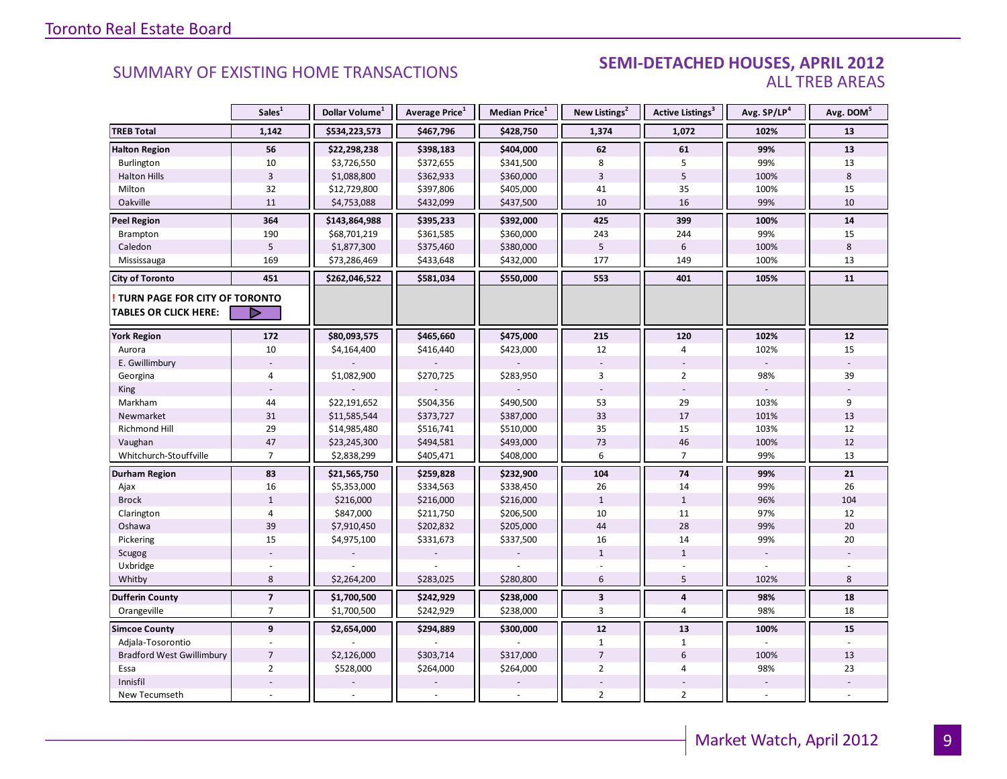#### SEMI-DETACHED HOUSES, APRIL 2012 ALL TREB AREAS

|                                                                        | Sales <sup>1</sup>       | Dollar Volume <sup>1</sup> | Average Price <sup>1</sup> | Median Price <sup>1</sup> | New Listings <sup>2</sup> | <b>Active Listings<sup>3</sup></b> | Avg. SP/LP <sup>4</sup> | Avg. DOM <sup>5</sup> |
|------------------------------------------------------------------------|--------------------------|----------------------------|----------------------------|---------------------------|---------------------------|------------------------------------|-------------------------|-----------------------|
| <b>TREB Total</b>                                                      | 1,142                    | \$534,223,573              | \$467,796                  | \$428,750                 | 1,374                     | 1,072                              | 102%                    | 13                    |
| <b>Halton Region</b>                                                   | 56                       | \$22,298,238               | \$398,183                  | \$404,000                 | 62                        | 61                                 | 99%                     | 13                    |
| <b>Burlington</b>                                                      | 10                       | \$3,726,550                | \$372,655                  | \$341,500                 | 8                         | 5                                  | 99%                     | 13                    |
| <b>Halton Hills</b>                                                    | $\overline{3}$           | \$1,088,800                | \$362,933                  | \$360,000                 | $\overline{3}$            | 5                                  | 100%                    | 8                     |
| Milton                                                                 | 32                       | \$12,729,800               | \$397,806                  | \$405,000                 | 41                        | 35                                 | 100%                    | 15                    |
| Oakville                                                               | 11                       | \$4,753,088                | \$432,099                  | \$437,500                 | 10                        | 16                                 | 99%                     | 10                    |
| <b>Peel Region</b>                                                     | 364                      | \$143,864,988              | \$395,233                  | \$392,000                 | 425                       | 399                                | 100%                    | 14                    |
| <b>Brampton</b>                                                        | 190                      | \$68,701,219               | \$361,585                  | \$360,000                 | 243                       | 244                                | 99%                     | 15                    |
| Caledon                                                                | 5                        | \$1,877,300                | \$375,460                  | \$380,000                 | 5                         | 6                                  | 100%                    | 8                     |
| Mississauga                                                            | 169                      | \$73,286,469               | \$433,648                  | \$432,000                 | 177                       | 149                                | 100%                    | 13                    |
| <b>City of Toronto</b>                                                 | 451                      | \$262,046,522              | \$581,034                  | \$550,000                 | 553                       | 401                                | 105%                    | 11                    |
| <b>! TURN PAGE FOR CITY OF TORONTO</b><br><b>TABLES OR CLICK HERE:</b> | ▷                        |                            |                            |                           |                           |                                    |                         |                       |
| <b>York Region</b>                                                     | 172                      | \$80,093,575               | \$465,660                  | \$475,000                 | 215                       | 120                                | 102%                    | 12                    |
| Aurora                                                                 | 10                       | \$4,164,400                | \$416,440                  | \$423,000                 | 12                        | 4                                  | 102%                    | 15                    |
| E. Gwillimbury                                                         |                          |                            |                            |                           |                           |                                    |                         |                       |
| Georgina                                                               | $\overline{4}$           | \$1,082,900                | \$270,725                  | \$283,950                 | 3                         | $\overline{2}$                     | 98%                     | 39                    |
| King                                                                   |                          |                            |                            |                           |                           |                                    |                         |                       |
| Markham                                                                | 44                       | \$22,191,652               | \$504,356                  | \$490,500                 | 53                        | 29                                 | 103%                    | 9                     |
| Newmarket                                                              | 31                       | \$11,585,544               | \$373,727                  | \$387,000                 | 33                        | 17                                 | 101%                    | 13                    |
| <b>Richmond Hill</b>                                                   | 29                       | \$14,985,480               | \$516,741                  | \$510,000                 | 35                        | 15                                 | 103%                    | 12                    |
| Vaughan                                                                | $47\,$                   | \$23,245,300               | \$494,581                  | \$493,000                 | 73                        | 46                                 | 100%                    | 12                    |
| Whitchurch-Stouffville                                                 | $\overline{7}$           | \$2,838,299                | \$405,471                  | \$408,000                 | 6                         | $\overline{7}$                     | 99%                     | 13                    |
| Durham Region                                                          | 83                       | \$21,565,750               | \$259,828                  | \$232,900                 | 104                       | 74                                 | 99%                     | 21                    |
| Ajax                                                                   | 16                       | \$5,353,000                | \$334,563                  | \$338,450                 | 26                        | 14                                 | 99%                     | 26                    |
| <b>Brock</b>                                                           | $\mathbf{1}$             | \$216,000                  | \$216,000                  | \$216,000                 | $\mathbf{1}$              | $\mathbf{1}$                       | 96%                     | 104                   |
| Clarington                                                             | $\overline{4}$           | \$847,000                  | \$211,750                  | \$206,500                 | 10                        | 11                                 | 97%                     | 12                    |
| Oshawa                                                                 | 39                       | \$7,910,450                | \$202,832                  | \$205,000                 | 44                        | 28                                 | 99%                     | 20                    |
| Pickering                                                              | 15                       | \$4,975,100                | \$331,673                  | \$337,500                 | 16                        | 14                                 | 99%                     | 20                    |
| Scugog                                                                 |                          |                            |                            |                           | $\mathbf{1}$              | $\mathbf{1}$                       |                         |                       |
| Uxbridge                                                               |                          |                            |                            |                           |                           |                                    |                         |                       |
| Whitby                                                                 | 8                        | \$2,264,200                | \$283,025                  | \$280,800                 | 6                         | 5                                  | 102%                    | 8                     |
| <b>Dufferin County</b>                                                 | $\overline{\phantom{a}}$ | \$1,700,500                | \$242,929                  | \$238,000                 | $\mathbf{3}$              | 4                                  | 98%                     | 18                    |
| Orangeville                                                            | $\overline{7}$           | \$1,700,500                | \$242,929                  | \$238,000                 | 3                         | $\overline{4}$                     | 98%                     | 18                    |
| <b>Simcoe County</b>                                                   | 9                        | \$2,654,000                | \$294,889                  | \$300,000                 | 12                        | 13                                 | 100%                    | 15                    |
| Adjala-Tosorontio                                                      |                          |                            |                            |                           | $\mathbf{1}$              | $\mathbf{1}$                       |                         |                       |
| <b>Bradford West Gwillimbury</b>                                       | $\overline{7}$           | \$2,126,000                | \$303,714                  | \$317,000                 | $\overline{7}$            | $6\overline{6}$                    | 100%                    | 13                    |
| Essa                                                                   | $\overline{2}$           | \$528,000                  | \$264,000                  | \$264,000                 | $\overline{2}$            | 4                                  | 98%                     | 23                    |
| Innisfil                                                               |                          |                            |                            |                           |                           |                                    |                         |                       |
| New Tecumseth                                                          |                          |                            |                            |                           | $\overline{2}$            | $\overline{2}$                     |                         |                       |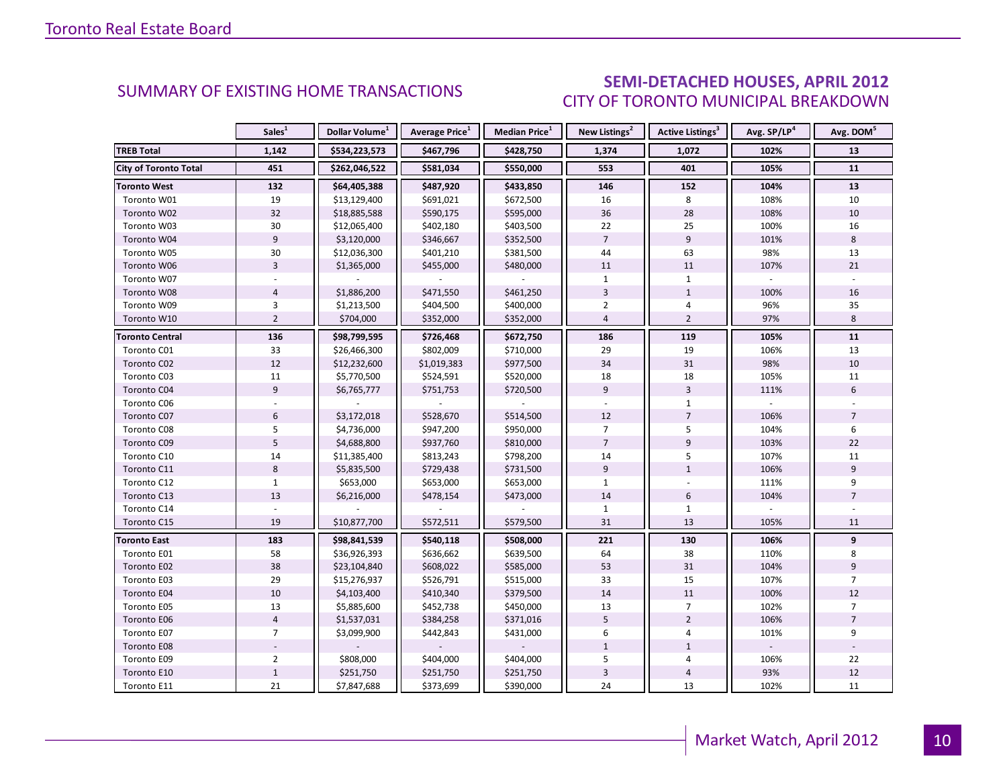### SEMI-DETACHED HOUSES, APRIL 2012 CITY OF TORONTO MUNICIPAL BREAKDOWN

<span id="page-9-0"></span>

|                        | Sales <sup>1</sup> | Dollar Volume <sup>1</sup> | Average Price <sup>1</sup> | Median Price <sup>1</sup> | New Listings <sup>2</sup> | Active Listings <sup>3</sup> | Avg. SP/LP <sup>4</sup> | Avg. DOM <sup>5</sup> |
|------------------------|--------------------|----------------------------|----------------------------|---------------------------|---------------------------|------------------------------|-------------------------|-----------------------|
| <b>TREB Total</b>      | 1,142              | \$534,223,573              | \$467,796                  | \$428,750                 | 1,374                     | 1,072                        | 102%                    | 13                    |
| City of Toronto Total  | 451                | \$262,046,522              | \$581,034                  | \$550,000                 | 553                       | 401                          | 105%                    | 11                    |
| <b>Toronto West</b>    | 132                | \$64,405,388               | \$487,920                  | \$433,850                 | 146                       | 152                          | 104%                    | 13                    |
| Toronto W01            | 19                 | \$13,129,400               | \$691,021                  | \$672,500                 | 16                        | 8                            | 108%                    | 10                    |
| Toronto W02            | 32                 | \$18,885,588               | \$590,175                  | \$595,000                 | 36                        | 28                           | 108%                    | 10                    |
| Toronto W03            | 30                 | \$12,065,400               | \$402,180                  | \$403,500                 | 22                        | 25                           | 100%                    | 16                    |
| Toronto W04            | $\overline{9}$     | \$3,120,000                | \$346,667                  | \$352,500                 | $\overline{7}$            | 9                            | 101%                    | 8                     |
| Toronto W05            | 30                 | \$12,036,300               | \$401,210                  | \$381,500                 | 44                        | 63                           | 98%                     | 13                    |
| Toronto W06            | $\overline{3}$     | \$1,365,000                | \$455,000                  | \$480,000                 | 11                        | 11                           | 107%                    | 21                    |
| Toronto W07            |                    |                            |                            |                           | $\mathbf{1}$              | $\mathbf{1}$                 |                         |                       |
| Toronto W08            | $\overline{4}$     | \$1,886,200                | \$471,550                  | \$461,250                 | $\overline{3}$            | $\mathbf{1}$                 | 100%                    | $16\,$                |
| Toronto W09            | $\overline{3}$     | \$1,213,500                | \$404,500                  | \$400,000                 | $\overline{2}$            | 4                            | 96%                     | 35                    |
| Toronto W10            | $\overline{2}$     | \$704,000                  | \$352,000                  | \$352,000                 | $\overline{4}$            | $\overline{2}$               | 97%                     | 8                     |
| <b>Toronto Central</b> | 136                | \$98,799,595               | \$726,468                  | \$672,750                 | 186                       | 119                          | 105%                    | 11                    |
| Toronto C01            | 33                 | \$26,466,300               | \$802,009                  | \$710,000                 | 29                        | 19                           | 106%                    | 13                    |
| Toronto C02            | 12                 | \$12,232,600               | \$1,019,383                | \$977,500                 | 34                        | 31                           | 98%                     | 10                    |
| Toronto C03            | 11                 | \$5,770,500                | \$524,591                  | \$520,000                 | 18                        | 18                           | 105%                    | 11                    |
| Toronto C04            | 9                  | \$6,765,777                | \$751,753                  | \$720,500                 | 9                         | $\overline{3}$               | 111%                    | 6                     |
| Toronto C06            |                    |                            |                            |                           |                           | $\mathbf{1}$                 |                         |                       |
| Toronto C07            | 6                  | \$3,172,018                | \$528,670                  | \$514,500                 | 12                        | $\overline{7}$               | 106%                    | $\overline{7}$        |
| Toronto C08            | 5                  | \$4,736,000                | \$947,200                  | \$950,000                 | $\overline{7}$            | 5                            | 104%                    | 6                     |
| Toronto C09            | $\overline{5}$     | \$4,688,800                | \$937,760                  | \$810,000                 | $\overline{7}$            | $\overline{9}$               | 103%                    | 22                    |
| Toronto C10            | 14                 | \$11,385,400               | \$813,243                  | \$798,200                 | 14                        | 5                            | 107%                    | 11                    |
| Toronto C11            | 8                  | \$5,835,500                | \$729,438                  | \$731,500                 | 9                         | $\mathbf{1}$                 | 106%                    | 9                     |
| Toronto C12            | $\mathbf{1}$       | \$653,000                  | \$653,000                  | \$653,000                 | $\mathbf{1}$              |                              | 111%                    | 9                     |
| Toronto C13            | 13                 | \$6,216,000                | \$478,154                  | \$473,000                 | 14                        | 6                            | 104%                    | $\overline{7}$        |
| Toronto C14            | $\overline{a}$     |                            |                            |                           | $\mathbf{1}$              | $\mathbf{1}$                 |                         |                       |
| Toronto C15            | 19                 | \$10,877,700               | \$572,511                  | \$579,500                 | 31                        | 13                           | 105%                    | 11                    |
| <b>Toronto East</b>    | 183                | \$98,841,539               | \$540,118                  | \$508,000                 | 221                       | 130                          | 106%                    | 9                     |
| Toronto E01            | 58                 | \$36,926,393               | \$636,662                  | \$639,500                 | 64                        | 38                           | 110%                    | 8                     |
| Toronto E02            | 38                 | \$23,104,840               | \$608,022                  | \$585,000                 | 53                        | 31                           | 104%                    | 9                     |
| Toronto E03            | 29                 | \$15,276,937               | \$526,791                  | \$515,000                 | 33                        | 15                           | 107%                    | $\overline{7}$        |
| Toronto E04            | 10                 | \$4,103,400                | \$410,340                  | \$379,500                 | 14                        | 11                           | 100%                    | 12                    |
| Toronto E05            | 13                 | \$5,885,600                | \$452,738                  | \$450,000                 | 13                        | 7                            | 102%                    | $\overline{7}$        |
| Toronto E06            | $\overline{4}$     | \$1,537,031                | \$384,258                  | \$371,016                 | 5                         | $\overline{2}$               | 106%                    | $\overline{7}$        |
| Toronto E07            | $\overline{7}$     | \$3,099,900                | \$442,843                  | \$431,000                 | 6                         | 4                            | 101%                    | 9                     |
| Toronto E08            |                    |                            |                            |                           | $\mathbf{1}$              | $\mathbf{1}$                 |                         |                       |
| Toronto E09            | $\overline{2}$     | \$808,000                  | \$404,000                  | \$404,000                 | 5                         | 4                            | 106%                    | 22                    |
| Toronto E10            | $\mathbf 1$        | \$251,750                  | \$251,750                  | \$251,750                 | $\overline{3}$            | $\overline{\mathbf{4}}$      | 93%                     | 12                    |
| Toronto E11            | 21                 | \$7,847,688                | \$373,699                  | \$390,000                 | 24                        | 13                           | 102%                    | 11                    |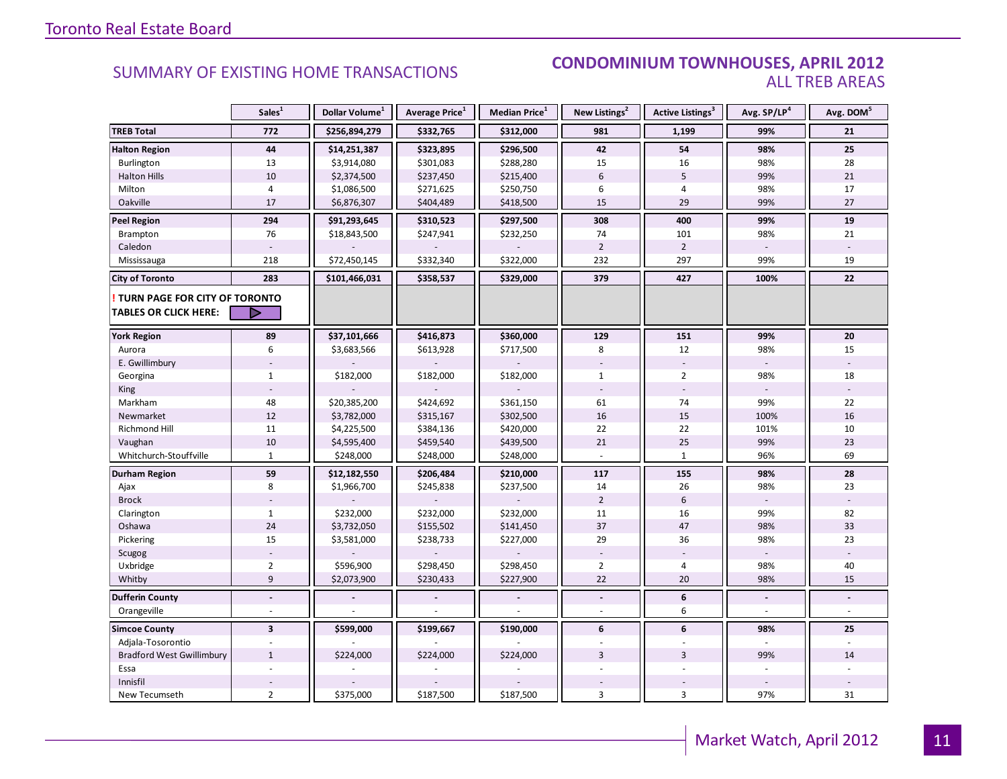#### SUMMARY OF EXISTING HOME TRANSACTIONS **CONDOMINIUM TOWNHOUSES, APRIL 2012** ALL TREB AREAS

|                                                               | Sales <sup>1</sup>      | Dollar Volume <sup>1</sup> | Average Price <sup>1</sup> | Median Price <sup>1</sup> | New Listings <sup>2</sup> | Active Listings <sup>3</sup> | Avg. SP/LP <sup>4</sup> | Avg. DOM <sup>5</sup> |
|---------------------------------------------------------------|-------------------------|----------------------------|----------------------------|---------------------------|---------------------------|------------------------------|-------------------------|-----------------------|
| <b>TREB Total</b>                                             | 772                     | \$256,894,279              | \$332,765                  | \$312,000                 | 981                       | 1,199                        | 99%                     | 21                    |
| <b>Halton Region</b>                                          | 44                      | \$14,251,387               | \$323,895                  | \$296,500                 | 42                        | 54                           | 98%                     | 25                    |
| <b>Burlington</b>                                             | 13                      | \$3,914,080                | \$301,083                  | \$288,280                 | 15                        | 16                           | 98%                     | 28                    |
| <b>Halton Hills</b>                                           | 10                      | \$2,374,500                | \$237,450                  | \$215,400                 | $6\phantom{.}6$           | 5                            | 99%                     | 21                    |
| Milton                                                        | $\overline{4}$          | \$1,086,500                | \$271,625                  | \$250,750                 | 6                         | $\overline{4}$               | 98%                     | 17                    |
| Oakville                                                      | 17                      | \$6,876,307                | \$404,489                  | \$418,500                 | 15                        | 29                           | 99%                     | 27                    |
| <b>Peel Region</b>                                            | 294                     | \$91,293,645               | \$310,523                  | \$297,500                 | 308                       | 400                          | 99%                     | 19                    |
| <b>Brampton</b>                                               | 76                      | \$18,843,500               | \$247,941                  | \$232,250                 | 74                        | 101                          | 98%                     | 21                    |
| Caledon                                                       |                         |                            |                            |                           | $\overline{2}$            | $\overline{2}$               |                         |                       |
| Mississauga                                                   | 218                     | \$72,450,145               | \$332,340                  | \$322,000                 | 232                       | 297                          | 99%                     | 19                    |
| <b>City of Toronto</b>                                        | 283                     | \$101,466,031              | \$358,537                  | \$329,000                 | 379                       | 427                          | 100%                    | 22                    |
| TURN PAGE FOR CITY OF TORONTO<br><b>TABLES OR CLICK HERE:</b> | ▷                       |                            |                            |                           |                           |                              |                         |                       |
| <b>York Region</b>                                            | 89                      | \$37,101,666               | \$416,873                  | \$360,000                 | 129                       | 151                          | 99%                     | 20                    |
| Aurora                                                        | 6                       | \$3,683,566                | \$613,928                  | \$717,500                 | 8                         | 12                           | 98%                     | 15                    |
| E. Gwillimbury                                                |                         |                            |                            |                           |                           |                              |                         |                       |
| Georgina                                                      | $\mathbf{1}$            | \$182,000                  | \$182,000                  | \$182,000                 | $\mathbf{1}$              | $\overline{2}$               | 98%                     | 18                    |
| King                                                          |                         |                            |                            |                           |                           |                              |                         |                       |
| Markham                                                       | 48                      | \$20,385,200               | \$424,692                  | \$361,150                 | 61                        | 74                           | 99%                     | 22                    |
| Newmarket                                                     | 12                      | \$3,782,000                | \$315,167                  | \$302,500                 | 16                        | 15                           | 100%                    | 16                    |
| Richmond Hill                                                 | 11                      | \$4,225,500                | \$384,136                  | \$420,000                 | 22                        | 22                           | 101%                    | 10                    |
| Vaughan                                                       | 10                      | \$4,595,400                | \$459,540                  | \$439,500                 | 21                        | 25                           | 99%                     | 23                    |
| Whitchurch-Stouffville                                        | $\mathbf{1}$            | \$248,000                  | \$248,000                  | \$248,000                 |                           | $\mathbf{1}$                 | 96%                     | 69                    |
| Durham Region                                                 | 59                      | \$12,182,550               | \$206,484                  | \$210,000                 | 117                       | 155                          | 98%                     | 28                    |
| Ajax                                                          | 8                       | \$1,966,700                | \$245,838                  | \$237,500                 | 14                        | 26                           | 98%                     | 23                    |
| <b>Brock</b>                                                  |                         |                            |                            |                           | $\overline{2}$            | $6\,$                        |                         |                       |
| Clarington                                                    | $\mathbf{1}$            | \$232,000                  | \$232,000                  | \$232,000                 | 11                        | 16                           | 99%                     | 82                    |
| Oshawa                                                        | 24                      | \$3,732,050                | \$155,502                  | \$141,450                 | 37                        | 47                           | 98%                     | 33                    |
| Pickering                                                     | 15                      | \$3,581,000                | \$238,733                  | \$227,000                 | 29                        | 36                           | 98%                     | 23                    |
| Scugog                                                        |                         |                            |                            |                           |                           |                              |                         |                       |
| Uxbridge                                                      | $\overline{2}$          | \$596,900                  | \$298,450                  | \$298,450                 | $\overline{2}$            | $\overline{4}$               | 98%                     | 40                    |
| Whitby                                                        | $\overline{9}$          | \$2,073,900                | \$230,433                  | \$227,900                 | 22                        | 20                           | 98%                     | 15                    |
| <b>Dufferin County</b>                                        | $\overline{a}$          |                            |                            |                           | $\overline{a}$            | 6                            |                         |                       |
| Orangeville                                                   |                         |                            |                            |                           |                           | 6                            |                         |                       |
| <b>Simcoe County</b>                                          | $\overline{\mathbf{3}}$ | \$599,000                  | \$199,667                  | \$190,000                 | 6                         | 6                            | 98%                     | 25                    |
| Adjala-Tosorontio                                             |                         |                            |                            |                           |                           |                              |                         |                       |
| <b>Bradford West Gwillimbury</b>                              | $\mathbf{1}$            | \$224,000                  | \$224,000                  | \$224,000                 | $\overline{3}$            | $\overline{3}$               | 99%                     | 14                    |
| Essa                                                          |                         |                            |                            |                           |                           |                              |                         |                       |
| Innisfil                                                      |                         |                            |                            |                           |                           |                              |                         |                       |
| New Tecumseth                                                 | $\overline{2}$          | \$375,000                  | \$187,500                  | \$187,500                 | 3                         | 3                            | 97%                     | 31                    |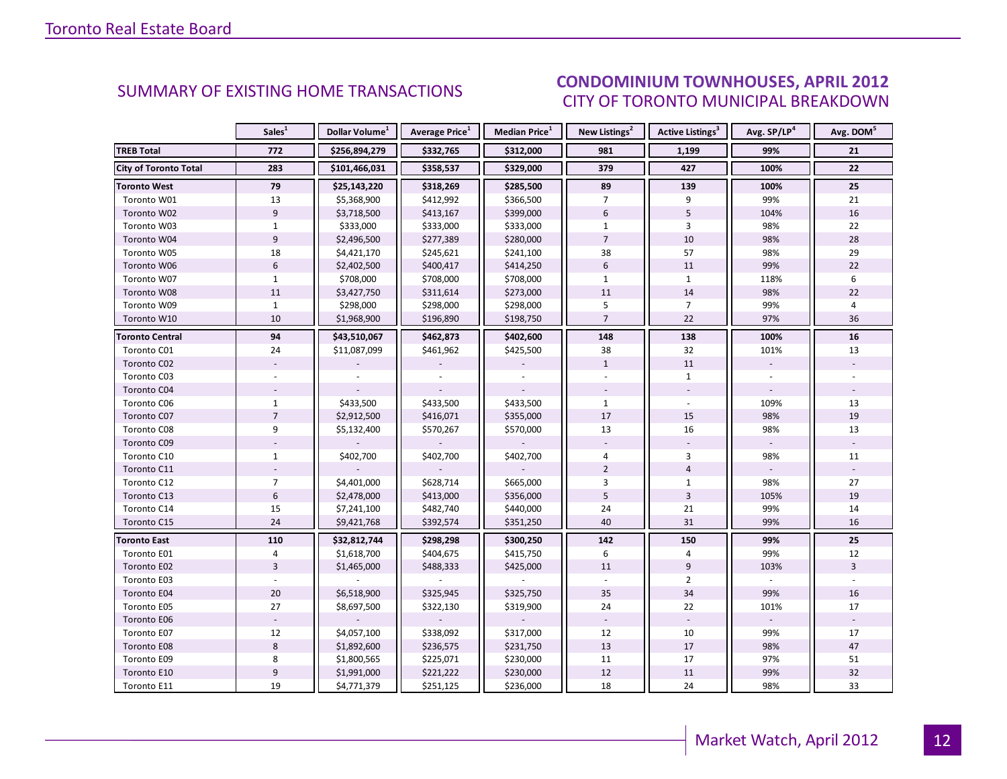#### CONDOMINIUM TOWNHOUSES, APRIL 2012 CITY OF TORONTO MUNICIPAL BREAKDOWN

<span id="page-11-0"></span>

|                              | Sales <sup>1</sup> | Dollar Volume <sup>1</sup> | <b>Average Price</b> <sup>1</sup> | Median Price <sup>1</sup> | New Listings <sup>2</sup> | <b>Active Listings<sup>3</sup></b> | Avg. SP/LP <sup>4</sup> | Avg. DOM <sup>5</sup> |
|------------------------------|--------------------|----------------------------|-----------------------------------|---------------------------|---------------------------|------------------------------------|-------------------------|-----------------------|
| <b>TREB Total</b>            | 772                | \$256,894,279              | \$332,765                         | \$312,000                 | 981                       | 1,199                              | 99%                     | 21                    |
| <b>City of Toronto Total</b> | 283                | \$101,466,031              | \$358,537                         | \$329,000                 | 379                       | 427                                | 100%                    | 22                    |
| <b>Toronto West</b>          | 79                 | \$25,143,220               | \$318,269                         | \$285,500                 | 89                        | 139                                | 100%                    | 25                    |
| Toronto W01                  | 13                 | \$5,368,900                | \$412,992                         | \$366,500                 | $\overline{7}$            | 9                                  | 99%                     | 21                    |
| Toronto W02                  | $\overline{9}$     | \$3,718,500                | \$413,167                         | \$399,000                 | $6\,$                     | 5                                  | 104%                    | 16                    |
| Toronto W03                  | $\mathbf{1}$       | \$333,000                  | \$333,000                         | \$333,000                 | $\mathbf{1}$              | 3                                  | 98%                     | 22                    |
| Toronto W04                  | 9                  | \$2,496,500                | \$277,389                         | \$280,000                 | $\overline{7}$            | 10                                 | 98%                     | 28                    |
| Toronto W05                  | 18                 | \$4,421,170                | \$245,621                         | \$241,100                 | 38                        | 57                                 | 98%                     | 29                    |
| Toronto W06                  | $6\,$              | \$2,402,500                | \$400,417                         | \$414,250                 | $6\,$                     | 11                                 | 99%                     | 22                    |
| Toronto W07                  | $\mathbf{1}$       | \$708,000                  | \$708,000                         | \$708,000                 | $\mathbf{1}$              | $\mathbf{1}$                       | 118%                    | 6                     |
| Toronto W08                  | $11\,$             | \$3,427,750                | \$311,614                         | \$273,000                 | 11                        | 14                                 | 98%                     | 22                    |
| Toronto W09                  | $\mathbf{1}$       | \$298,000                  | \$298,000                         | \$298,000                 | 5                         | $\overline{7}$                     | 99%                     | 4                     |
| Toronto W10                  | 10                 | \$1,968,900                | \$196,890                         | \$198,750                 | $\overline{7}$            | 22                                 | 97%                     | 36                    |
| <b>Toronto Central</b>       | 94                 | \$43,510,067               | \$462,873                         | \$402,600                 | 148                       | 138                                | 100%                    | 16                    |
| Toronto C01                  | 24                 | \$11,087,099               | \$461,962                         | \$425,500                 | 38                        | 32                                 | 101%                    | 13                    |
| Toronto C02                  |                    |                            |                                   |                           | $\mathbf{1}$              | 11                                 |                         |                       |
| Toronto C03                  |                    |                            |                                   |                           |                           | $\mathbf{1}$                       |                         |                       |
| Toronto C04                  |                    |                            |                                   |                           |                           |                                    |                         |                       |
| Toronto C06                  | $\mathbf{1}$       | \$433,500                  | \$433,500                         | \$433,500                 | $\mathbf{1}$              |                                    | 109%                    | 13                    |
| Toronto C07                  | $\overline{7}$     | \$2,912,500                | \$416,071                         | \$355,000                 | 17                        | 15                                 | 98%                     | 19                    |
| Toronto C08                  | 9                  | \$5,132,400                | \$570,267                         | \$570,000                 | 13                        | 16                                 | 98%                     | 13                    |
| Toronto C09                  |                    |                            |                                   |                           |                           |                                    |                         |                       |
| Toronto C10                  | $\mathbf{1}$       | \$402,700                  | \$402,700                         | \$402,700                 | 4                         | $\overline{3}$                     | 98%                     | 11                    |
| Toronto C11                  |                    |                            |                                   |                           | $\overline{2}$            | $\overline{4}$                     |                         |                       |
| Toronto C12                  | $\overline{7}$     | \$4,401,000                | \$628,714                         | \$665,000                 | 3                         | $\mathbf{1}$                       | 98%                     | 27                    |
| Toronto C13                  | $\boldsymbol{6}$   | \$2,478,000                | \$413,000                         | \$356,000                 | 5                         | $\overline{\mathbf{3}}$            | 105%                    | 19                    |
| Toronto C14                  | 15                 | \$7,241,100                | \$482,740                         | \$440,000                 | 24                        | 21                                 | 99%                     | 14                    |
| Toronto C15                  | 24                 | \$9,421,768                | \$392,574                         | \$351,250                 | 40                        | 31                                 | 99%                     | 16                    |
| <b>Toronto East</b>          | 110                | \$32,812,744               | \$298,298                         | \$300,250                 | 142                       | 150                                | 99%                     | 25                    |
| Toronto E01                  | 4                  | \$1,618,700                | \$404,675                         | \$415,750                 | 6                         | 4                                  | 99%                     | 12                    |
| Toronto E02                  | $\overline{3}$     | \$1,465,000                | \$488,333                         | \$425,000                 | 11                        | 9                                  | 103%                    | $\overline{3}$        |
| Toronto E03                  |                    |                            |                                   |                           |                           | $\overline{2}$                     |                         |                       |
| Toronto E04                  | 20                 | \$6,518,900                | \$325,945                         | \$325,750                 | 35                        | 34                                 | 99%                     | 16                    |
| Toronto E05                  | 27                 | \$8,697,500                | \$322,130                         | \$319,900                 | 24                        | 22                                 | 101%                    | 17                    |
| Toronto E06                  |                    |                            |                                   |                           |                           |                                    |                         |                       |
| Toronto E07                  | 12                 | \$4,057,100                | \$338,092                         | \$317,000                 | 12                        | 10                                 | 99%                     | 17                    |
| Toronto E08                  | $\,8\,$            | \$1,892,600                | \$236,575                         | \$231,750                 | 13                        | 17                                 | 98%                     | 47                    |
| Toronto E09                  | 8                  | \$1,800,565                | \$225,071                         | \$230,000                 | 11                        | 17                                 | 97%                     | 51                    |
| Toronto E10                  | $\overline{9}$     | \$1,991,000                | \$221,222                         | \$230,000                 | 12                        | 11                                 | 99%                     | 32                    |
| Toronto E11                  | 19                 | \$4,771,379                | \$251,125                         | \$236,000                 | 18                        | 24                                 | 98%                     | 33                    |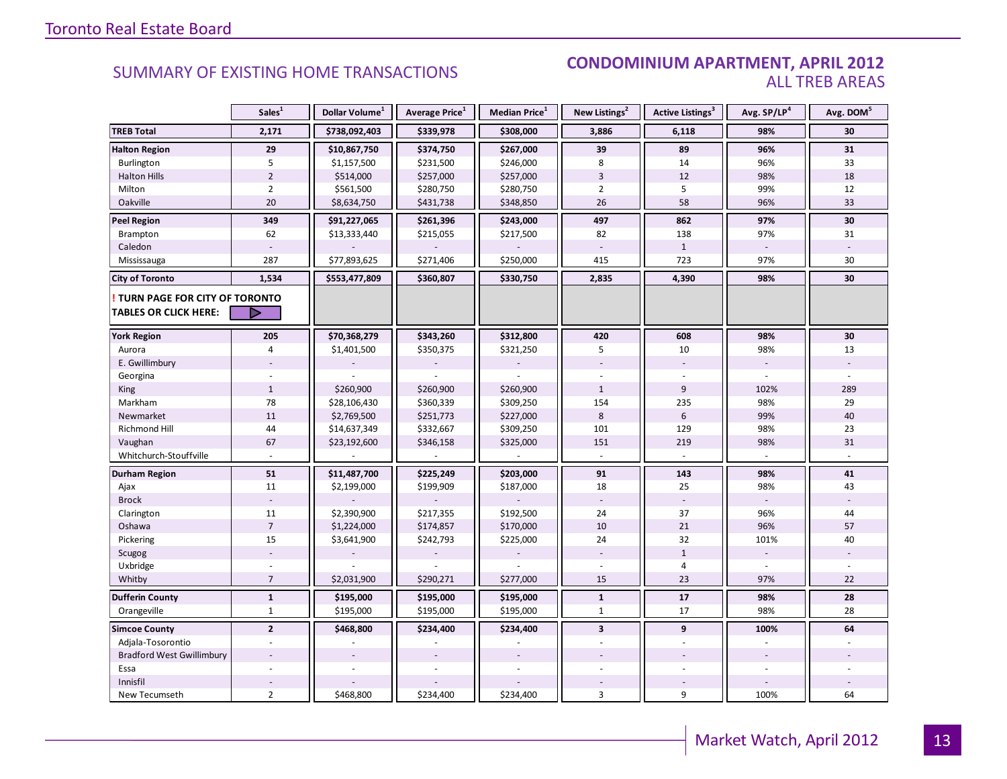#### **Industrial Leasing SUMMARY OF EXISTING HOME TRANSACTIONS CONDOMINIUM APARTMENT, APRIL 2012** ALL TREB AREAS

|                                  | Sales <sup>1</sup> | Dollar Volume <sup>1</sup> | Average Price <sup>1</sup> | Median Price <sup>1</sup> | New Listings <sup>2</sup> | Active Listings <sup>3</sup> | Avg. SP/LP <sup>4</sup>  | Avg. DOM <sup>5</sup> |
|----------------------------------|--------------------|----------------------------|----------------------------|---------------------------|---------------------------|------------------------------|--------------------------|-----------------------|
| <b>TREB Total</b>                | 2,171              | \$738,092,403              | \$339,978                  | \$308,000                 | 3,886                     | 6,118                        | 98%                      | 30                    |
| <b>Halton Region</b>             | 29                 | \$10,867,750               | \$374,750                  | \$267,000                 | 39                        | 89                           | 96%                      | 31                    |
| Burlington                       | 5                  | \$1,157,500                | \$231,500                  | \$246,000                 | 8                         | 14                           | 96%                      | 33                    |
| <b>Halton Hills</b>              | $\overline{2}$     | \$514,000                  | \$257,000                  | \$257,000                 | 3                         | 12                           | 98%                      | 18                    |
| Milton                           | $\overline{2}$     | \$561,500                  | \$280,750                  | \$280,750                 | $\overline{2}$            | 5                            | 99%                      | 12                    |
| Oakville                         | 20                 | \$8,634,750                | \$431,738                  | \$348,850                 | 26                        | 58                           | 96%                      | 33                    |
| <b>Peel Region</b>               | 349                | \$91,227,065               | \$261,396                  | \$243,000                 | 497                       | 862                          | 97%                      | 30                    |
| Brampton                         | 62                 | \$13,333,440               | \$215,055                  | \$217,500                 | 82                        | 138                          | 97%                      | 31                    |
| Caledon                          |                    |                            |                            |                           |                           | $\mathbf{1}$                 |                          |                       |
| Mississauga                      | 287                | \$77,893,625               | \$271,406                  | \$250,000                 | 415                       | 723                          | 97%                      | 30                    |
| <b>City of Toronto</b>           | 1,534              | \$553,477,809              | \$360,807                  | \$330,750                 | 2,835                     | 4,390                        | 98%                      | 30                    |
| TURN PAGE FOR CITY OF TORONTO    |                    |                            |                            |                           |                           |                              |                          |                       |
| TABLES OR CLICK HERE:            | D                  |                            |                            |                           |                           |                              |                          |                       |
| <b>York Region</b>               | 205                | \$70,368,279               | \$343,260                  | \$312,800                 | 420                       | 608                          | 98%                      | 30                    |
| Aurora                           | 4                  | \$1,401,500                | \$350,375                  | \$321,250                 | 5                         | 10                           | 98%                      | 13                    |
| E. Gwillimbury                   |                    |                            |                            |                           |                           |                              | $\overline{\phantom{a}}$ |                       |
| Georgina                         |                    |                            |                            |                           |                           |                              |                          |                       |
| King                             | $\mathbf{1}$       | \$260,900                  | \$260,900                  | \$260,900                 | $\mathbf{1}$              | 9                            | 102%                     | 289                   |
| Markham                          | 78                 | \$28,106,430               | \$360,339                  | \$309,250                 | 154                       | 235                          | 98%                      | 29                    |
| Newmarket                        | 11                 | \$2,769,500                | \$251,773                  | \$227,000                 | 8                         | $6\phantom{a}$               | 99%                      | 40                    |
| Richmond Hill                    | 44                 | \$14,637,349               | \$332,667                  | \$309,250                 | 101                       | 129                          | 98%                      | 23                    |
| Vaughan                          | 67                 | \$23,192,600               | \$346,158                  | \$325,000                 | 151                       | 219                          | 98%                      | 31                    |
| Whitchurch-Stouffville           |                    |                            |                            |                           | $\overline{a}$            | $\sim$                       |                          |                       |
| Durham Region                    | 51                 | \$11,487,700               | \$225,249                  | \$203,000                 | 91                        | 143                          | 98%                      | 41                    |
| Ajax                             | 11                 | \$2,199,000                | \$199,909                  | \$187,000                 | 18                        | 25                           | 98%                      | 43                    |
| <b>Brock</b>                     |                    |                            |                            |                           |                           |                              |                          |                       |
| Clarington                       | 11                 | \$2,390,900                | \$217,355                  | \$192,500                 | 24                        | 37                           | 96%                      | 44                    |
| Oshawa                           | $\overline{7}$     | \$1,224,000                | \$174,857                  | \$170,000                 | 10                        | 21                           | 96%                      | 57                    |
| Pickering                        | 15                 | \$3,641,900                | \$242,793                  | \$225,000                 | 24                        | 32                           | 101%                     | 40                    |
| Scugog                           |                    |                            |                            |                           |                           | $\mathbf{1}$                 |                          |                       |
| Uxbridge                         |                    |                            |                            |                           |                           | $\overline{4}$               |                          |                       |
| Whitby                           | $\overline{7}$     | \$2,031,900                | \$290,271                  | \$277,000                 | 15                        | 23                           | 97%                      | 22                    |
| <b>Dufferin County</b>           | $\mathbf{1}$       | \$195,000                  | \$195,000                  | \$195,000                 | $\mathbf{1}$              | 17                           | 98%                      | 28                    |
| Orangeville                      | $\mathbf{1}$       | \$195,000                  | \$195,000                  | \$195,000                 | $\mathbf{1}$              | 17                           | 98%                      | 28                    |
| <b>Simcoe County</b>             | $\overline{2}$     | \$468,800                  | \$234,400                  | \$234,400                 | $\overline{\mathbf{3}}$   | 9                            | 100%                     | 64                    |
| Adjala-Tosorontio                |                    |                            |                            |                           |                           |                              |                          |                       |
| <b>Bradford West Gwillimbury</b> |                    |                            |                            |                           |                           |                              |                          |                       |
| Essa                             |                    |                            |                            |                           |                           |                              |                          |                       |
| Innisfil                         |                    |                            |                            |                           |                           |                              |                          |                       |
| New Tecumseth                    | $\overline{2}$     | \$468,800                  | \$234,400                  | \$234,400                 | 3                         | 9                            | 100%                     | 64                    |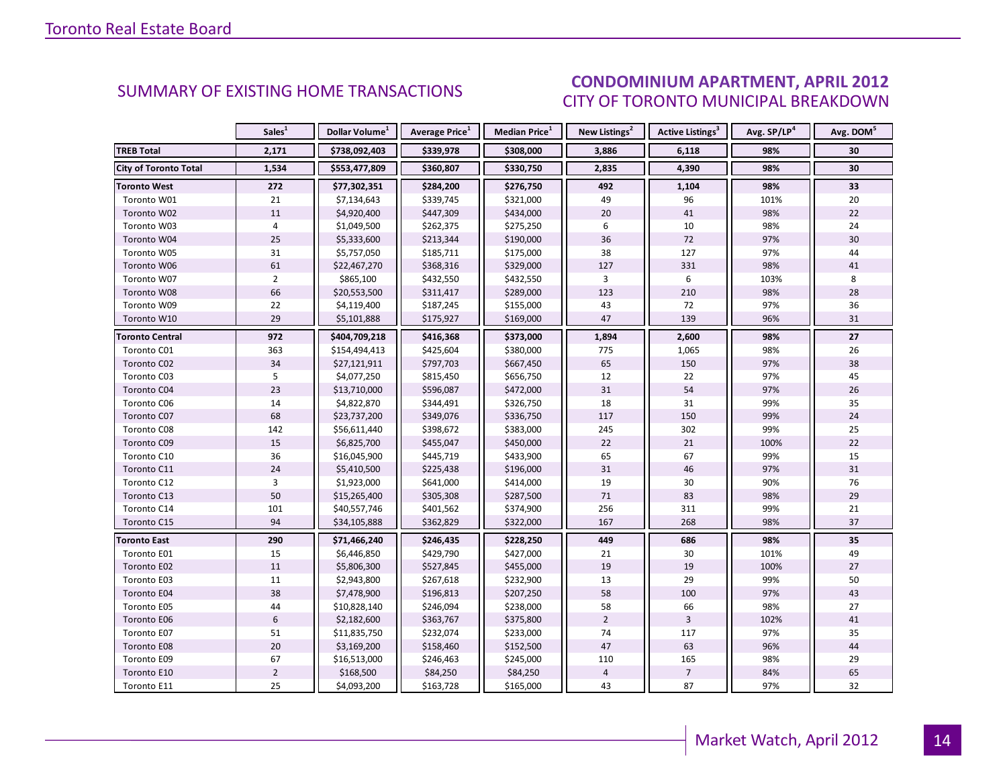#### CONDOMINIUM APARTMENT, APRIL 2012 CITY OF TORONTO MUNICIPAL BREAKDOWN

<span id="page-13-0"></span>

|                        | Sales <sup>1</sup> | Dollar Volume <sup>1</sup> | Average Price <sup>1</sup> | Median Price <sup>1</sup> | New Listings <sup>2</sup> | Active Listings <sup>3</sup> | Avg. SP/LP <sup>4</sup> | Avg. DOM <sup>5</sup> |
|------------------------|--------------------|----------------------------|----------------------------|---------------------------|---------------------------|------------------------------|-------------------------|-----------------------|
| <b>TREB Total</b>      | 2,171              | \$738,092,403              | \$339,978                  | \$308,000                 | 3,886                     | 6,118                        | 98%                     | 30                    |
| City of Toronto Total  | 1,534              | \$553,477,809              | \$360,807                  | \$330,750                 | 2,835                     | 4,390                        | 98%                     | 30                    |
| <b>Toronto West</b>    | 272                | \$77,302,351               | \$284,200                  | \$276,750                 | 492                       | 1,104                        | 98%                     | 33                    |
| Toronto W01            | 21                 | \$7,134,643                | \$339,745                  | \$321,000                 | 49                        | 96                           | 101%                    | 20                    |
| Toronto W02            | 11                 | \$4,920,400                | \$447,309                  | \$434,000                 | 20                        | 41                           | 98%                     | 22                    |
| Toronto W03            | 4                  | \$1,049,500                | \$262,375                  | \$275,250                 | 6                         | 10                           | 98%                     | 24                    |
| Toronto W04            | 25                 | \$5,333,600                | \$213,344                  | \$190,000                 | 36                        | 72                           | 97%                     | 30                    |
| Toronto W05            | 31                 | \$5,757,050                | \$185,711                  | \$175,000                 | 38                        | 127                          | 97%                     | 44                    |
| Toronto W06            | 61                 | \$22,467,270               | \$368,316                  | \$329,000                 | 127                       | 331                          | 98%                     | 41                    |
| Toronto W07            | $\overline{2}$     | \$865,100                  | \$432,550                  | \$432,550                 | 3                         | 6                            | 103%                    | 8                     |
| Toronto W08            | 66                 | \$20,553,500               | \$311,417                  | \$289,000                 | 123                       | 210                          | 98%                     | 28                    |
| Toronto W09            | 22                 | \$4,119,400                | \$187,245                  | \$155,000                 | 43                        | 72                           | 97%                     | 36                    |
| Toronto W10            | 29                 | \$5,101,888                | \$175,927                  | \$169,000                 | 47                        | 139                          | 96%                     | 31                    |
| <b>Toronto Central</b> | 972                | \$404,709,218              | \$416,368                  | \$373,000                 | 1,894                     | 2,600                        | 98%                     | 27                    |
| Toronto C01            | 363                | \$154,494,413              | \$425,604                  | \$380,000                 | 775                       | 1,065                        | 98%                     | 26                    |
| Toronto C02            | 34                 | \$27,121,911               | \$797,703                  | \$667,450                 | 65                        | 150                          | 97%                     | 38                    |
| Toronto C03            | 5                  | \$4,077,250                | \$815,450                  | \$656,750                 | 12                        | 22                           | 97%                     | 45                    |
| Toronto C04            | 23                 | \$13,710,000               | \$596,087                  | \$472,000                 | 31                        | 54                           | 97%                     | 26                    |
| Toronto C06            | 14                 | \$4,822,870                | \$344,491                  | \$326,750                 | 18                        | 31                           | 99%                     | 35                    |
| Toronto C07            | 68                 | \$23,737,200               | \$349,076                  | \$336,750                 | 117                       | 150                          | 99%                     | 24                    |
| Toronto C08            | 142                | \$56,611,440               | \$398,672                  | \$383,000                 | 245                       | 302                          | 99%                     | 25                    |
| Toronto C09            | 15                 | \$6,825,700                | \$455,047                  | \$450,000                 | 22                        | 21                           | 100%                    | 22                    |
| Toronto C10            | 36                 | \$16,045,900               | \$445,719                  | \$433,900                 | 65                        | 67                           | 99%                     | 15                    |
| Toronto C11            | 24                 | \$5,410,500                | \$225,438                  | \$196,000                 | 31                        | 46                           | 97%                     | 31                    |
| Toronto C12            | $\overline{3}$     | \$1,923,000                | \$641,000                  | \$414,000                 | 19                        | 30                           | 90%                     | 76                    |
| Toronto C13            | 50                 | \$15,265,400               | \$305,308                  | \$287,500                 | 71                        | 83                           | 98%                     | 29                    |
| Toronto C14            | 101                | \$40,557,746               | \$401,562                  | \$374,900                 | 256                       | 311                          | 99%                     | 21                    |
| Toronto C15            | 94                 | \$34,105,888               | \$362,829                  | \$322,000                 | 167                       | 268                          | 98%                     | 37                    |
| <b>Toronto East</b>    | 290                | \$71,466,240               | \$246,435                  | \$228,250                 | 449                       | 686                          | 98%                     | 35                    |
| Toronto E01            | 15                 | \$6,446,850                | \$429,790                  | \$427,000                 | 21                        | 30                           | 101%                    | 49                    |
| Toronto E02            | 11                 | \$5,806,300                | \$527,845                  | \$455,000                 | 19                        | 19                           | 100%                    | 27                    |
| Toronto E03            | 11                 | \$2,943,800                | \$267,618                  | \$232,900                 | 13                        | 29                           | 99%                     | 50                    |
| Toronto E04            | 38                 | \$7,478,900                | \$196,813                  | \$207,250                 | 58                        | 100                          | 97%                     | 43                    |
| Toronto E05            | 44                 | \$10,828,140               | \$246,094                  | \$238,000                 | 58                        | 66                           | 98%                     | 27                    |
| Toronto E06            | $6\,$              | \$2,182,600                | \$363,767                  | \$375,800                 | $\overline{2}$            | $\overline{3}$               | 102%                    | 41                    |
| Toronto E07            | 51                 | \$11,835,750               | \$232,074                  | \$233,000                 | 74                        | 117                          | 97%                     | 35                    |
| Toronto E08            | 20                 | \$3,169,200                | \$158,460                  | \$152,500                 | 47                        | 63                           | 96%                     | 44                    |
| Toronto E09            | 67                 | \$16,513,000               | \$246,463                  | \$245,000                 | 110                       | 165                          | 98%                     | 29                    |
| Toronto E10            | $\overline{2}$     | \$168,500                  | \$84,250                   | \$84,250                  | $\sqrt{4}$                | $\overline{7}$               | 84%                     | 65                    |
| Toronto E11            | 25                 | \$4,093,200                | \$163,728                  | \$165,000                 | 43                        | 87                           | 97%                     | 32                    |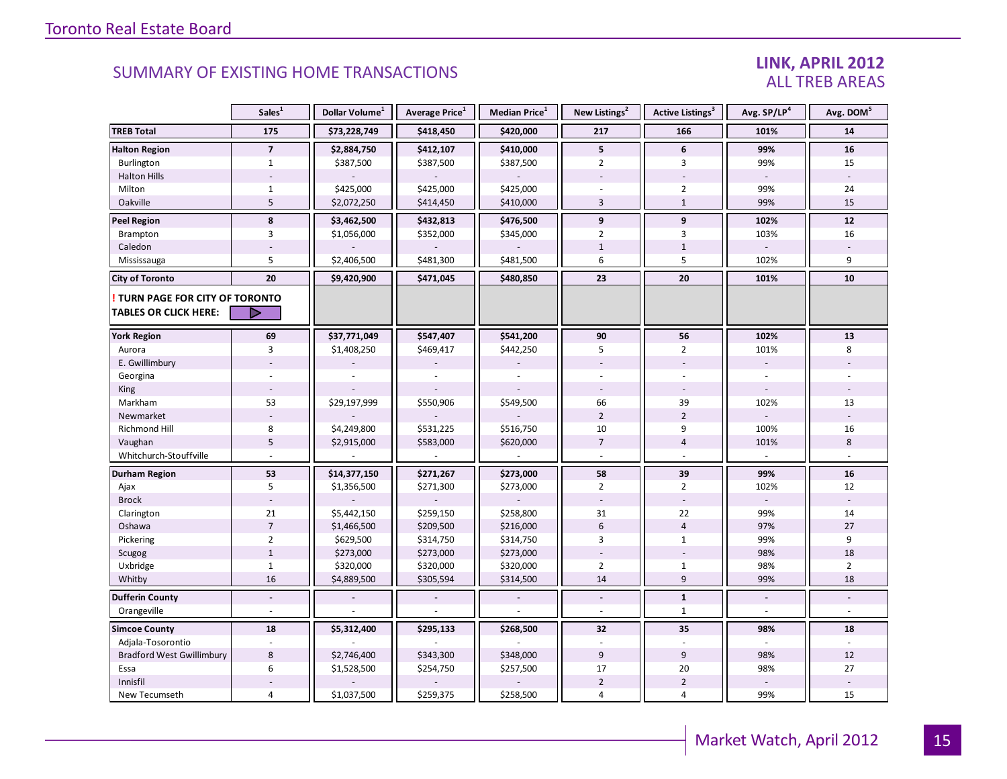#### LINK, APRIL 2012 ALL TREB AREAS

|                                                               | Sales <sup>1</sup> | Dollar Volume <sup>1</sup> | Average Price <sup>1</sup> | <b>Median Price</b> $1$ | New Listings <sup>2</sup> | <b>Active Listings</b> <sup>3</sup> | Avg. SP/LP <sup>4</sup>  | Avg. DOM <sup>5</sup> |
|---------------------------------------------------------------|--------------------|----------------------------|----------------------------|-------------------------|---------------------------|-------------------------------------|--------------------------|-----------------------|
| <b>TREB Total</b>                                             | 175                | \$73,228,749               | \$418,450                  | \$420,000               | 217                       | 166                                 | 101%                     | 14                    |
| <b>Halton Region</b>                                          | $\overline{7}$     | \$2,884,750                | \$412,107                  | \$410,000               | 5                         | 6                                   | 99%                      | 16                    |
| Burlington                                                    | $\mathbf{1}$       | \$387,500                  | \$387,500                  | \$387,500               | $\overline{2}$            | 3                                   | 99%                      | 15                    |
| <b>Halton Hills</b>                                           |                    |                            |                            |                         |                           |                                     | $\sim$                   |                       |
| Milton                                                        | $1\,$              | \$425,000                  | \$425,000                  | \$425,000               |                           | $\overline{2}$                      | 99%                      | 24                    |
| Oakville                                                      | 5                  | \$2,072,250                | \$414,450                  | \$410,000               | $\overline{3}$            | $\mathbf{1}$                        | 99%                      | 15                    |
| <b>Peel Region</b>                                            | 8                  | \$3,462,500                | \$432,813                  | \$476,500               | 9                         | 9                                   | 102%                     | 12                    |
| Brampton                                                      | 3                  | \$1,056,000                | \$352,000                  | \$345,000               | $\overline{2}$            | 3                                   | 103%                     | 16                    |
| Caledon                                                       |                    |                            |                            |                         | $\mathbf{1}$              | $\mathbf{1}$                        |                          |                       |
| Mississauga                                                   | 5                  | \$2,406,500                | \$481,300                  | \$481,500               | 6                         | 5                                   | 102%                     | 9                     |
| <b>City of Toronto</b>                                        | 20                 | \$9,420,900                | \$471,045                  | \$480,850               | 23                        | 20                                  | 101%                     | 10                    |
| TURN PAGE FOR CITY OF TORONTO<br><b>TABLES OR CLICK HERE:</b> | D                  |                            |                            |                         |                           |                                     |                          |                       |
| <b>York Region</b>                                            | 69                 | \$37,771,049               | \$547,407                  | \$541,200               | 90                        | 56                                  | 102%                     | 13                    |
|                                                               | 3                  |                            |                            | \$442,250               | 5                         | $\overline{2}$                      | 101%                     | 8                     |
| Aurora<br>E. Gwillimbury                                      |                    | \$1,408,250                | \$469,417                  |                         |                           |                                     | $\overline{\phantom{a}}$ |                       |
|                                                               |                    |                            |                            |                         |                           |                                     |                          |                       |
| Georgina                                                      |                    |                            |                            |                         | $\overline{\phantom{a}}$  |                                     |                          |                       |
| King                                                          |                    |                            |                            |                         |                           |                                     |                          |                       |
| Markham                                                       | 53                 | \$29,197,999               | \$550,906                  | \$549,500               | 66                        | 39                                  | 102%                     | 13                    |
| Newmarket                                                     | 8                  |                            |                            |                         | $\overline{2}$            | $\overline{2}$                      |                          |                       |
| Richmond Hill                                                 | 5                  | \$4,249,800                | \$531,225                  | \$516,750               | 10<br>$\overline{7}$      | 9                                   | 100%                     | 16<br>8               |
| Vaughan                                                       |                    | \$2,915,000                | \$583,000                  | \$620,000               |                           | $\overline{4}$                      | 101%                     |                       |
| Whitchurch-Stouffville                                        |                    |                            |                            |                         |                           |                                     |                          |                       |
| <b>Durham Region</b>                                          | 53                 | \$14,377,150               | \$271,267                  | \$273,000               | 58                        | 39                                  | 99%                      | 16                    |
| Ajax                                                          | 5                  | \$1,356,500                | \$271,300                  | \$273,000               | $\overline{2}$            | $\overline{2}$                      | 102%                     | 12                    |
| <b>Brock</b>                                                  |                    |                            |                            |                         |                           |                                     |                          |                       |
| Clarington                                                    | 21                 | \$5,442,150                | \$259,150                  | \$258,800               | 31                        | 22                                  | 99%                      | 14                    |
| Oshawa                                                        | $\overline{7}$     | \$1,466,500                | \$209,500                  | \$216,000               | 6                         | $\overline{4}$                      | 97%                      | 27                    |
| Pickering                                                     | $\overline{2}$     | \$629,500                  | \$314,750                  | \$314,750               | 3                         | $\mathbf{1}$                        | 99%                      | 9                     |
| Scugog                                                        | $\mathbf{1}$       | \$273,000                  | \$273,000                  | \$273,000               |                           |                                     | 98%                      | 18                    |
| Uxbridge                                                      | $\mathbf{1}$       | \$320,000                  | \$320,000                  | \$320,000               | $\overline{2}$            | $\mathbf{1}$                        | 98%                      | $\overline{2}$        |
| Whitby                                                        | 16                 | \$4,889,500                | \$305,594                  | \$314,500               | 14                        | 9                                   | 99%                      | 18                    |
| <b>Dufferin County</b>                                        | $\blacksquare$     |                            |                            |                         | $\blacksquare$            | $\mathbf{1}$                        | $\blacksquare$           |                       |
| Orangeville                                                   |                    |                            |                            |                         |                           | $\mathbf{1}$                        | $\overline{a}$           |                       |
| <b>Simcoe County</b>                                          | 18                 | \$5,312,400                | \$295,133                  | \$268,500               | 32                        | 35                                  | 98%                      | 18                    |
| Adjala-Tosorontio                                             |                    |                            |                            |                         |                           |                                     |                          |                       |
| <b>Bradford West Gwillimbury</b>                              | 8                  | \$2,746,400                | \$343,300                  | \$348,000               | 9                         | 9                                   | 98%                      | 12                    |
| Essa                                                          | 6                  | \$1,528,500                | \$254,750                  | \$257,500               | 17                        | 20                                  | 98%                      | 27                    |
| Innisfil                                                      |                    |                            |                            |                         | $\overline{2}$            | $\overline{2}$                      |                          |                       |
| New Tecumseth                                                 | 4                  | \$1,037,500                | \$259,375                  | \$258,500               | 4                         | 4                                   | 99%                      | 15                    |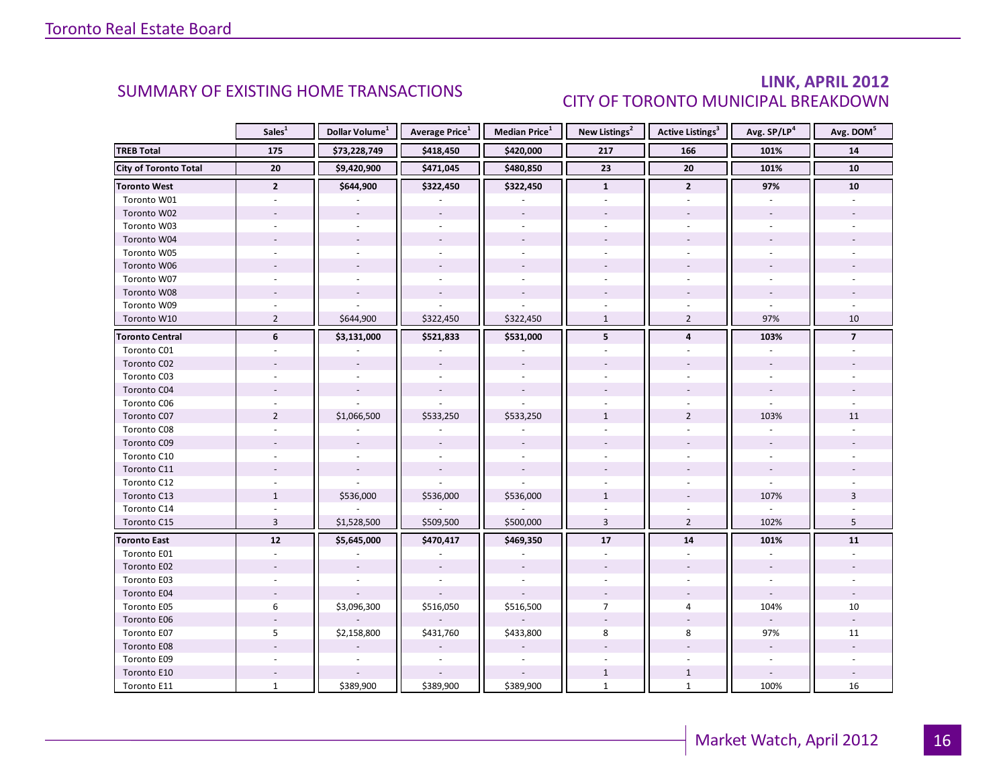#### LINK, APRIL 2012 CITY OF TORONTO MUNICIPAL BREAKDOWN

<span id="page-15-0"></span>

|                              | Sales <sup>1</sup>       | Dollar Volume <sup>1</sup> | <b>Average Price</b> <sup>1</sup> | <b>Median Price</b> <sup>1</sup> | New Listings <sup>2</sup> | <b>Active Listings<sup>3</sup></b> | Avg. SP/LP <sup>4</sup> | Avg. DOM <sup>5</sup> |
|------------------------------|--------------------------|----------------------------|-----------------------------------|----------------------------------|---------------------------|------------------------------------|-------------------------|-----------------------|
| <b>TREB Total</b>            | 175                      | \$73,228,749               | \$418,450                         | \$420,000                        | 217                       | 166                                | 101%                    | 14                    |
| <b>City of Toronto Total</b> | 20                       | \$9,420,900                | \$471,045                         | \$480,850                        | 23                        | 20                                 | 101%                    | 10                    |
| <b>Toronto West</b>          | $\mathbf{2}$             | \$644,900                  | \$322,450                         | \$322,450                        | $\mathbf{1}$              | $\mathbf{2}$                       | 97%                     | 10                    |
| Toronto W01                  |                          |                            |                                   |                                  |                           |                                    |                         |                       |
| Toronto W02                  |                          |                            |                                   |                                  |                           |                                    |                         |                       |
| Toronto W03                  | $\overline{\phantom{a}}$ | ÷                          |                                   | $\sim$                           |                           | ÷.                                 |                         |                       |
| Toronto W04                  |                          |                            |                                   |                                  |                           |                                    |                         |                       |
| Toronto W05                  |                          |                            |                                   |                                  |                           |                                    |                         |                       |
| Toronto W06                  |                          |                            |                                   |                                  |                           |                                    |                         |                       |
| Toronto W07                  |                          |                            |                                   |                                  |                           |                                    |                         |                       |
| Toronto W08                  |                          |                            |                                   |                                  |                           |                                    |                         |                       |
| Toronto W09                  |                          |                            |                                   |                                  |                           |                                    |                         |                       |
| Toronto W10                  | $\overline{2}$           | \$644,900                  | \$322,450                         | \$322,450                        | $\mathbf{1}$              | $\overline{2}$                     | 97%                     | 10                    |
| <b>Toronto Central</b>       | 6                        | \$3,131,000                | \$521,833                         | \$531,000                        | 5                         | 4                                  | 103%                    | $\overline{7}$        |
| Toronto C01                  |                          |                            |                                   |                                  |                           |                                    |                         |                       |
| Toronto C02                  |                          |                            |                                   |                                  |                           |                                    |                         |                       |
| Toronto C03                  |                          |                            |                                   |                                  |                           |                                    |                         |                       |
| Toronto C04                  |                          |                            |                                   |                                  |                           |                                    |                         |                       |
| Toronto C06                  |                          |                            |                                   |                                  |                           |                                    |                         |                       |
| Toronto C07                  | $\overline{2}$           | \$1,066,500                | \$533,250                         | \$533,250                        | $\mathbf{1}$              | $\overline{2}$                     | 103%                    | 11                    |
| Toronto C08                  |                          |                            |                                   |                                  |                           |                                    |                         |                       |
| Toronto C09                  |                          |                            |                                   |                                  |                           |                                    |                         |                       |
| Toronto C10                  |                          |                            |                                   |                                  |                           |                                    |                         |                       |
| Toronto C11                  |                          |                            |                                   |                                  |                           |                                    |                         |                       |
| Toronto C12                  |                          |                            |                                   |                                  |                           |                                    |                         |                       |
| Toronto C13                  | $\mathbf{1}$             | \$536,000                  | \$536,000                         | \$536,000                        | $\mathbf{1}$              |                                    | 107%                    | $\overline{3}$        |
| Toronto C14                  |                          |                            |                                   |                                  |                           |                                    |                         |                       |
| Toronto C15                  | $\overline{3}$           | \$1,528,500                | \$509,500                         | \$500,000                        | $\overline{3}$            | $\overline{2}$                     | 102%                    | 5                     |
| <b>Toronto East</b>          | 12                       | \$5,645,000                | \$470,417                         | \$469,350                        | 17                        | 14                                 | 101%                    | 11                    |
| Toronto E01                  |                          |                            |                                   |                                  |                           |                                    |                         |                       |
| Toronto E02                  |                          |                            |                                   |                                  |                           |                                    |                         |                       |
| Toronto E03                  |                          |                            |                                   |                                  |                           |                                    |                         |                       |
| Toronto E04                  |                          |                            |                                   |                                  |                           |                                    |                         |                       |
| Toronto E05                  | 6                        | \$3,096,300                | \$516,050                         | \$516,500                        | $\overline{7}$            | $\overline{4}$                     | 104%                    | 10                    |
| Toronto E06                  |                          |                            |                                   |                                  |                           |                                    |                         |                       |
| Toronto E07                  | 5                        | \$2,158,800                | \$431,760                         | \$433,800                        | 8                         | 8                                  | 97%                     | 11                    |
| Toronto E08                  |                          |                            |                                   |                                  |                           |                                    | $\overline{a}$          |                       |
| Toronto E09                  |                          |                            |                                   |                                  |                           |                                    | $\sim$                  |                       |
| Toronto E10                  |                          |                            |                                   |                                  | $\mathbf{1}$              | $\mathbf{1}$                       |                         |                       |
| Toronto E11                  | $\mathbf{1}$             | \$389,900                  | \$389,900                         | \$389,900                        | $\mathbf{1}$              | $\mathbf{1}$                       | 100%                    | 16                    |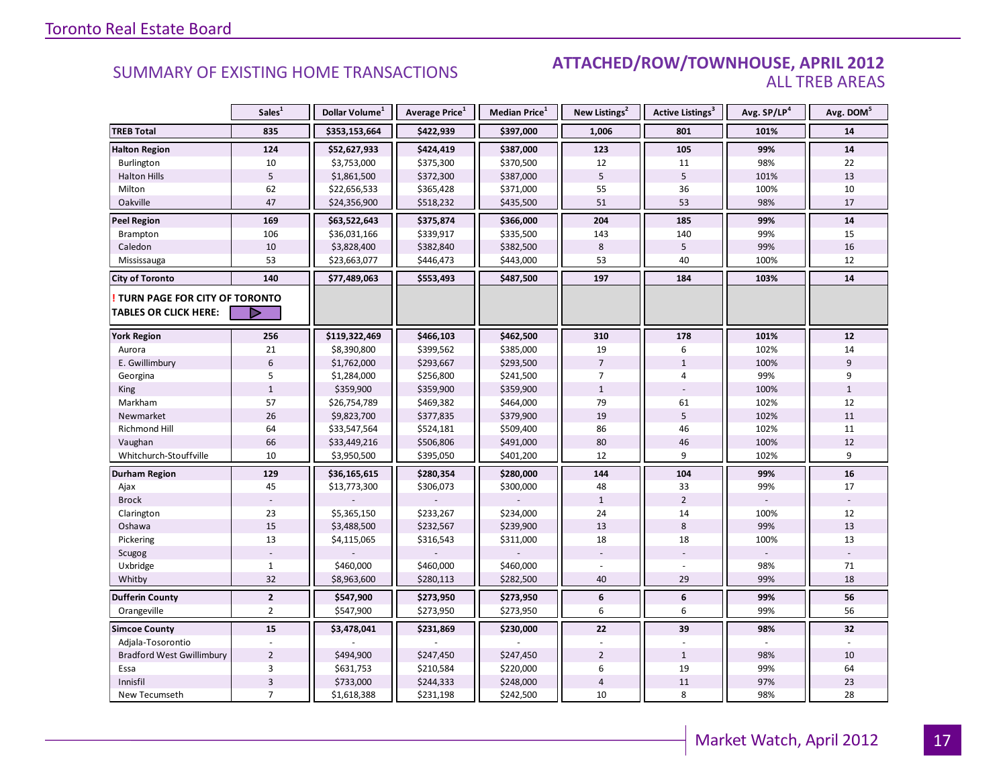#### SUMMARY OF EXISTING HOME TRANSACTIONS **ATTACHED/ROW/TOWNHOUSE, APRIL 2012** ALL TREB AREAS

|                                                               | Sales <sup>1</sup>        | Dollar Volume <sup>1</sup> | Average Price <sup>1</sup> | Median Price <sup>1</sup> | New Listings <sup>2</sup> | Active Listings <sup>3</sup> | Avg. SP/LP <sup>4</sup> | Avg. DOM <sup>5</sup> |
|---------------------------------------------------------------|---------------------------|----------------------------|----------------------------|---------------------------|---------------------------|------------------------------|-------------------------|-----------------------|
| <b>TREB Total</b>                                             | 835                       | \$353,153,664              | \$422,939                  | \$397,000                 | 1,006                     | 801                          | 101%                    | 14                    |
| <b>Halton Region</b>                                          | 124                       | \$52,627,933               | \$424,419                  | \$387,000                 | 123                       | 105                          | 99%                     | 14                    |
| Burlington                                                    | 10                        | \$3,753,000                | \$375,300                  | \$370,500                 | 12                        | 11                           | 98%                     | 22                    |
| <b>Halton Hills</b>                                           | $\overline{5}$            | \$1,861,500                | \$372,300                  | \$387,000                 | 5                         | 5                            | 101%                    | 13                    |
| Milton                                                        | 62                        | \$22,656,533               | \$365,428                  | \$371,000                 | 55                        | 36                           | 100%                    | 10                    |
| Oakville                                                      | 47                        | \$24,356,900               | \$518,232                  | \$435,500                 | 51                        | 53                           | 98%                     | 17                    |
| <b>Peel Region</b>                                            | 169                       | \$63,522,643               | \$375,874                  | \$366,000                 | 204                       | 185                          | 99%                     | 14                    |
| <b>Brampton</b>                                               | 106                       | \$36,031,166               | \$339,917                  | \$335,500                 | 143                       | 140                          | 99%                     | 15                    |
| Caledon                                                       | 10                        | \$3,828,400                | \$382,840                  | \$382,500                 | 8                         | 5                            | 99%                     | 16                    |
| Mississauga                                                   | 53                        | \$23,663,077               | \$446,473                  | \$443,000                 | 53                        | 40                           | 100%                    | 12                    |
| <b>City of Toronto</b>                                        | 140                       | \$77,489,063               | \$553,493                  | \$487,500                 | 197                       | 184                          | 103%                    | 14                    |
| TURN PAGE FOR CITY OF TORONTO<br><b>TABLES OR CLICK HERE:</b> |                           |                            |                            |                           |                           |                              |                         |                       |
| <b>York Region</b>                                            | 256                       | \$119,322,469              | \$466,103                  | \$462,500                 | 310                       | 178                          | 101%                    | 12                    |
| Aurora                                                        | 21                        | \$8,390,800                | \$399,562                  | \$385,000                 | 19                        | 6                            | 102%                    | 14                    |
| E. Gwillimbury                                                | $6\,$                     | \$1,762,000                | \$293,667                  | \$293,500                 | $\overline{7}$            | $\mathbf{1}$                 | 100%                    | 9                     |
| Georgina                                                      | 5                         | \$1,284,000                | \$256,800                  | \$241,500                 | 7                         | 4                            | 99%                     | 9                     |
| King                                                          | $\mathbf{1}$              | \$359,900                  | \$359,900                  | \$359,900                 | $\mathbf{1}$              |                              | 100%                    | $\mathbf{1}$          |
| Markham                                                       | 57                        | \$26,754,789               | \$469,382                  | \$464,000                 | 79                        | 61                           | 102%                    | 12                    |
| Newmarket                                                     | 26                        | \$9,823,700                | \$377,835                  | \$379,900                 | 19                        | 5                            | 102%                    | 11                    |
| Richmond Hill                                                 | 64                        | \$33,547,564               | \$524,181                  | \$509,400                 | 86                        | 46                           | 102%                    | 11                    |
| Vaughan                                                       | 66                        | \$33,449,216               | \$506,806                  | \$491,000                 | 80                        | 46                           | 100%                    | 12                    |
| Whitchurch-Stouffville                                        | 10                        | \$3,950,500                | \$395,050                  | \$401,200                 | 12                        | 9                            | 102%                    | 9                     |
| Durham Region                                                 | 129                       | \$36,165,615               | \$280,354                  | \$280,000                 | 144                       | 104                          | 99%                     | 16                    |
| Ajax                                                          | 45                        | \$13,773,300               | \$306,073                  | \$300,000                 | 48                        | 33                           | 99%                     | 17                    |
| <b>Brock</b>                                                  |                           |                            |                            |                           | $\mathbf{1}$              | $\overline{2}$               |                         |                       |
| Clarington                                                    | 23                        | \$5,365,150                | \$233,267                  | \$234,000                 | 24                        | 14                           | 100%                    | 12                    |
| Oshawa                                                        | 15                        | \$3,488,500                | \$232,567                  | \$239,900                 | 13                        | 8                            | 99%                     | 13                    |
| Pickering                                                     | 13                        | \$4,115,065                | \$316,543                  | \$311,000                 | 18                        | 18                           | 100%                    | 13                    |
| Scugog                                                        |                           |                            |                            |                           |                           |                              |                         |                       |
| Uxbridge                                                      | $\mathbf{1}$              | \$460,000                  | \$460,000                  | \$460,000                 |                           |                              | 98%                     | 71                    |
| Whitby                                                        | 32                        | \$8,963,600                | \$280,113                  | \$282,500                 | 40                        | 29                           | 99%                     | 18                    |
| <b>Dufferin County</b>                                        | $\overline{2}$            | \$547,900                  | \$273,950                  | \$273,950                 | 6                         | 6                            | 99%                     | 56                    |
| Orangeville                                                   | $\overline{2}$            | \$547,900                  | \$273,950                  | \$273,950                 | 6                         | 6                            | 99%                     | 56                    |
| <b>Simcoe County</b>                                          | 15                        | \$3,478,041                | \$231,869                  | \$230,000                 | 22                        | 39                           | 98%                     | 32                    |
| Adjala-Tosorontio                                             |                           |                            |                            |                           |                           |                              |                         |                       |
| <b>Bradford West Gwillimbury</b>                              | $\overline{2}$            | \$494,900                  | \$247,450                  | \$247,450                 | $\overline{2}$            | $\mathbf{1}$                 | 98%                     | 10                    |
| Essa                                                          | 3                         | \$631,753                  | \$210,584                  | \$220,000                 | 6                         | 19                           | 99%                     | 64                    |
| Innisfil                                                      | $\ensuremath{\mathsf{3}}$ | \$733,000                  | \$244,333                  | \$248,000                 | $\sqrt{4}$                | 11                           | 97%                     | 23                    |
| New Tecumseth                                                 | $\overline{7}$            | \$1,618,388                | \$231,198                  | \$242,500                 | 10                        | 8                            | 98%                     | 28                    |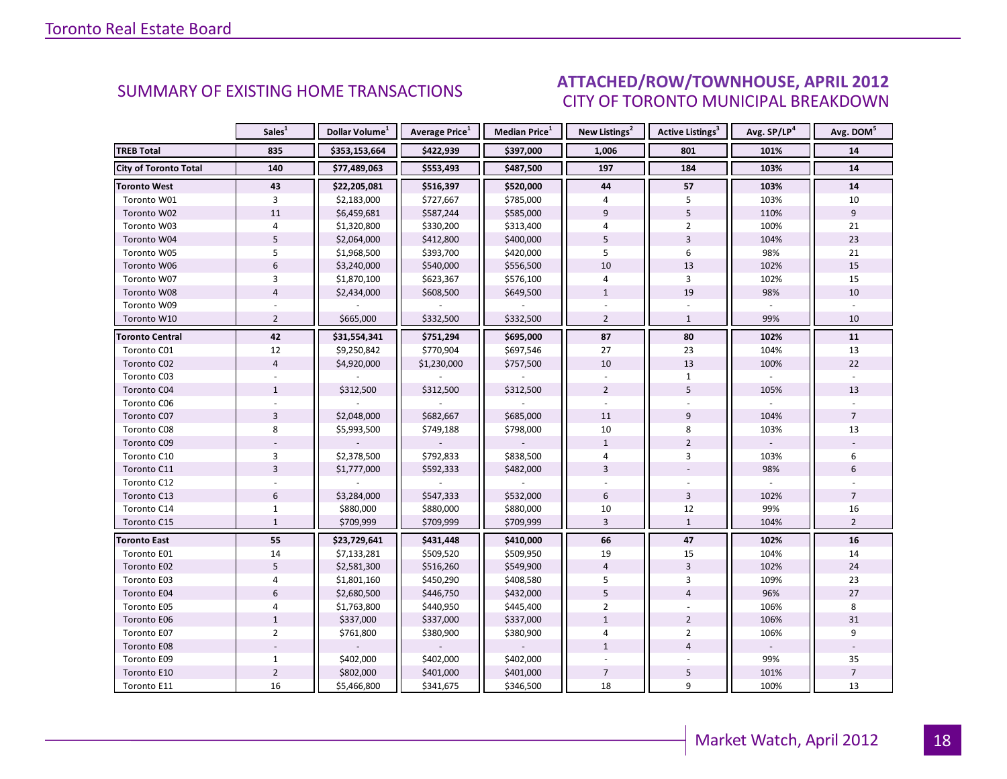#### ICE ADDII 2012 CITY OF TORONTO MUNICIPAL BREAKDOWN SUMMARY OF EXISTING HOME TRANSACTIONS **ATTACHED/ROW/TOWNHOUSE, APRIL 2012**

<span id="page-17-0"></span>

|                              | Sales <sup>1</sup> | Dollar Volume <sup>1</sup> | <b>Average Price</b> <sup>1</sup> | Median Price <sup>1</sup> | New Listings <sup>2</sup> | <b>Active Listings<sup>3</sup></b> | Avg. SP/LP <sup>4</sup> | Avg. DOM <sup>5</sup> |
|------------------------------|--------------------|----------------------------|-----------------------------------|---------------------------|---------------------------|------------------------------------|-------------------------|-----------------------|
| <b>TREB Total</b>            | 835                | \$353,153,664              | \$422,939                         | \$397,000                 | 1,006                     | 801                                | 101%                    | 14                    |
| <b>City of Toronto Total</b> | 140                | \$77,489,063               | \$553,493                         | \$487,500                 | 197                       | 184                                | 103%                    | 14                    |
| <b>Toronto West</b>          | 43                 | \$22,205,081               | \$516,397                         | \$520,000                 | 44                        | 57                                 | 103%                    | 14                    |
| Toronto W01                  | 3                  | \$2,183,000                | \$727,667                         | \$785,000                 | 4                         | 5                                  | 103%                    | 10                    |
| Toronto W02                  | 11                 | \$6,459,681                | \$587,244                         | \$585,000                 | 9                         | 5                                  | 110%                    | 9                     |
| Toronto W03                  | 4                  | \$1,320,800                | \$330,200                         | \$313,400                 | $\overline{4}$            | $\overline{2}$                     | 100%                    | 21                    |
| Toronto W04                  | 5                  | \$2,064,000                | \$412,800                         | \$400,000                 | 5                         | $\overline{3}$                     | 104%                    | 23                    |
| Toronto W05                  | 5                  | \$1,968,500                | \$393,700                         | \$420,000                 | 5                         | 6                                  | 98%                     | 21                    |
| Toronto W06                  | $6\overline{6}$    | \$3,240,000                | \$540,000                         | \$556,500                 | 10                        | 13                                 | 102%                    | 15                    |
| Toronto W07                  | 3                  | \$1,870,100                | \$623,367                         | \$576,100                 | 4                         | 3                                  | 102%                    | 15                    |
| Toronto W08                  | $\overline{4}$     | \$2,434,000                | \$608,500                         | \$649,500                 | $\mathbf{1}$              | 19                                 | 98%                     | 10                    |
| Toronto W09                  |                    |                            |                                   |                           |                           |                                    |                         |                       |
| Toronto W10                  | $\overline{2}$     | \$665,000                  | \$332,500                         | \$332,500                 | $\overline{2}$            | $\mathbf{1}$                       | 99%                     | 10                    |
| <b>Toronto Central</b>       | 42                 | \$31,554,341               | \$751,294                         | \$695,000                 | 87                        | 80                                 | 102%                    | 11                    |
| Toronto C01                  | 12                 | \$9,250,842                | \$770,904                         | \$697,546                 | 27                        | 23                                 | 104%                    | 13                    |
| Toronto C02                  | $\overline{4}$     | \$4,920,000                | \$1,230,000                       | \$757,500                 | 10                        | 13                                 | 100%                    | 22                    |
| Toronto C03                  |                    |                            |                                   |                           |                           | $\mathbf{1}$                       |                         |                       |
| Toronto C04                  | $\mathbf{1}$       | \$312,500                  | \$312,500                         | \$312,500                 | $\overline{2}$            | 5                                  | 105%                    | 13                    |
| Toronto C06                  |                    |                            |                                   |                           |                           |                                    |                         |                       |
| Toronto C07                  | $\overline{3}$     | \$2,048,000                | \$682,667                         | \$685,000                 | 11                        | 9                                  | 104%                    | $\overline{7}$        |
| Toronto C08                  | 8                  | \$5,993,500                | \$749,188                         | \$798,000                 | 10                        | 8                                  | 103%                    | 13                    |
| Toronto C09                  |                    |                            |                                   |                           | $\mathbf{1}$              | $\overline{2}$                     |                         |                       |
| Toronto C10                  | 3                  | \$2,378,500                | \$792,833                         | \$838,500                 | 4                         | 3                                  | 103%                    | 6                     |
| Toronto C11                  | $\overline{3}$     | \$1,777,000                | \$592,333                         | \$482,000                 | $\overline{3}$            |                                    | 98%                     | 6                     |
| Toronto C12                  |                    |                            |                                   |                           |                           |                                    |                         |                       |
| Toronto C13                  | $6\,$              | \$3,284,000                | \$547,333                         | \$532,000                 | 6                         | $\overline{3}$                     | 102%                    | $\overline{7}$        |
| Toronto C14                  | $\mathbf{1}$       | \$880,000                  | \$880,000                         | \$880,000                 | 10                        | 12                                 | 99%                     | 16                    |
| Toronto C15                  | $\mathbf{1}$       | \$709,999                  | \$709,999                         | \$709,999                 | $\overline{3}$            | $\mathbf{1}$                       | 104%                    | $\overline{2}$        |
| <b>Toronto East</b>          | 55                 | \$23,729,641               | \$431,448                         | \$410,000                 | 66                        | 47                                 | 102%                    | 16                    |
| Toronto E01                  | 14                 | \$7,133,281                | \$509,520                         | \$509,950                 | 19                        | 15                                 | 104%                    | 14                    |
| Toronto E02                  | 5                  | \$2,581,300                | \$516,260                         | \$549,900                 | $\overline{4}$            | $\overline{3}$                     | 102%                    | 24                    |
| Toronto E03                  | $\overline{4}$     | \$1,801,160                | \$450,290                         | \$408,580                 | 5                         | 3                                  | 109%                    | 23                    |
| Toronto E04                  | $6\overline{6}$    | \$2,680,500                | \$446,750                         | \$432,000                 | 5                         | $\overline{4}$                     | 96%                     | 27                    |
| Toronto E05                  | $\overline{4}$     | \$1,763,800                | \$440,950                         | \$445,400                 | $\overline{2}$            |                                    | 106%                    | 8                     |
| Toronto E06                  | $1\,$              | \$337,000                  | \$337,000                         | \$337,000                 | $\mathbf 1$               | $\overline{2}$                     | 106%                    | 31                    |
| Toronto E07                  | $\overline{2}$     | \$761,800                  | \$380,900                         | \$380,900                 | $\overline{4}$            | $\overline{2}$                     | 106%                    | 9                     |
| Toronto E08                  |                    |                            |                                   |                           | $\mathbf{1}$              | $\overline{4}$                     | ÷.                      |                       |
| Toronto E09                  | $\mathbf{1}$       | \$402,000                  | \$402,000                         | \$402,000                 |                           |                                    | 99%                     | 35                    |
| Toronto E10                  | $\mathbf 2$        | \$802,000                  | \$401,000                         | \$401,000                 | $\overline{7}$            | 5                                  | 101%                    | $\overline{7}$        |
| Toronto E11                  | 16                 | \$5,466,800                | \$341,675                         | \$346,500                 | 18                        | 9                                  | 100%                    | 13                    |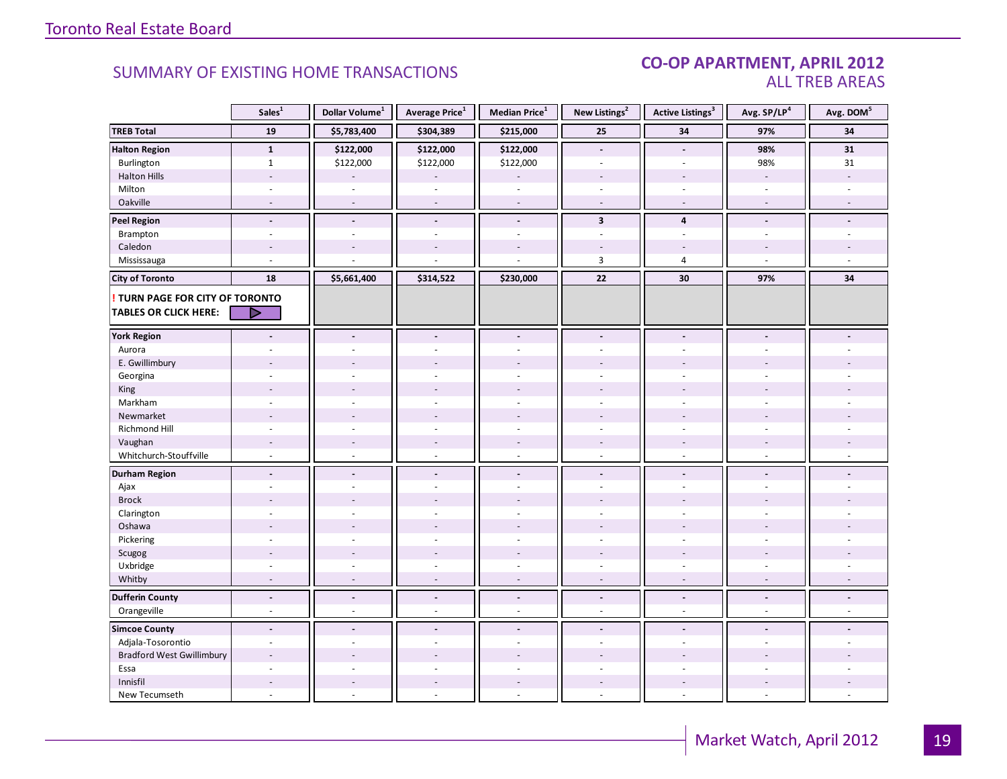#### CO-OP APARTMENT, APRIL 2012 ALL TREB AREAS

|                                  | Sales <sup>1</sup>       | Dollar Volume <sup>1</sup> | Average Price <sup>1</sup> | Median Price <sup>1</sup> | New Listings <sup>2</sup> | <b>Active Listings<sup>3</sup></b> | Avg. SP/LP <sup>4</sup>  | Avg. DOM <sup>5</sup> |
|----------------------------------|--------------------------|----------------------------|----------------------------|---------------------------|---------------------------|------------------------------------|--------------------------|-----------------------|
| <b>TREB Total</b>                | 19                       | \$5,783,400                | \$304,389                  | \$215,000                 | 25                        | 34                                 | 97%                      | 34                    |
| <b>Halton Region</b>             | $\mathbf{1}$             | \$122,000                  | \$122,000                  | \$122,000                 | $\blacksquare$            | $\overline{\phantom{a}}$           | 98%                      | 31                    |
| Burlington                       | $\mathbf{1}$             | \$122,000                  | \$122,000                  | \$122,000                 | $\overline{a}$            |                                    | 98%                      | 31                    |
| <b>Halton Hills</b>              | $\overline{a}$           |                            |                            |                           | $\overline{a}$            | $\overline{a}$                     | $\overline{\phantom{a}}$ |                       |
| Milton                           | ÷,                       | $\sim$                     | $\bar{a}$                  | ÷,                        | $\sim$                    | $\sim$                             | $\bar{a}$                |                       |
| Oakville                         | $\sim$                   | $\sim$                     | $\sim$                     | $\sim$                    | $\sim$                    | $\sim$                             | $\sim$                   |                       |
| <b>Peel Region</b>               | $\overline{\phantom{a}}$ | $\overline{\phantom{a}}$   | $\blacksquare$             | $\centerdot$              | $\overline{\mathbf{3}}$   | $\overline{4}$                     | $\blacksquare$           |                       |
| Brampton                         | $\overline{a}$           | $\sim$                     | $\overline{a}$             | $\overline{a}$            | $\overline{a}$            | $\sim$                             | ÷.                       |                       |
| Caledon                          |                          |                            |                            |                           |                           |                                    |                          |                       |
| Mississauga                      | ÷.                       |                            |                            |                           | 3                         | $\overline{4}$                     | $\sim$                   |                       |
| <b>City of Toronto</b>           | 18                       | \$5,661,400                | \$314,522                  | \$230,000                 | 22                        | 30                                 | 97%                      | 34                    |
| ! TURN PAGE FOR CITY OF TORONTO  |                          |                            |                            |                           |                           |                                    |                          |                       |
| <b>TABLES OR CLICK HERE:</b>     | ▷                        |                            |                            |                           |                           |                                    |                          |                       |
|                                  |                          |                            |                            |                           |                           |                                    |                          |                       |
| <b>York Region</b>               | $\blacksquare$           | $\overline{\phantom{a}}$   | $\overline{\phantom{a}}$   | $\blacksquare$            | $\blacksquare$            | $\blacksquare$                     | $\overline{\phantom{a}}$ |                       |
| Aurora                           |                          |                            |                            |                           | ÷                         |                                    |                          |                       |
| E. Gwillimbury                   |                          |                            |                            |                           |                           |                                    |                          |                       |
| Georgina                         |                          |                            |                            |                           |                           |                                    |                          |                       |
| King                             |                          |                            |                            |                           |                           |                                    |                          |                       |
| Markham                          | ÷,                       | $\overline{a}$             | $\overline{a}$             | L.                        | $\overline{a}$            | $\sim$                             | ÷,                       |                       |
| Newmarket                        |                          |                            |                            |                           |                           |                                    |                          |                       |
| Richmond Hill                    | ÷,                       |                            |                            |                           |                           |                                    |                          |                       |
| Vaughan                          | $\overline{\phantom{a}}$ | $\sim$                     | $\overline{\phantom{a}}$   | $\overline{a}$            | $\overline{\phantom{a}}$  | $\overline{\phantom{a}}$           | $\overline{\phantom{a}}$ |                       |
| Whitchurch-Stouffville           | $\omega$                 | $\sim$                     | $\sim$                     | $\overline{a}$            | $\sim$                    | $\sim$                             | $\sim$                   |                       |
| <b>Durham Region</b>             | $\blacksquare$           | $\overline{\phantom{a}}$   | $\blacksquare$             | $\overline{\phantom{a}}$  | $\overline{\phantom{a}}$  | $\overline{\phantom{a}}$           | $\blacksquare$           |                       |
| Ajax                             | ä,                       |                            | $\overline{a}$             | ä,                        | $\sim$                    | ÷.                                 | $\overline{a}$           |                       |
| <b>Brock</b>                     |                          |                            |                            |                           |                           |                                    |                          |                       |
| Clarington                       | $\ddot{\phantom{1}}$     |                            |                            | ÷.                        | $\sim$                    | $\overline{a}$                     |                          |                       |
| Oshawa                           |                          |                            |                            |                           |                           |                                    |                          |                       |
| Pickering                        | $\overline{a}$           |                            |                            |                           |                           |                                    |                          |                       |
| Scugog                           |                          |                            | $\overline{a}$             | ÷.                        |                           |                                    |                          |                       |
| Uxbridge                         | $\overline{\phantom{a}}$ | $\sim$                     | ÷,                         | ä,                        | $\bar{\phantom{a}}$       | $\overline{\phantom{a}}$           | $\overline{\phantom{a}}$ |                       |
| Whitby                           | $\overline{\phantom{a}}$ | $\overline{a}$             | $\sim$                     | $\overline{\phantom{a}}$  | $\sim$                    | $\sim$                             | $\sim$                   |                       |
| <b>Dufferin County</b>           | $\overline{\phantom{a}}$ | $\overline{\phantom{a}}$   | $\overline{\phantom{a}}$   | $\Box$                    | $\overline{\phantom{a}}$  | $\overline{\phantom{a}}$           | $\blacksquare$           | $\blacksquare$        |
| Orangeville                      | ä,                       | $\omega$                   | $\sim$                     | ä,                        | $\omega$                  | $\sim$                             | $\sim$                   | $\overline{a}$        |
| <b>Simcoe County</b>             | $\blacksquare$           | $\blacksquare$             | $\blacksquare$             | $\overline{\phantom{a}}$  | $\blacksquare$            | $\blacksquare$                     | $\overline{a}$           |                       |
| Adjala-Tosorontio                | $\blacksquare$           | $\sim$                     | $\sim$                     | $\overline{\phantom{a}}$  | $\sim$                    | ÷.                                 | ÷.                       |                       |
| <b>Bradford West Gwillimbury</b> | $\overline{a}$           |                            |                            |                           |                           |                                    |                          |                       |
| Essa                             |                          |                            |                            |                           |                           |                                    |                          |                       |
| Innisfil                         | $\overline{\phantom{a}}$ | $\sim$                     | $\overline{\phantom{a}}$   | $\overline{\phantom{a}}$  | $\overline{\phantom{a}}$  | $\overline{\phantom{a}}$           | $\overline{\phantom{a}}$ |                       |
| New Tecumseth                    | $\overline{\phantom{a}}$ | $\overline{\phantom{a}}$   | $\bar{a}$                  | ÷,                        | $\omega$                  | $\sim$                             | $\sim$                   |                       |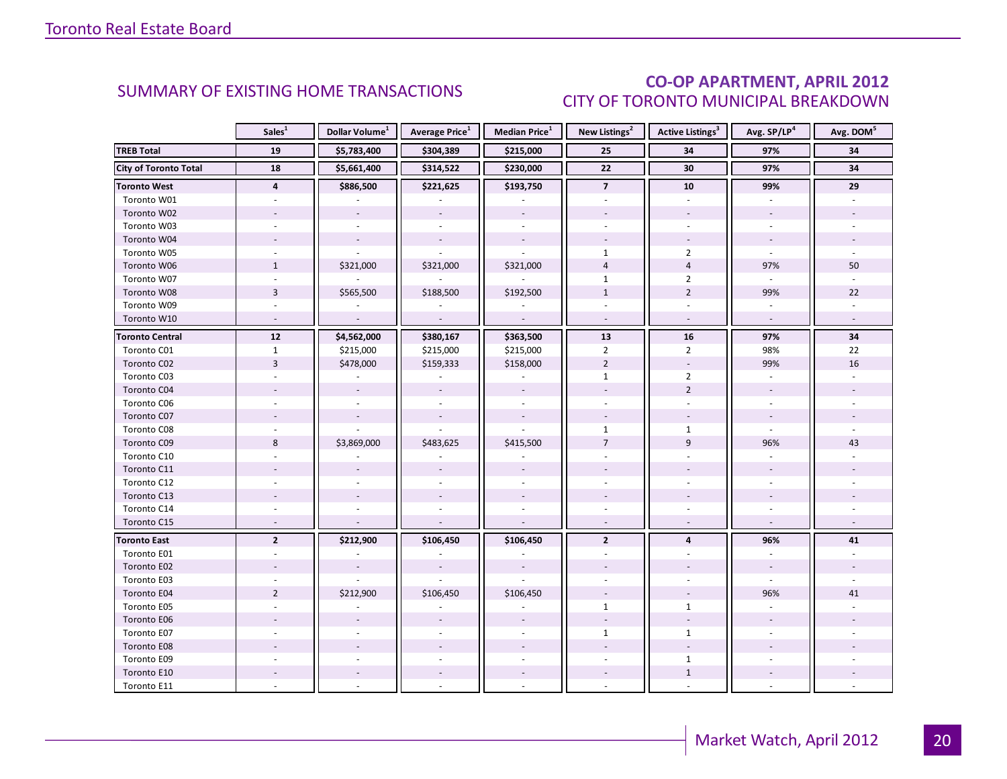### CO-OP APARTMENT, APRIL 2012 CITY OF TORONTO MUNICIPAL BREAKDOWN

<span id="page-19-0"></span>

|                              | Sales <sup>1</sup>       | Dollar Volume <sup>1</sup> | <b>Average Price</b> <sup>1</sup> | Median Price <sup>1</sup> | New Listings <sup>2</sup> | Active Listings <sup>3</sup> | Avg. SP/LP <sup>4</sup>  | Avg. DOM <sup>5</sup> |
|------------------------------|--------------------------|----------------------------|-----------------------------------|---------------------------|---------------------------|------------------------------|--------------------------|-----------------------|
| <b>TREB Total</b>            | 19                       | \$5,783,400                | \$304,389                         | \$215,000                 | 25                        | 34                           | 97%                      | 34                    |
| <b>City of Toronto Total</b> | 18                       | \$5,661,400                | \$314,522                         | \$230,000                 | $\overline{22}$           | 30                           | 97%                      | 34                    |
| Toronto West                 | 4                        | \$886,500                  | \$221,625                         | \$193,750                 | $\overline{7}$            | 10                           | 99%                      | 29                    |
| Toronto W01                  |                          |                            |                                   |                           |                           |                              |                          |                       |
| Toronto W02                  |                          |                            |                                   |                           |                           |                              |                          |                       |
| Toronto W03                  | $\sim$                   | $\sim$                     | $\omega$                          | $\mathcal{L}$             |                           | $\overline{a}$               | $\mathbf{r}$             |                       |
| Toronto W04                  |                          |                            | $\overline{\phantom{a}}$          | $\sim$                    |                           |                              | $\overline{\phantom{a}}$ |                       |
| Toronto W05                  |                          |                            | ÷.                                |                           | $\mathbf{1}$              | $\overline{2}$               |                          |                       |
| Toronto W06                  | $\mathbf{1}$             | \$321,000                  | \$321,000                         | \$321,000                 | $\overline{4}$            | $\overline{4}$               | 97%                      | 50                    |
| Toronto W07                  | $\sim$                   |                            | $\overline{\phantom{a}}$          | $\omega$                  | $\mathbf{1}$              | $\overline{2}$               | $\overline{\phantom{a}}$ |                       |
| Toronto W08                  | $\overline{3}$           | \$565,500                  | \$188,500                         | \$192,500                 | $\mathbf{1}$              | $\overline{2}$               | 99%                      | 22                    |
| Toronto W09                  |                          |                            |                                   |                           |                           |                              |                          |                       |
| Toronto W10                  | $\sim$                   | $\mathcal{L}$              | $\mathcal{L}$                     | $\mathcal{L}$             | $\omega$                  | $\omega$                     | $\omega$                 |                       |
| <b>Toronto Central</b>       | $\overline{12}$          | \$4,562,000                | \$380,167                         | \$363,500                 | 13                        | ${\bf 16}$                   | 97%                      | 34                    |
| Toronto C01                  | $\mathbf{1}$             | \$215,000                  | \$215,000                         | \$215,000                 | $\overline{2}$            | $\overline{2}$               | 98%                      | 22                    |
| Toronto C02                  | $\overline{3}$           | \$478,000                  | \$159,333                         | \$158,000                 | $\overline{2}$            | $\overline{\phantom{a}}$     | 99%                      | 16                    |
| Toronto C03                  | $\overline{a}$           |                            | $\blacksquare$                    | $\overline{\phantom{a}}$  | $\mathbf{1}$              | $\overline{2}$               | $\overline{\phantom{a}}$ |                       |
| Toronto C04                  |                          |                            |                                   |                           |                           | $\overline{2}$               |                          |                       |
| Toronto C06                  |                          |                            |                                   |                           |                           |                              |                          |                       |
| Toronto C07                  |                          |                            | $\overline{\phantom{a}}$          |                           |                           |                              | $\blacksquare$           |                       |
| Toronto C08                  |                          |                            |                                   |                           | $\mathbf{1}$              | $\mathbf{1}$                 |                          |                       |
| Toronto C09                  | 8                        | \$3,869,000                | \$483,625                         | \$415,500                 | $\overline{7}$            | 9                            | 96%                      | 43                    |
| Toronto C10                  |                          |                            |                                   |                           |                           |                              |                          |                       |
| Toronto C11                  |                          |                            |                                   |                           |                           |                              |                          |                       |
| Toronto C12                  |                          |                            |                                   |                           |                           |                              |                          |                       |
| Toronto C13                  |                          |                            |                                   |                           |                           |                              |                          |                       |
| Toronto C14                  |                          |                            |                                   |                           |                           |                              |                          |                       |
| Toronto C15                  | $\overline{\phantom{a}}$ | $\overline{\phantom{a}}$   | $\sim$                            | $\overline{\phantom{a}}$  | $\sim$                    | $\sim$                       | $\sim$                   |                       |
| <b>Toronto East</b>          | $\overline{2}$           | \$212,900                  | \$106,450                         | \$106,450                 | $\overline{2}$            | $\overline{\mathbf{4}}$      | 96%                      | 41                    |
| Toronto E01                  |                          |                            |                                   |                           |                           |                              |                          |                       |
| Toronto E02                  |                          |                            |                                   |                           |                           |                              |                          |                       |
| Toronto E03                  |                          |                            |                                   |                           |                           |                              |                          |                       |
| Toronto E04                  | $\overline{2}$           | \$212,900                  | \$106,450                         | \$106,450                 |                           |                              | 96%                      | 41                    |
| Toronto E05                  |                          |                            |                                   |                           | $\mathbf{1}$              | $\mathbf{1}$                 |                          |                       |
| Toronto E06                  |                          |                            |                                   |                           |                           |                              |                          |                       |
| Toronto E07                  |                          |                            |                                   |                           | $\mathbf{1}$              | $\mathbf{1}$                 |                          |                       |
| Toronto E08                  |                          |                            |                                   |                           |                           |                              |                          |                       |
| Toronto E09                  |                          |                            |                                   |                           |                           | $\mathbf{1}$                 |                          |                       |
| Toronto E10                  |                          |                            |                                   |                           |                           | $\mathbf{1}$                 |                          |                       |
| Toronto E11                  |                          |                            |                                   |                           |                           |                              |                          |                       |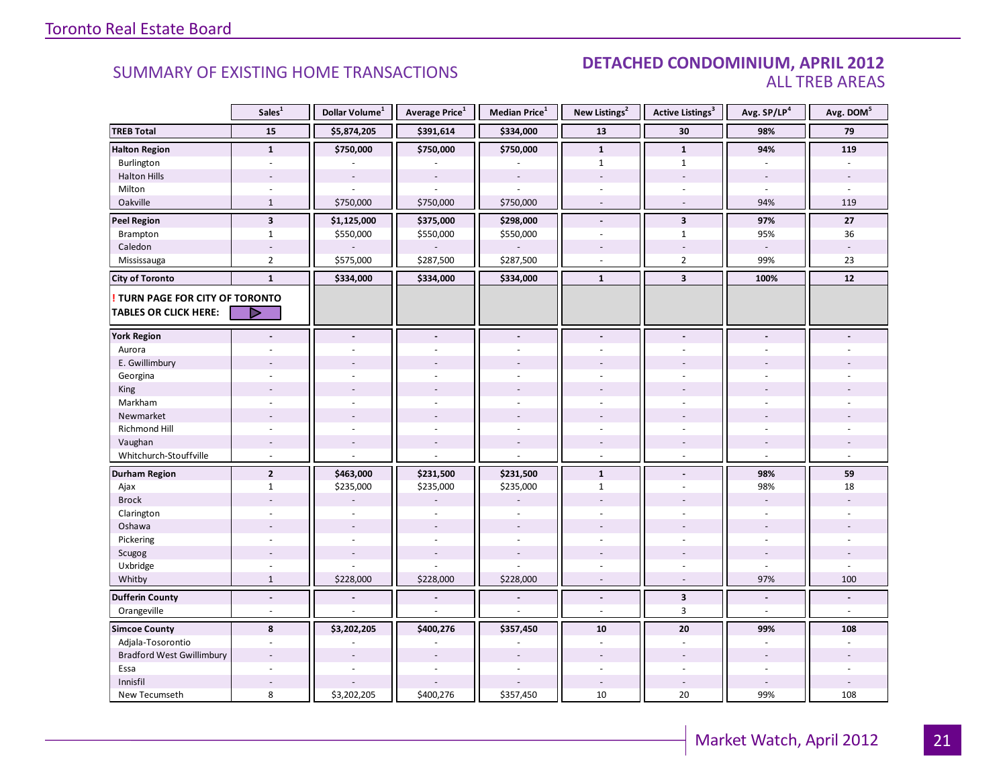#### SUMMARY OF EXISTING HOME TRANSACTIONS **DETACHED CONDOMINIUM, APRIL 2012** ALL TREB AREAS

|                                                                        | Sales <sup>1</sup>      | Dollar Volume <sup>1</sup> | Average Price <sup>1</sup> | Median Price <sup>1</sup> | New Listings <sup>2</sup> | Active Listings <sup>3</sup> | Avg. SP/LP <sup>4</sup> | Avg. DOM <sup>5</sup> |
|------------------------------------------------------------------------|-------------------------|----------------------------|----------------------------|---------------------------|---------------------------|------------------------------|-------------------------|-----------------------|
| <b>TREB Total</b>                                                      | 15                      | \$5,874,205                | \$391,614                  | \$334,000                 | 13                        | 30                           | 98%                     | 79                    |
| <b>Halton Region</b>                                                   | $\mathbf{1}$            | \$750,000                  | \$750,000                  | \$750,000                 | $\mathbf{1}$              | $\mathbf{1}$                 | 94%                     | 119                   |
| Burlington                                                             | $\overline{a}$          |                            |                            |                           | $\mathbf{1}$              | $\mathbf{1}$                 |                         |                       |
| <b>Halton Hills</b>                                                    |                         |                            |                            |                           |                           |                              |                         |                       |
| Milton                                                                 |                         |                            |                            |                           |                           |                              |                         |                       |
| Oakville                                                               | $\mathbf{1}$            | \$750,000                  | \$750,000                  | \$750,000                 | $\overline{\phantom{a}}$  | $\sim$                       | 94%                     | 119                   |
| <b>Peel Region</b>                                                     | $\overline{\mathbf{3}}$ | \$1,125,000                | \$375,000                  | \$298,000                 | $\blacksquare$            | $\overline{\mathbf{3}}$      | 97%                     | 27                    |
| Brampton                                                               | $\mathbf{1}$            | \$550,000                  | \$550,000                  | \$550,000                 | ÷.                        | $\mathbf{1}$                 | 95%                     | 36                    |
| Caledon                                                                | $\sim$                  |                            |                            |                           |                           | $\overline{\phantom{a}}$     |                         |                       |
| Mississauga                                                            | $\overline{2}$          | \$575,000                  | \$287,500                  | \$287,500                 |                           | $\overline{2}$               | 99%                     | 23                    |
| <b>City of Toronto</b>                                                 | $\mathbf{1}$            | \$334,000                  | \$334,000                  | \$334,000                 | $\mathbf{1}$              | $\overline{\mathbf{3}}$      | 100%                    | 12                    |
| <b>! TURN PAGE FOR CITY OF TORONTO</b><br><b>TABLES OR CLICK HERE:</b> | D                       |                            |                            |                           |                           |                              |                         |                       |
| <b>York Region</b>                                                     |                         |                            |                            |                           |                           |                              |                         |                       |
| Aurora                                                                 |                         |                            |                            |                           |                           |                              |                         |                       |
| E. Gwillimbury                                                         |                         |                            |                            |                           |                           |                              |                         |                       |
| Georgina                                                               |                         |                            |                            |                           |                           |                              |                         |                       |
| King                                                                   |                         |                            |                            |                           |                           |                              |                         |                       |
| Markham                                                                | $\overline{a}$          |                            |                            |                           |                           |                              |                         |                       |
| Newmarket                                                              |                         |                            |                            |                           |                           |                              |                         |                       |
| <b>Richmond Hill</b>                                                   |                         |                            |                            |                           |                           |                              |                         |                       |
| Vaughan                                                                | $\overline{a}$          |                            |                            | $\overline{a}$            | $\overline{\phantom{a}}$  |                              |                         |                       |
| Whitchurch-Stouffville                                                 | ÷,                      |                            |                            |                           | $\overline{\phantom{a}}$  | $\bar{a}$                    |                         |                       |
| <b>Durham Region</b>                                                   | $\overline{2}$          | \$463,000                  | \$231,500                  | \$231,500                 | $\mathbf{1}$              |                              | 98%                     | 59                    |
| Ajax                                                                   | $\mathbf{1}$            | \$235,000                  | \$235,000                  | \$235,000                 | $\mathbf{1}$              |                              | 98%                     | 18                    |
| <b>Brock</b>                                                           |                         |                            |                            |                           |                           |                              |                         |                       |
| Clarington                                                             |                         |                            |                            |                           |                           |                              |                         |                       |
| Oshawa                                                                 |                         |                            |                            |                           |                           |                              |                         |                       |
| Pickering                                                              | ÷.                      |                            | $\overline{a}$             | $\overline{a}$            |                           |                              |                         |                       |
| Scugog                                                                 |                         |                            |                            |                           |                           |                              |                         |                       |
| Uxbridge                                                               |                         |                            |                            |                           |                           |                              |                         |                       |
| Whitby                                                                 | $\mathbf{1}$            | \$228,000                  | \$228,000                  | \$228,000                 |                           |                              | 97%                     | 100                   |
| <b>Dufferin County</b>                                                 | $\overline{a}$          | $\tilde{\phantom{a}}$      | $\overline{a}$             | $\overline{a}$            | $\overline{a}$            | $\mathbf{3}$                 | $\blacksquare$          | $\overline{a}$        |
| Orangeville                                                            | $\overline{a}$          |                            |                            |                           | $\overline{a}$            | 3                            | $\sim$                  | $\overline{a}$        |
| <b>Simcoe County</b>                                                   | 8                       | \$3,202,205                | \$400,276                  | \$357,450                 | 10                        | 20                           | 99%                     | 108                   |
| Adjala-Tosorontio                                                      |                         |                            |                            |                           |                           |                              |                         |                       |
| <b>Bradford West Gwillimbury</b>                                       | ÷,                      |                            |                            |                           |                           |                              |                         |                       |
| Essa                                                                   | ÷.                      |                            |                            |                           |                           |                              |                         |                       |
| Innisfil                                                               |                         |                            |                            |                           |                           |                              |                         |                       |
| New Tecumseth                                                          | 8                       | \$3,202,205                | \$400,276                  | \$357,450                 | 10                        | 20                           | 99%                     | 108                   |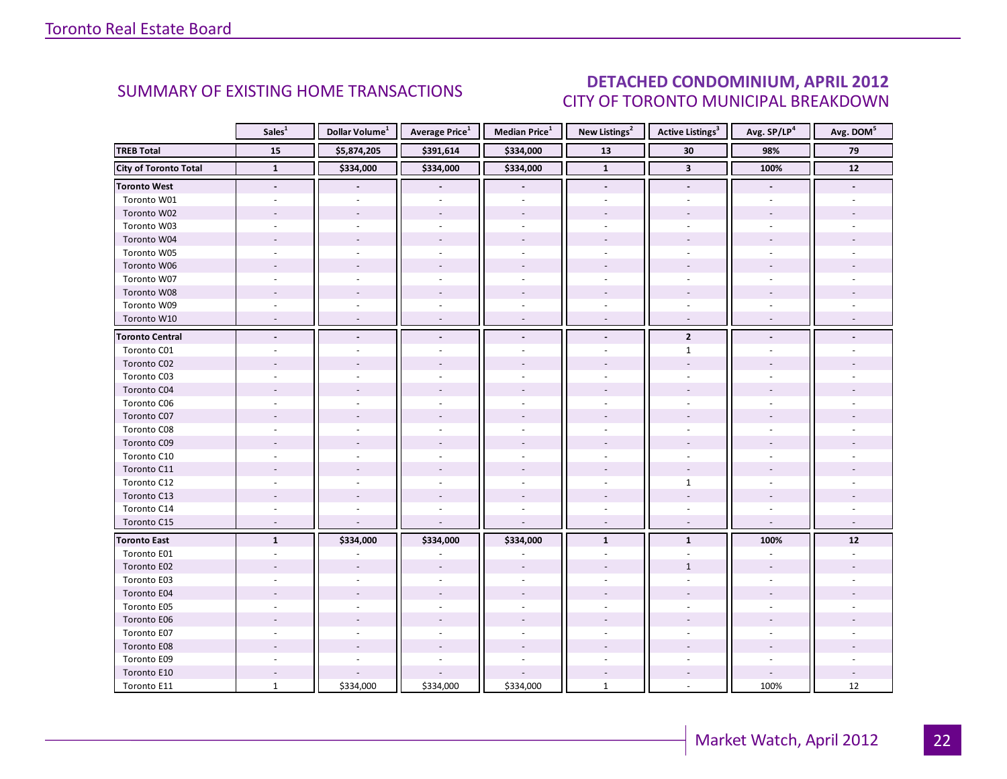### DETACHED CONDOMINIUM, APRIL 2012 CITY OF TORONTO MUNICIPAL BREAKDOWN

<span id="page-21-0"></span>

|                              | Sales <sup>1</sup>       | Dollar Volume <sup>1</sup> | <b>Average Price</b> <sup>1</sup> | <b>Median Price</b> <sup>1</sup> | New Listings <sup>2</sup> | <b>Active Listings<sup>3</sup></b> | Avg. SP/LP <sup>4</sup>  | Avg. DOM <sup>5</sup> |
|------------------------------|--------------------------|----------------------------|-----------------------------------|----------------------------------|---------------------------|------------------------------------|--------------------------|-----------------------|
| <b>TREB Total</b>            | 15                       | \$5,874,205                | \$391,614                         | \$334,000                        | 13                        | $30\,$                             | 98%                      | 79                    |
| <b>City of Toronto Total</b> | $\mathbf{1}$             | \$334,000                  | \$334,000                         | \$334,000                        | $\overline{1}$            | $\mathbf{3}$                       | 100%                     | 12                    |
| <b>Toronto West</b>          | $\overline{\phantom{a}}$ |                            |                                   |                                  | $\overline{\phantom{a}}$  | $\overline{\phantom{a}}$           | $\overline{\phantom{a}}$ |                       |
| Toronto W01                  |                          |                            |                                   |                                  |                           |                                    |                          |                       |
| Toronto W02                  |                          |                            |                                   |                                  |                           |                                    |                          |                       |
| Toronto W03                  | ÷.                       |                            |                                   |                                  |                           |                                    |                          |                       |
| Toronto W04                  |                          |                            |                                   |                                  |                           |                                    |                          |                       |
| Toronto W05                  |                          |                            |                                   |                                  |                           |                                    |                          |                       |
| Toronto W06                  |                          |                            |                                   |                                  |                           |                                    |                          |                       |
| Toronto W07                  |                          |                            |                                   |                                  |                           |                                    |                          |                       |
| Toronto W08                  |                          |                            |                                   |                                  |                           |                                    |                          |                       |
| Toronto W09                  |                          |                            |                                   |                                  |                           |                                    |                          |                       |
| Toronto W10                  |                          |                            |                                   |                                  |                           |                                    |                          |                       |
| <b>Toronto Central</b>       |                          |                            | $\blacksquare$                    | $\blacksquare$                   | $\blacksquare$            | $\overline{2}$                     |                          |                       |
| Toronto C01                  |                          |                            |                                   |                                  |                           | $\mathbf{1}$                       |                          |                       |
| Toronto C02                  |                          |                            |                                   |                                  |                           |                                    |                          |                       |
| Toronto C03                  |                          |                            |                                   |                                  |                           |                                    |                          |                       |
| Toronto C04                  |                          |                            |                                   |                                  |                           |                                    |                          |                       |
| Toronto C06                  |                          |                            |                                   |                                  |                           |                                    |                          |                       |
| Toronto C07                  |                          |                            |                                   |                                  |                           |                                    |                          |                       |
| Toronto C08                  |                          |                            |                                   |                                  |                           |                                    |                          |                       |
| Toronto C09                  |                          |                            |                                   |                                  |                           |                                    |                          |                       |
| Toronto C10                  |                          |                            |                                   |                                  |                           |                                    |                          |                       |
| Toronto C11                  |                          |                            |                                   |                                  |                           |                                    |                          |                       |
| Toronto C12                  |                          |                            |                                   |                                  |                           | $\mathbf{1}$                       |                          |                       |
| Toronto C13                  |                          |                            |                                   |                                  |                           |                                    |                          |                       |
| Toronto C14                  |                          |                            |                                   |                                  |                           |                                    |                          |                       |
| Toronto C15                  | $\overline{a}$           |                            | $\sim$                            | $\sim$                           | $\overline{\phantom{a}}$  | $\sim$                             | $\sim$                   |                       |
| <b>Toronto East</b>          | $\mathbf{1}$             | \$334,000                  | \$334,000                         | \$334,000                        | $\mathbf{1}$              | $\mathbf{1}$                       | 100%                     | $12$                  |
| Toronto E01                  |                          |                            |                                   |                                  |                           |                                    |                          |                       |
| Toronto E02                  |                          |                            |                                   |                                  |                           | $\mathbf{1}$                       |                          |                       |
| Toronto E03                  |                          |                            |                                   |                                  |                           |                                    |                          |                       |
| Toronto E04                  |                          |                            |                                   |                                  |                           |                                    |                          |                       |
| Toronto E05                  |                          |                            |                                   |                                  |                           |                                    |                          |                       |
| Toronto E06                  |                          |                            |                                   |                                  |                           |                                    |                          |                       |
| Toronto E07                  |                          |                            |                                   |                                  |                           |                                    |                          |                       |
| Toronto E08                  |                          |                            |                                   |                                  |                           |                                    |                          |                       |
| Toronto E09                  |                          |                            |                                   |                                  |                           |                                    |                          |                       |
| Toronto E10                  |                          |                            |                                   |                                  |                           |                                    |                          |                       |
| Toronto E11                  | $\mathbf{1}$             | \$334,000                  | \$334,000                         | \$334,000                        | $\mathbf{1}$              |                                    | 100%                     | 12                    |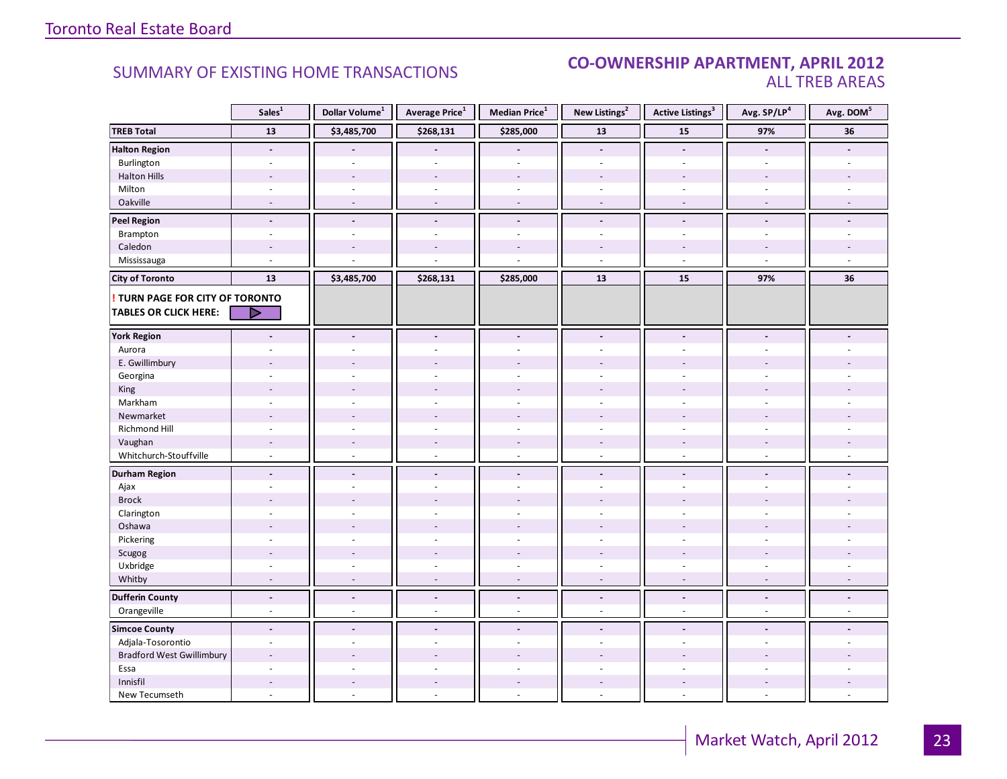#### **Industrial Leasing SUMMARY OF EXISTING HOME TRANSACTIONS CO-OWNERSHIP APARTMENT, APRIL 2012** ALL TREB AREAS

|                                        | Sales <sup>1</sup>       | Dollar Volume <sup>1</sup> | Average Price <sup>1</sup> | Median Price <sup>1</sup> | New Listings <sup>2</sup> | <b>Active Listings<sup>3</sup></b> | Avg. SP/LP <sup>4</sup>  | Avg. DOM <sup>5</sup> |
|----------------------------------------|--------------------------|----------------------------|----------------------------|---------------------------|---------------------------|------------------------------------|--------------------------|-----------------------|
| <b>TREB Total</b>                      | 13                       | \$3,485,700                | \$268,131                  | \$285,000                 | 13                        | 15                                 | 97%                      | 36                    |
| <b>Halton Region</b>                   | $\overline{\phantom{a}}$ |                            |                            | $\overline{\phantom{a}}$  | $\blacksquare$            | $\mathbf{r}$                       | $\blacksquare$           |                       |
| Burlington                             | ٠                        |                            |                            | $\overline{a}$            | $\overline{a}$            | $\overline{a}$                     | $\overline{a}$           |                       |
| <b>Halton Hills</b>                    | $\overline{\phantom{a}}$ | $\sim$                     | ÷,                         | $\overline{a}$            | $\sim$                    | $\overline{\phantom{a}}$           | $\overline{\phantom{a}}$ |                       |
| Milton                                 | $\overline{\phantom{a}}$ | $\omega$                   | $\sim$                     | $\overline{\phantom{a}}$  | $\omega$                  | $\overline{\phantom{a}}$           | $\sim$                   |                       |
| Oakville                               | $\sim$                   | $\overline{a}$             | $\sim$                     | $\overline{\phantom{a}}$  | $\sim$                    | $\sim$                             | $\sim$                   |                       |
| <b>Peel Region</b>                     | $\blacksquare$           | $\overline{\phantom{a}}$   | $\overline{\phantom{a}}$   | $\blacksquare$            | $\overline{\phantom{a}}$  | $\overline{\phantom{a}}$           | $\blacksquare$           |                       |
| Brampton                               | $\sim$                   | $\sim$                     | $\bar{a}$                  | ä,                        | $\omega$                  | $\overline{\phantom{a}}$           | $\bar{a}$                |                       |
| Caledon                                | $\overline{a}$           |                            |                            | $\overline{a}$            |                           | $\overline{a}$                     |                          |                       |
| Mississauga                            | $\overline{a}$           |                            |                            |                           | $\overline{a}$            | $\overline{a}$                     | $\overline{a}$           |                       |
| <b>City of Toronto</b>                 | 13                       | \$3,485,700                | \$268,131                  | \$285,000                 | 13                        | 15                                 | 97%                      | 36                    |
| <b>! TURN PAGE FOR CITY OF TORONTO</b> |                          |                            |                            |                           |                           |                                    |                          |                       |
| <b>TABLES OR CLICK HERE:</b>           | D                        |                            |                            |                           |                           |                                    |                          |                       |
|                                        |                          |                            |                            |                           |                           |                                    |                          |                       |
| <b>York Region</b>                     | $\overline{a}$           | $\blacksquare$             | $\blacksquare$             | $\overline{a}$            | $\blacksquare$            | $\blacksquare$                     | $\blacksquare$           |                       |
| Aurora                                 | ٠                        |                            | ÷                          | ä,                        | ÷.                        | $\overline{a}$                     |                          |                       |
| E. Gwillimbury                         |                          |                            |                            |                           |                           |                                    |                          |                       |
| Georgina                               |                          |                            |                            | $\overline{a}$            |                           |                                    |                          |                       |
| King                                   |                          |                            | $\overline{a}$             | ÷.                        |                           |                                    |                          |                       |
| Markham                                | ÷,                       |                            | $\bar{a}$                  | ÷,                        | $\sim$                    | $\bar{a}$                          | ÷,                       |                       |
| Newmarket                              |                          |                            |                            |                           |                           |                                    |                          |                       |
| Richmond Hill                          |                          |                            |                            |                           |                           |                                    |                          |                       |
| Vaughan                                | $\overline{\phantom{a}}$ |                            | $\overline{\phantom{a}}$   | $\overline{a}$            |                           |                                    |                          |                       |
| Whitchurch-Stouffville                 | $\omega$                 | $\sim$                     | ÷.                         | $\mathcal{L}$             | ÷.                        | ÷.                                 | $\sim$                   |                       |
| <b>Durham Region</b>                   | $\blacksquare$           | $\blacksquare$             | $\blacksquare$             | $\blacksquare$            | $\blacksquare$            | $\blacksquare$                     | $\blacksquare$           |                       |
| Ajax                                   | ÷,                       |                            | $\bar{a}$                  | $\bar{a}$                 | $\sim$                    | $\bar{a}$                          | $\bar{a}$                |                       |
| <b>Brock</b>                           | ٠                        |                            |                            | $\overline{a}$            |                           |                                    |                          |                       |
| Clarington                             | ÷.                       |                            |                            | $\overline{a}$            |                           | ÷,                                 |                          |                       |
| Oshawa                                 |                          |                            |                            |                           |                           |                                    |                          |                       |
| Pickering                              | ÷.                       | $\overline{a}$             | $\overline{a}$             | L.                        | $\mathbf{r}$              | $\overline{a}$                     | $\overline{a}$           |                       |
| Scugog                                 |                          |                            |                            |                           |                           |                                    |                          |                       |
| Uxbridge                               | ÷.                       |                            | ÷                          | $\overline{a}$            | ÷.                        | ÷                                  | ÷.                       |                       |
| Whitby                                 | $\overline{\phantom{a}}$ |                            | $\overline{a}$             | ÷,                        | $\sim$                    | $\overline{\phantom{a}}$           | $\overline{\phantom{a}}$ |                       |
| <b>Dufferin County</b>                 | $\mathbf{r}$             | $\Box$                     | $\Box$                     | $\Box$                    | $\blacksquare$            | $\blacksquare$                     | $\Box$                   | $\overline{a}$        |
| Orangeville                            | $\sim$                   | $\sim$                     | $\sim$                     | ä,                        | $\sim$                    | $\blacksquare$                     | $\overline{a}$           |                       |
| <b>Simcoe County</b>                   | $\blacksquare$           | $\blacksquare$             | $\frac{1}{2}$              | $\overline{a}$            | $\blacksquare$            | $\blacksquare$                     |                          |                       |
| Adjala-Tosorontio                      | $\overline{\phantom{a}}$ |                            | ÷,                         | $\overline{a}$            | ÷.                        | $\sim$                             |                          |                       |
| <b>Bradford West Gwillimbury</b>       |                          |                            |                            |                           |                           |                                    |                          |                       |
| Essa                                   | ÷.                       |                            | L.                         | $\overline{a}$            | ÷,                        | ÷                                  | $\equiv$                 |                       |
| Innisfil                               | $\overline{a}$           |                            | $\overline{\phantom{a}}$   | $\overline{\phantom{a}}$  |                           | $\blacksquare$                     | $\overline{a}$           |                       |
| New Tecumseth                          | $\overline{a}$           |                            | $\overline{a}$             | $\overline{a}$            | $\sim$                    | $\sim$                             | $\sim$                   |                       |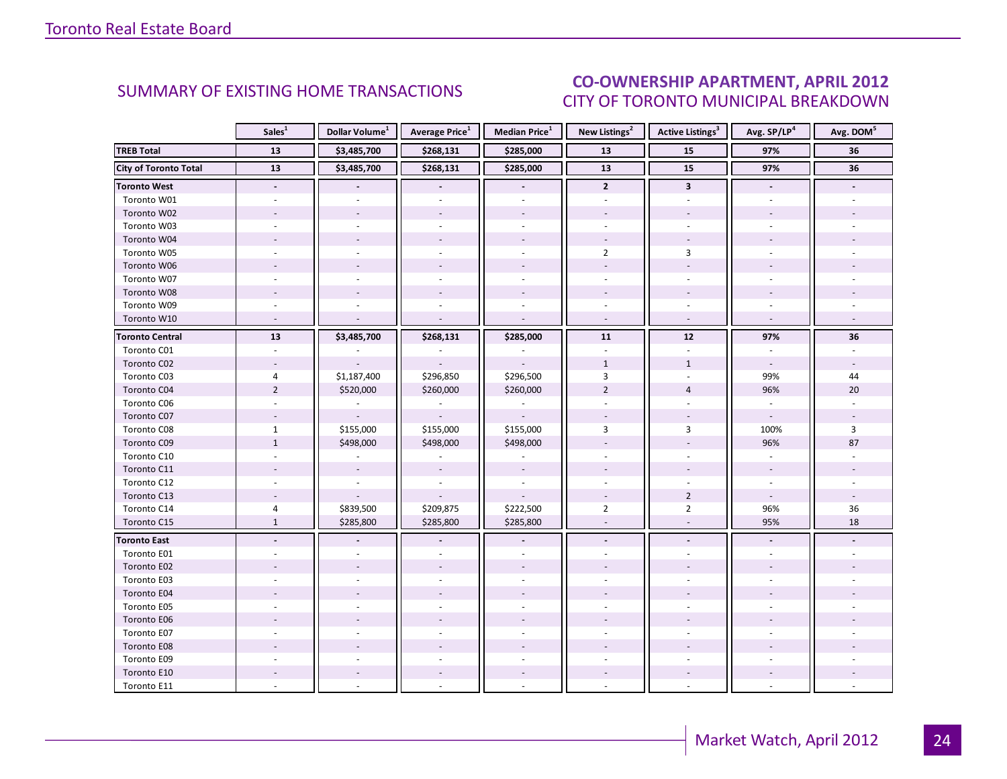### CO-OWNERSHIP APARTMENT, APRIL 2012 CITY OF TORONTO MUNICIPAL BREAKDOWN

<span id="page-23-0"></span>

|                              | Sales $^{1}$             | Dollar Volume <sup>1</sup> | <b>Average Price</b> <sup>1</sup> | Median Price <sup>1</sup> | New Listings <sup>2</sup> | <b>Active Listings<sup>3</sup></b> | Avg. SP/LP <sup>4</sup>  | Avg. DOM <sup>5</sup> |
|------------------------------|--------------------------|----------------------------|-----------------------------------|---------------------------|---------------------------|------------------------------------|--------------------------|-----------------------|
| <b>TREB Total</b>            | 13                       | \$3,485,700                | \$268,131                         | \$285,000                 | 13                        | 15                                 | 97%                      | 36                    |
| <b>City of Toronto Total</b> | 13                       | \$3,485,700                | \$268,131                         | \$285,000                 | 13                        | 15                                 | 97%                      | 36                    |
| <b>Toronto West</b>          | $\overline{\phantom{a}}$ |                            | $\overline{\phantom{a}}$          | $\blacksquare$            | $\overline{2}$            | $\mathbf{3}$                       | $\overline{\phantom{a}}$ |                       |
| Toronto W01                  |                          |                            |                                   |                           |                           |                                    |                          |                       |
| Toronto W02                  |                          |                            |                                   |                           |                           |                                    |                          |                       |
| Toronto W03                  | $\sim$                   |                            | $\overline{a}$                    | $\sim$                    | ÷.                        | $\sim$                             |                          |                       |
| Toronto W04                  |                          |                            |                                   |                           |                           |                                    |                          |                       |
| Toronto W05                  |                          |                            |                                   |                           | $\overline{2}$            | 3                                  |                          |                       |
| Toronto W06                  |                          |                            |                                   |                           |                           |                                    |                          |                       |
| Toronto W07                  |                          |                            |                                   |                           |                           |                                    |                          |                       |
| Toronto W08                  |                          |                            |                                   |                           |                           |                                    |                          |                       |
| Toronto W09                  |                          |                            |                                   |                           |                           |                                    |                          |                       |
| Toronto W10                  | $\sim$                   |                            |                                   | $\sim$                    | $\omega$                  | $\sim$                             | $\sim$                   |                       |
| <b>Toronto Central</b>       | 13                       | \$3,485,700                | \$268,131                         | \$285,000                 | 11                        | $12$                               | 97%                      | 36                    |
| Toronto C01                  |                          |                            |                                   |                           |                           |                                    |                          |                       |
| Toronto C02                  | $\sim$                   |                            |                                   |                           | $\mathbf{1}$              | $\mathbf{1}$                       | $\overline{\phantom{a}}$ |                       |
| Toronto C03                  | 4                        | \$1,187,400                | \$296,850                         | \$296,500                 | 3                         | ÷,                                 | 99%                      | 44                    |
| Toronto C04                  | $\overline{2}$           | \$520,000                  | \$260,000                         | \$260,000                 | $\overline{2}$            | $\overline{4}$                     | 96%                      | 20                    |
| Toronto C06                  |                          |                            |                                   |                           |                           |                                    |                          |                       |
| Toronto C07                  |                          |                            |                                   |                           |                           |                                    | $\overline{\phantom{a}}$ |                       |
| Toronto C08                  | $\mathbf{1}$             | \$155,000                  | \$155,000                         | \$155,000                 | 3                         | 3                                  | 100%                     | 3                     |
| Toronto C09                  | $\mathbf{1}$             | \$498,000                  | \$498,000                         | \$498,000                 |                           |                                    | 96%                      | 87                    |
| Toronto C10                  |                          |                            |                                   |                           |                           |                                    |                          |                       |
| Toronto C11                  |                          | $\omega$                   | $\overline{\phantom{a}}$          |                           |                           |                                    |                          |                       |
| Toronto C12                  |                          |                            |                                   |                           |                           |                                    |                          |                       |
| Toronto C13                  |                          |                            |                                   |                           |                           | $\overline{2}$                     | $\omega$                 |                       |
| Toronto C14                  | $\overline{4}$           | \$839,500                  | \$209,875                         | \$222,500                 | $\overline{2}$            | $\overline{2}$                     | 96%                      | 36                    |
| Toronto C15                  | $\mathbf{1}$             | \$285,800                  | \$285,800                         | \$285,800                 | $\overline{\phantom{a}}$  | $\overline{\phantom{a}}$           | 95%                      | 18                    |
| <b>Toronto East</b>          |                          |                            |                                   |                           |                           |                                    |                          |                       |
| Toronto E01                  |                          |                            |                                   |                           |                           |                                    |                          |                       |
| Toronto E02                  |                          |                            |                                   |                           |                           |                                    |                          |                       |
| Toronto E03                  |                          |                            |                                   |                           |                           |                                    |                          |                       |
| Toronto E04                  |                          |                            |                                   |                           |                           |                                    |                          |                       |
| Toronto E05                  |                          |                            |                                   |                           |                           |                                    |                          |                       |
| Toronto E06                  |                          |                            |                                   |                           |                           |                                    |                          |                       |
| Toronto E07                  |                          |                            |                                   |                           |                           |                                    |                          |                       |
| Toronto E08                  |                          |                            |                                   |                           |                           |                                    |                          |                       |
| Toronto E09                  |                          |                            |                                   |                           |                           |                                    |                          |                       |
| Toronto E10                  |                          |                            |                                   |                           |                           |                                    |                          |                       |
| Toronto E11                  |                          |                            |                                   |                           |                           |                                    |                          |                       |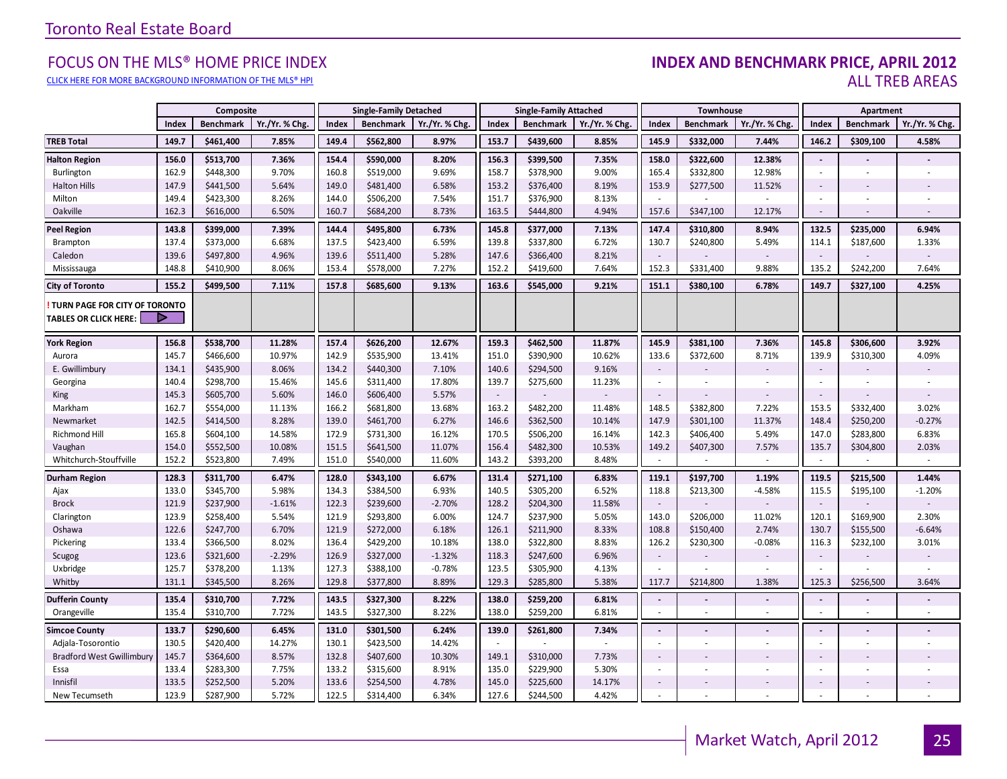#### FOCUS ON THE MLS® HOME PRICE INDEX<br>CLICK HERE FOR MORE RACKGROUND INFORMATION OF THE MLS® HPI CLICK HERE FOR MORE BACKGROUND INFORMATION OF THE MLS® HPI ALL TRED AREAS

|                                                               |       | Composite        |                |       | <b>Single-Family Detached</b> |                | <b>Single-Family Attached</b> |                  |                          |                          | Townhouse                |                          |                | Apartment                |                |  |
|---------------------------------------------------------------|-------|------------------|----------------|-------|-------------------------------|----------------|-------------------------------|------------------|--------------------------|--------------------------|--------------------------|--------------------------|----------------|--------------------------|----------------|--|
|                                                               | Index | <b>Benchmark</b> | Yr./Yr. % Chg. | Index | <b>Benchmark</b>              | Yr./Yr. % Chg. | Index                         | <b>Benchmark</b> | Yr./Yr. % Chg.           | Index                    | <b>Benchmark</b>         | Yr./Yr. % Chg            | Index          | <b>Benchmark</b>         | Yr./Yr. % Chg. |  |
| <b>TREB Total</b>                                             | 149.7 | \$461,400        | 7.85%          | 149.4 | \$562,800                     | 8.97%          | 153.7                         | \$439,600        | 8.85%                    | 145.9                    | \$332,000                | 7.44%                    | 146.2          | \$309,100                | 4.58%          |  |
| <b>Halton Region</b>                                          | 156.0 | \$513,700        | 7.36%          | 154.4 | \$590,000                     | 8.20%          | 156.3                         | \$399,500        | 7.35%                    | 158.0                    | \$322,600                | 12.38%                   | $\sim$         |                          |                |  |
| Burlington                                                    | 162.9 | \$448,300        | 9.70%          | 160.8 | \$519,000                     | 9.69%          | 158.7                         | \$378,900        | 9.00%                    | 165.4                    | \$332,800                | 12.98%                   | ÷              |                          |                |  |
| <b>Halton Hills</b>                                           | 147.9 | \$441,500        | 5.64%          | 149.0 | \$481,400                     | 6.58%          | 153.2                         | \$376,400        | 8.19%                    | 153.9                    | \$277,500                | 11.52%                   | $\sim$         |                          |                |  |
| Milton                                                        | 149.4 | \$423,300        | 8.26%          | 144.0 | \$506,200                     | 7.54%          | 151.7                         | \$376,900        | 8.13%                    | $\sim$                   |                          |                          | ÷              | $\sim$                   |                |  |
| Oakville                                                      | 162.3 | \$616,000        | 6.50%          | 160.7 | \$684,200                     | 8.73%          | 163.5                         | \$444,800        | 4.94%                    | 157.6                    | \$347,100                | 12.17%                   | $\sim$         | $\overline{a}$           | $\overline{a}$ |  |
| <b>Peel Region</b>                                            | 143.8 | \$399,000        | 7.39%          | 144.4 | \$495,800                     | 6.73%          | 145.8                         | \$377,000        | 7.13%                    | 147.4                    | \$310,800                | 8.94%                    | 132.5          | \$235,000                | 6.94%          |  |
| Brampton                                                      | 137.4 | \$373,000        | 6.68%          | 137.5 | \$423,400                     | 6.59%          | 139.8                         | \$337,800        | 6.72%                    | 130.7                    | \$240,800                | 5.49%                    | 114.1          | \$187,600                | 1.33%          |  |
| Caledon                                                       | 139.6 | \$497,800        | 4.96%          | 139.6 | \$511,400                     | 5.28%          | 147.6                         | \$366,400        | 8.21%                    | $\sim$                   |                          |                          | $\sim$         |                          |                |  |
| Mississauga                                                   | 148.8 | \$410,900        | 8.06%          | 153.4 | \$578,000                     | 7.27%          | 152.2                         | \$419,600        | 7.64%                    | 152.3                    | \$331,400                | 9.88%                    | 135.2          | \$242,200                | 7.64%          |  |
| <b>City of Toronto</b>                                        | 155.2 | \$499,500        | 7.11%          | 157.8 | \$685,600                     | 9.13%          | 163.6                         | \$545,000        | 9.21%                    | 151.1                    | \$380,100                | 6.78%                    | 149.7          | \$327,100                | 4.25%          |  |
| TURN PAGE FOR CITY OF TORONTO<br><b>TABLES OR CLICK HERE:</b> | D     |                  |                |       |                               |                |                               |                  |                          |                          |                          |                          |                |                          |                |  |
| <b>York Region</b>                                            | 156.8 | \$538,700        | 11.28%         | 157.4 | \$626,200                     | 12.67%         | 159.3                         | \$462,500        | 11.87%                   | 145.9                    | \$381,100                | 7.36%                    | 145.8          | \$306,600                | 3.92%          |  |
| Aurora                                                        | 145.7 | \$466,600        | 10.97%         | 142.9 | \$535,900                     | 13.41%         | 151.0                         | \$390,900        | 10.62%                   | 133.6                    | \$372,600                | 8.71%                    | 139.9          | \$310,300                | 4.09%          |  |
| E. Gwillimbury                                                | 134.1 | \$435,900        | 8.06%          | 134.2 | \$440,300                     | 7.10%          | 140.6                         | \$294,500        | 9.16%                    | $\sim$                   |                          |                          | $\sim$         |                          |                |  |
| Georgina                                                      | 140.4 | \$298,700        | 15.46%         | 145.6 | \$311,400                     | 17.80%         | 139.7                         | \$275,600        | 11.23%                   | $\sim$                   |                          | $\overline{\phantom{a}}$ | $\sim$         | $\overline{\phantom{a}}$ |                |  |
| King                                                          | 145.3 | \$605,700        | 5.60%          | 146.0 | \$606,400                     | 5.57%          | $\sim$                        |                  |                          | $\sim$                   |                          |                          | $\sim$         |                          |                |  |
| Markham                                                       | 162.7 | \$554,000        | 11.13%         | 166.2 | \$681,800                     | 13.68%         | 163.2                         | \$482,200        | 11.48%                   | 148.5                    | \$382,800                | 7.22%                    | 153.5          | \$332,400                | 3.02%          |  |
| Newmarket                                                     | 142.5 | \$414,500        | 8.28%          | 139.0 | \$461,700                     | 6.27%          | 146.6                         | \$362,500        | 10.14%                   | 147.9                    | \$301,100                | 11.37%                   | 148.4          | \$250,200                | $-0.27%$       |  |
| Richmond Hill                                                 | 165.8 | \$604,100        | 14.58%         | 172.9 | \$731,300                     | 16.12%         | 170.5                         | \$506,200        | 16.14%                   | 142.3                    | \$406,400                | 5.49%                    | 147.0          | \$283,800                | 6.83%          |  |
| Vaughan                                                       | 154.0 | \$552,500        | 10.08%         | 151.5 | \$641,500                     | 11.07%         | 156.4                         | \$482,300        | 10.53%                   | 149.2                    | \$407,300                | 7.57%                    | 135.7          | \$304,800                | 2.03%          |  |
| Whitchurch-Stouffville                                        | 152.2 | \$523,800        | 7.49%          | 151.0 | \$540,000                     | 11.60%         | 143.2                         | \$393,200        | 8.48%                    | $\sim$                   |                          | $\sim$                   | $\sim$         |                          | $\sim$         |  |
| <b>Durham Region</b>                                          | 128.3 | \$311,700        | 6.47%          | 128.0 | \$343,100                     | 6.67%          | 131.4                         | \$271,100        | 6.83%                    | 119.1                    | \$197,700                | 1.19%                    | 119.5          | \$215,500                | 1.44%          |  |
| Ajax                                                          | 133.0 | \$345,700        | 5.98%          | 134.3 | \$384,500                     | 6.93%          | 140.5                         | \$305,200        | 6.52%                    | 118.8                    | \$213,300                | $-4.58%$                 | 115.5          | \$195,100                | $-1.20%$       |  |
| <b>Brock</b>                                                  | 121.9 | \$237,900        | $-1.61%$       | 122.3 | \$239,600                     | $-2.70%$       | 128.2                         | \$204,300        | 11.58%                   | $\sim$                   |                          |                          | $\sim$         |                          |                |  |
| Clarington                                                    | 123.9 | \$258,400        | 5.54%          | 121.9 | \$293,800                     | 6.00%          | 124.7                         | \$237,900        | 5.05%                    | 143.0                    | \$206,000                | 11.02%                   | 120.1          | \$169,900                | 2.30%          |  |
| Oshawa                                                        | 122.6 | \$247,700        | 6.70%          | 121.9 | \$272,000                     | 6.18%          | 126.1                         | \$211,900        | 8.33%                    | 108.8                    | \$150,400                | 2.74%                    | 130.7          | \$155,500                | $-6.64%$       |  |
| Pickering                                                     | 133.4 | \$366,500        | 8.02%          | 136.4 | \$429,200                     | 10.18%         | 138.0                         | \$322,800        | 8.83%                    | 126.2                    | \$230,300                | $-0.08%$                 | 116.3          | \$232,100                | 3.01%          |  |
| Scugog                                                        | 123.6 | \$321,600        | $-2.29%$       | 126.9 | \$327,000                     | $-1.32%$       | 118.3                         | \$247,600        | 6.96%                    | $\sim$                   |                          |                          | $\sim$         |                          |                |  |
| Uxbridge                                                      | 125.7 | \$378,200        | 1.13%          | 127.3 | \$388,100                     | $-0.78%$       | 123.5                         | \$305,900        | 4.13%                    | $\sim$                   |                          |                          |                |                          |                |  |
| Whitby                                                        | 131.1 | \$345,500        | 8.26%          | 129.8 | \$377,800                     | 8.89%          | 129.3                         | \$285,800        | 5.38%                    | 117.7                    | \$214,800                | 1.38%                    | 125.3          | \$256,500                | 3.64%          |  |
| <b>Dufferin County</b>                                        | 135.4 | \$310,700        | 7.72%          | 143.5 | \$327,300                     | 8.22%          | 138.0                         | \$259,200        | 6.81%                    | $\blacksquare$           |                          | $\overline{\phantom{a}}$ | $\blacksquare$ |                          |                |  |
| Orangeville                                                   | 135.4 | \$310,700        | 7.72%          | 143.5 | \$327,300                     | 8.22%          | 138.0                         | \$259,200        | 6.81%                    | $\sim$                   | ×.                       | $\mathbf{r}$             | ÷              | $\sim$                   | $\sim$         |  |
| <b>Simcoe County</b>                                          | 133.7 | \$290,600        | 6.45%          | 131.0 | \$301,500                     | 6.24%          | 139.0                         | \$261,800        | 7.34%                    | $\blacksquare$           |                          |                          | $\blacksquare$ |                          |                |  |
| Adjala-Tosorontio                                             | 130.5 | \$420,400        | 14.27%         | 130.1 | \$423,500                     | 14.42%         | $\sim$                        |                  | $\overline{\phantom{a}}$ | $\sim$                   | $\overline{\phantom{a}}$ | $\overline{\phantom{a}}$ | $\sim$         | $\overline{\phantom{a}}$ |                |  |
| <b>Bradford West Gwillimbury</b>                              | 145.7 | \$364,600        | 8.57%          | 132.8 | \$407,600                     | 10.30%         | 149.1                         | \$310,000        | 7.73%                    | $\sim$                   |                          |                          | $\sim$         |                          |                |  |
| Essa                                                          | 133.4 | \$283,300        | 7.75%          | 133.2 | \$315,600                     | 8.91%          | 135.0                         | \$229,900        | 5.30%                    | $\overline{\phantom{a}}$ |                          | $\sim$                   | $\sim$         |                          |                |  |
| Innisfil                                                      | 133.5 | \$252,500        | 5.20%          | 133.6 | \$254,500                     | 4.78%          | 145.0                         | \$225,600        | 14.17%                   | $\sim$                   |                          |                          | $\sim$         |                          |                |  |
| New Tecumseth                                                 | 123.9 | \$287,900        | 5.72%          | 122.5 | \$314,400                     | 6.34%          | 127.6                         | \$244,500        | 4.42%                    | $\overline{\phantom{a}}$ |                          | ÷.                       |                |                          |                |  |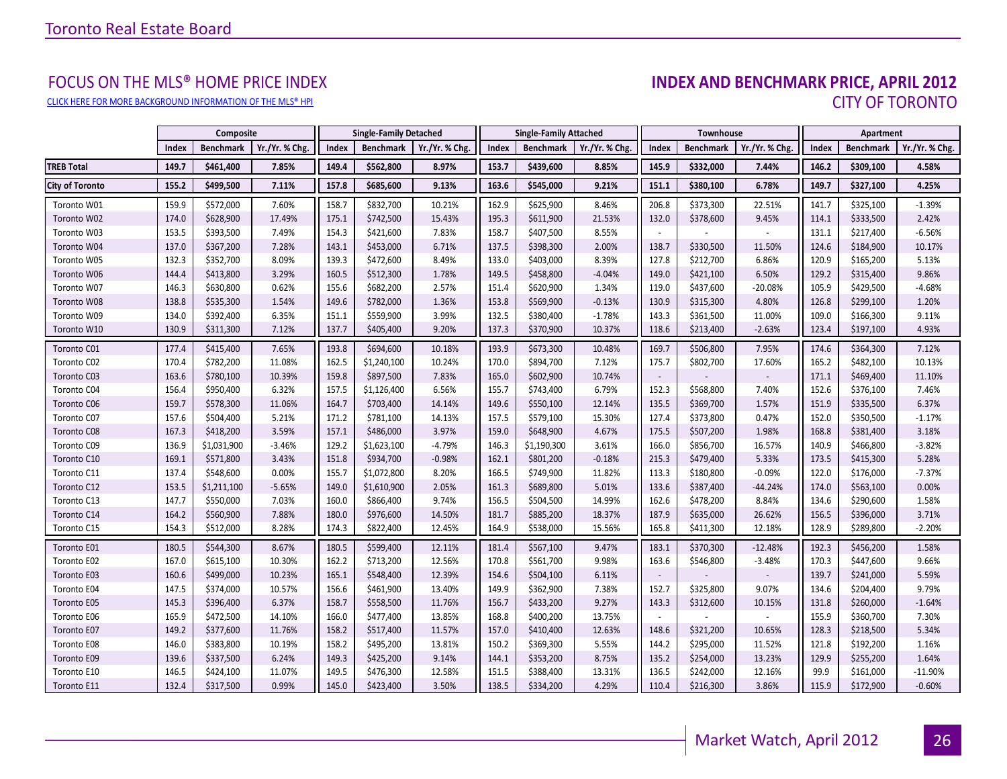# FOCUS ON THE MLS® HOME PRICE INDEX<br>**INDEX AND BENCHMARK PRICE, APRIL 2012** CLICK HERE FOR MORE BACKGROUND INFORMATION OF THE MLS® HPI CITY OF TORONTO

<span id="page-25-0"></span>

|                        |       | Composite        |                |       | <b>Single-Family Detached</b><br><b>Single-Family Attached</b> |                | Townhouse |                  |                | Apartment                |                  |                |       |                  |                |
|------------------------|-------|------------------|----------------|-------|----------------------------------------------------------------|----------------|-----------|------------------|----------------|--------------------------|------------------|----------------|-------|------------------|----------------|
|                        | Index | <b>Benchmark</b> | Yr./Yr. % Chg. | Index | <b>Benchmark</b>                                               | Yr./Yr. % Chg. | Index     | <b>Benchmark</b> | Yr./Yr. % Chg. | Index                    | <b>Benchmark</b> | Yr./Yr. % Chg. | Index | <b>Benchmark</b> | Yr./Yr. % Chg. |
| <b>TREB Total</b>      | 149.7 | \$461,400        | 7.85%          | 149.4 | \$562,800                                                      | 8.97%          | 153.7     | \$439,600        | 8.85%          | 145.9                    | \$332,000        | 7.44%          | 146.2 | \$309,100        | 4.58%          |
| <b>City of Toronto</b> | 155.2 | \$499,500        | 7.11%          | 157.8 | \$685,600                                                      | 9.13%          | 163.6     | \$545,000        | 9.21%          | 151.1                    | \$380,100        | 6.78%          | 149.7 | \$327,100        | 4.25%          |
| Toronto W01            | 159.9 | \$572,000        | 7.60%          | 158.7 | \$832,700                                                      | 10.21%         | 162.9     | \$625,900        | 8.46%          | 206.8                    | \$373,300        | 22.51%         | 141.7 | \$325,100        | $-1.39%$       |
| Toronto W02            | 174.0 | \$628,900        | 17.49%         | 175.1 | \$742,500                                                      | 15.43%         | 195.3     | \$611,900        | 21.53%         | 132.0                    | \$378,600        | 9.45%          | 114.1 | \$333,500        | 2.42%          |
| Toronto W03            | 153.5 | \$393,500        | 7.49%          | 154.3 | \$421,600                                                      | 7.83%          | 158.7     | \$407,500        | 8.55%          |                          |                  |                | 131.1 | \$217,400        | $-6.56%$       |
| Toronto W04            | 137.0 | \$367,200        | 7.28%          | 143.1 | \$453,000                                                      | 6.71%          | 137.5     | \$398,300        | 2.00%          | 138.7                    | \$330,500        | 11.50%         | 124.6 | \$184,900        | 10.17%         |
| Toronto W05            | 132.3 | \$352,700        | 8.09%          | 139.3 | \$472,600                                                      | 8.49%          | 133.0     | \$403,000        | 8.39%          | 127.8                    | \$212,700        | 6.86%          | 120.9 | \$165,200        | 5.13%          |
| Toronto W06            | 144.4 | \$413,800        | 3.29%          | 160.5 | \$512,300                                                      | 1.78%          | 149.5     | \$458,800        | $-4.04%$       | 149.0                    | \$421,100        | 6.50%          | 129.2 | \$315,400        | 9.86%          |
| Toronto W07            | 146.3 | \$630,800        | 0.62%          | 155.6 | \$682,200                                                      | 2.57%          | 151.4     | \$620,900        | 1.34%          | 119.0                    | \$437,600        | $-20.08%$      | 105.9 | \$429,500        | $-4.68%$       |
| Toronto W08            | 138.8 | \$535,300        | 1.54%          | 149.6 | \$782,000                                                      | 1.36%          | 153.8     | \$569,900        | $-0.13%$       | 130.9                    | \$315,300        | 4.80%          | 126.8 | \$299,100        | 1.20%          |
| Toronto W09            | 134.0 | \$392,400        | 6.35%          | 151.1 | \$559,900                                                      | 3.99%          | 132.5     | \$380,400        | $-1.78%$       | 143.3                    | \$361,500        | 11.00%         | 109.0 | \$166,300        | 9.11%          |
| Toronto W10            | 130.9 | \$311,300        | 7.12%          | 137.7 | \$405,400                                                      | 9.20%          | 137.3     | \$370,900        | 10.37%         | 118.6                    | \$213,400        | $-2.63%$       | 123.4 | \$197,100        | 4.93%          |
| Toronto C01            | 177.4 | \$415,400        | 7.65%          | 193.8 | \$694,600                                                      | 10.18%         | 193.9     | \$673,300        | 10.48%         | 169.7                    | \$506,800        | 7.95%          | 174.6 | \$364,300        | 7.12%          |
| Toronto C02            | 170.4 | \$782,200        | 11.08%         | 162.5 | \$1,240,100                                                    | 10.24%         | 170.0     | \$894,700        | 7.12%          | 175.7                    | \$802,700        | 17.60%         | 165.2 | \$482,100        | 10.13%         |
| Toronto C03            | 163.6 | \$780,100        | 10.39%         | 159.8 | \$897,500                                                      | 7.83%          | 165.0     | \$602,900        | 10.74%         |                          |                  |                | 171.1 | \$469,400        | 11.10%         |
| Toronto C04            | 156.4 | \$950,400        | 6.32%          | 157.5 | \$1,126,400                                                    | 6.56%          | 155.7     | \$743,400        | 6.79%          | 152.3                    | \$568,800        | 7.40%          | 152.6 | \$376,100        | 7.46%          |
| Toronto C06            | 159.7 | \$578,300        | 11.06%         | 164.7 | \$703,400                                                      | 14.14%         | 149.6     | \$550,100        | 12.14%         | 135.5                    | \$369,700        | 1.57%          | 151.9 | \$335,500        | 6.37%          |
| Toronto C07            | 157.6 | \$504,400        | 5.21%          | 171.2 | \$781,100                                                      | 14.13%         | 157.5     | \$579,100        | 15.30%         | 127.4                    | \$373,800        | 0.47%          | 152.0 | \$350,500        | $-1.17%$       |
| Toronto C08            | 167.3 | \$418,200        | 3.59%          | 157.1 | \$486,000                                                      | 3.97%          | 159.0     | \$648,900        | 4.67%          | 175.5                    | \$507,200        | 1.98%          | 168.8 | \$381,400        | 3.18%          |
| Toronto C09            | 136.9 | \$1,031,900      | $-3.46%$       | 129.2 | \$1,623,100                                                    | $-4.79%$       | 146.3     | \$1,190,300      | 3.61%          | 166.0                    | \$856,700        | 16.57%         | 140.9 | \$466,800        | $-3.82%$       |
| Toronto C10            | 169.1 | \$571,800        | 3.43%          | 151.8 | \$934,700                                                      | $-0.98%$       | 162.1     | \$801,200        | $-0.18%$       | 215.3                    | \$479,400        | 5.33%          | 173.5 | \$415,300        | 5.28%          |
| Toronto C11            | 137.4 | \$548,600        | 0.00%          | 155.7 | \$1,072,800                                                    | 8.20%          | 166.5     | \$749,900        | 11.82%         | 113.3                    | \$180,800        | $-0.09%$       | 122.0 | \$176,000        | $-7.37%$       |
| Toronto C12            | 153.5 | \$1,211,100      | $-5.65%$       | 149.0 | \$1,610,900                                                    | 2.05%          | 161.3     | \$689,800        | 5.01%          | 133.6                    | \$387,400        | $-44.24%$      | 174.0 | \$563,100        | 0.00%          |
| Toronto C13            | 147.7 | \$550,000        | 7.03%          | 160.0 | \$866,400                                                      | 9.74%          | 156.5     | \$504,500        | 14.99%         | 162.6                    | \$478,200        | 8.84%          | 134.6 | \$290,600        | 1.58%          |
| Toronto C14            | 164.2 | \$560,900        | 7.88%          | 180.0 | \$976,600                                                      | 14.50%         | 181.7     | \$885,200        | 18.37%         | 187.9                    | \$635,000        | 26.62%         | 156.5 | \$396,000        | 3.71%          |
| Toronto C15            | 154.3 | \$512,000        | 8.28%          | 174.3 | \$822,400                                                      | 12.45%         | 164.9     | \$538,000        | 15.56%         | 165.8                    | \$411,300        | 12.18%         | 128.9 | \$289,800        | $-2.20%$       |
| Toronto E01            | 180.5 | \$544,300        | 8.67%          | 180.5 | \$599,400                                                      | 12.11%         | 181.4     | \$567,100        | 9.47%          | 183.1                    | \$370,300        | $-12.48%$      | 192.3 | \$456,200        | 1.58%          |
| Toronto E02            | 167.0 | \$615,100        | 10.30%         | 162.2 | \$713,200                                                      | 12.56%         | 170.8     | \$561,700        | 9.98%          | 163.6                    | \$546,800        | $-3.48%$       | 170.3 | \$447,600        | 9.66%          |
| Toronto E03            | 160.6 | \$499,000        | 10.23%         | 165.1 | \$548,400                                                      | 12.39%         | 154.6     | \$504,100        | 6.11%          | $\overline{\phantom{a}}$ |                  |                | 139.7 | \$241,000        | 5.59%          |
| Toronto E04            | 147.5 | \$374,000        | 10.57%         | 156.6 | \$461,900                                                      | 13.40%         | 149.9     | \$362,900        | 7.38%          | 152.7                    | \$325,800        | 9.07%          | 134.6 | \$204,400        | 9.79%          |
| Toronto E05            | 145.3 | \$396,400        | 6.37%          | 158.7 | \$558,500                                                      | 11.76%         | 156.7     | \$433,200        | 9.27%          | 143.3                    | \$312,600        | 10.15%         | 131.8 | \$260,000        | $-1.64%$       |
| Toronto E06            | 165.9 | \$472,500        | 14.10%         | 166.0 | \$477,400                                                      | 13.85%         | 168.8     | \$400,200        | 13.75%         | $\sim$                   |                  | $\sim$         | 155.9 | \$360,700        | 7.30%          |
| Toronto E07            | 149.2 | \$377,600        | 11.76%         | 158.2 | \$517,400                                                      | 11.57%         | 157.0     | \$410,400        | 12.63%         | 148.6                    | \$321,200        | 10.65%         | 128.3 | \$218,500        | 5.34%          |
| Toronto E08            | 146.0 | \$383,800        | 10.19%         | 158.2 | \$495,200                                                      | 13.81%         | 150.2     | \$369,300        | 5.55%          | 144.2                    | \$295,000        | 11.52%         | 121.8 | \$192,200        | 1.16%          |
| Toronto E09            | 139.6 | \$337,500        | 6.24%          | 149.3 | \$425,200                                                      | 9.14%          | 144.1     | \$353,200        | 8.75%          | 135.2                    | \$254,000        | 13.23%         | 129.9 | \$255,200        | 1.64%          |
| Toronto E10            | 146.5 | \$424,100        | 11.07%         | 149.5 | \$476,300                                                      | 12.58%         | 151.5     | \$388,400        | 13.31%         | 136.5                    | \$242,000        | 12.16%         | 99.9  | \$161,000        | $-11.90%$      |
| Toronto E11            | 132.4 | \$317,500        | 0.99%          | 145.0 | \$423,400                                                      | 3.50%          | 138.5     | \$334,200        | 4.29%          | 110.4                    | \$216,300        | 3.86%          | 115.9 | \$172,900        | $-0.60%$       |